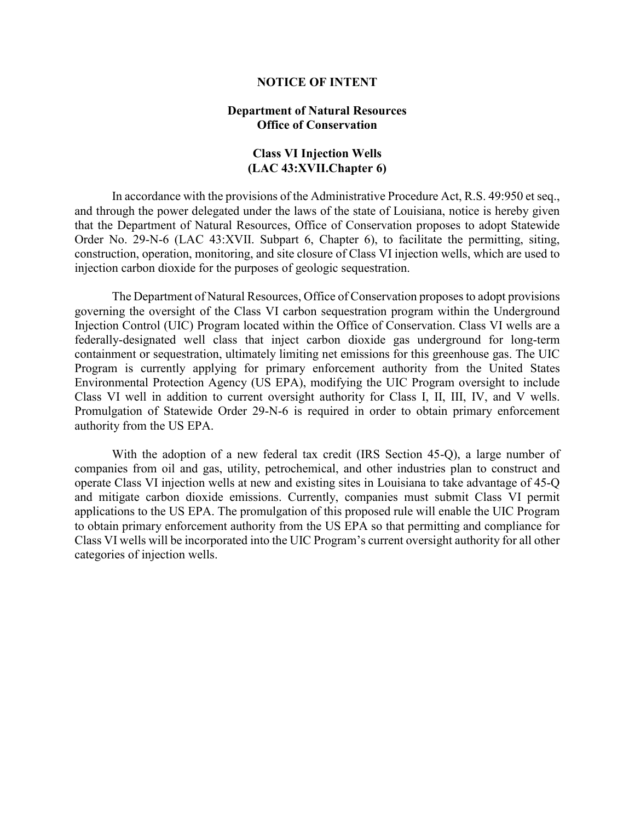### **NOTICE OF INTENT**

# **Department of Natural Resources Office of Conservation**

# **Class VI Injection Wells (LAC 43:XVII.Chapter 6)**

In accordance with the provisions of the Administrative Procedure Act, R.S. 49:950 et seq., and through the power delegated under the laws of the state of Louisiana, notice is hereby given that the Department of Natural Resources, Office of Conservation proposes to adopt Statewide Order No. 29-N-6 (LAC 43:XVII. Subpart 6, Chapter 6), to facilitate the permitting, siting, construction, operation, monitoring, and site closure of Class VI injection wells, which are used to injection carbon dioxide for the purposes of geologic sequestration.

The Department of Natural Resources, Office of Conservation proposes to adopt provisions governing the oversight of the Class VI carbon sequestration program within the Underground Injection Control (UIC) Program located within the Office of Conservation. Class VI wells are a federally-designated well class that inject carbon dioxide gas underground for long-term containment or sequestration, ultimately limiting net emissions for this greenhouse gas. The UIC Program is currently applying for primary enforcement authority from the United States Environmental Protection Agency (US EPA), modifying the UIC Program oversight to include Class VI well in addition to current oversight authority for Class I, II, III, IV, and V wells. Promulgation of Statewide Order 29-N-6 is required in order to obtain primary enforcement authority from the US EPA.

With the adoption of a new federal tax credit (IRS Section 45-Q), a large number of companies from oil and gas, utility, petrochemical, and other industries plan to construct and operate Class VI injection wells at new and existing sites in Louisiana to take advantage of 45-Q and mitigate carbon dioxide emissions. Currently, companies must submit Class VI permit applications to the US EPA. The promulgation of this proposed rule will enable the UIC Program to obtain primary enforcement authority from the US EPA so that permitting and compliance for Class VI wells will be incorporated into the UIC Program's current oversight authority for all other categories of injection wells.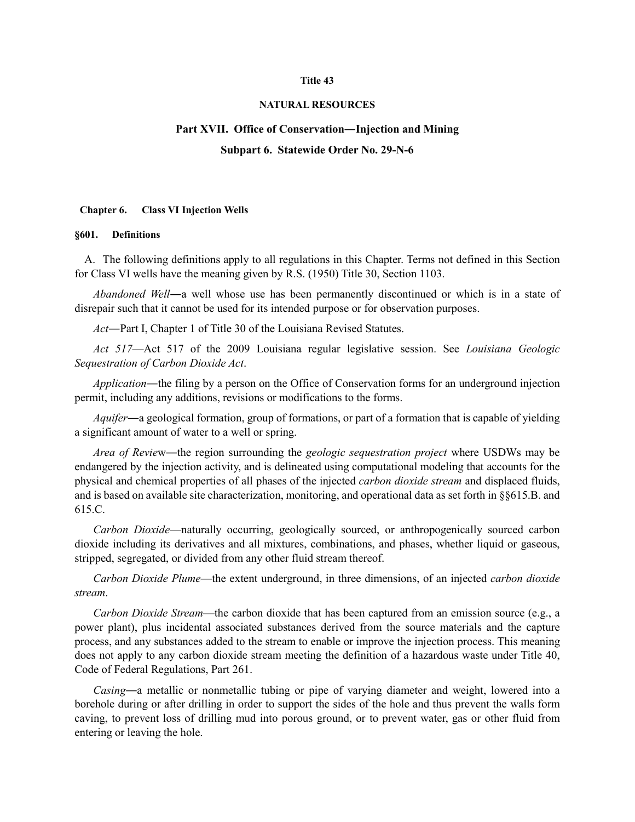#### **Title 43**

### **NATURAL RESOURCES**

# **Part XVII. Office of Conservation―Injection and Mining Subpart 6. Statewide Order No. 29-N-6**

#### **Chapter 6. Class VI Injection Wells**

#### **§601. Definitions**

A. The following definitions apply to all regulations in this Chapter. Terms not defined in this Section for Class VI wells have the meaning given by R.S. (1950) Title 30, Section 1103.

*Abandoned Well*―a well whose use has been permanently discontinued or which is in a state of disrepair such that it cannot be used for its intended purpose or for observation purposes.

*Act*―Part I, Chapter 1 of Title 30 of the Louisiana Revised Statutes.

*Act 517*—Act 517 of the 2009 Louisiana regular legislative session. See *Louisiana Geologic Sequestration of Carbon Dioxide Act*.

*Application*―the filing by a person on the Office of Conservation forms for an underground injection permit, including any additions, revisions or modifications to the forms.

*Aquifer*―a geological formation, group of formations, or part of a formation that is capable of yielding a significant amount of water to a well or spring.

*Area of Revie*w―the region surrounding the *geologic sequestration project* where USDWs may be endangered by the injection activity, and is delineated using computational modeling that accounts for the physical and chemical properties of all phases of the injected *carbon dioxide stream* and displaced fluids, and is based on available site characterization, monitoring, and operational data as set forth in §§615.B. and 615.C.

*Carbon Dioxide*—naturally occurring, geologically sourced, or anthropogenically sourced carbon dioxide including its derivatives and all mixtures, combinations, and phases, whether liquid or gaseous, stripped, segregated, or divided from any other fluid stream thereof.

*Carbon Dioxide Plume*—the extent underground, in three dimensions, of an injected *carbon dioxide stream*.

*Carbon Dioxide Stream*—the carbon dioxide that has been captured from an emission source (e.g., a power plant), plus incidental associated substances derived from the source materials and the capture process, and any substances added to the stream to enable or improve the injection process. This meaning does not apply to any carbon dioxide stream meeting the definition of a hazardous waste under Title 40, Code of Federal Regulations, Part 261.

*Casing*―a metallic or nonmetallic tubing or pipe of varying diameter and weight, lowered into a borehole during or after drilling in order to support the sides of the hole and thus prevent the walls form caving, to prevent loss of drilling mud into porous ground, or to prevent water, gas or other fluid from entering or leaving the hole.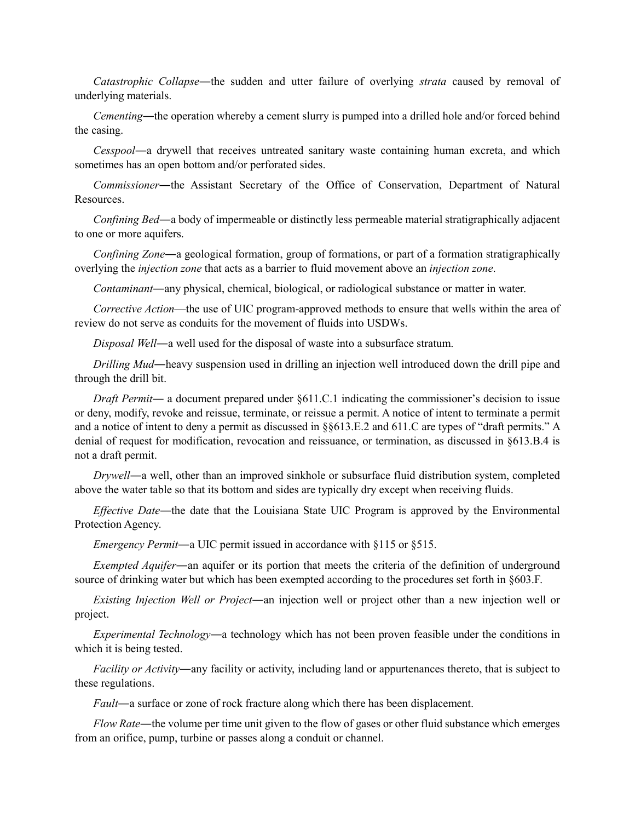*Catastrophic Collapse*―the sudden and utter failure of overlying *strata* caused by removal of underlying materials.

*Cementing*―the operation whereby a cement slurry is pumped into a drilled hole and/or forced behind the casing.

*Cesspool*―a drywell that receives untreated sanitary waste containing human excreta, and which sometimes has an open bottom and/or perforated sides.

*Commissioner*―the Assistant Secretary of the Office of Conservation, Department of Natural Resources.

*Confining Bed*―a body of impermeable or distinctly less permeable material stratigraphically adjacent to one or more aquifers.

*Confining Zone*―a geological formation, group of formations, or part of a formation stratigraphically overlying the *injection zone* that acts as a barrier to fluid movement above an *injection zone*.

*Contaminant*―any physical, chemical, biological, or radiological substance or matter in water.

*Corrective Action*—the use of UIC program-approved methods to ensure that wells within the area of review do not serve as conduits for the movement of fluids into USDWs.

*Disposal Well*―a well used for the disposal of waste into a subsurface stratum.

*Drilling Mud*―heavy suspension used in drilling an injection well introduced down the drill pipe and through the drill bit.

*Draft Permit―* a document prepared under §611.C.1 indicating the commissioner's decision to issue or deny, modify, revoke and reissue, terminate, or reissue a permit. A notice of intent to terminate a permit and a notice of intent to deny a permit as discussed in §§613.E.2 and 611.C are types of "draft permits." A denial of request for modification, revocation and reissuance, or termination, as discussed in §613.B.4 is not a draft permit.

*Drywell*―a well, other than an improved sinkhole or subsurface fluid distribution system, completed above the water table so that its bottom and sides are typically dry except when receiving fluids.

*Effective Date*―the date that the Louisiana State UIC Program is approved by the Environmental Protection Agency.

*Emergency Permit*—a UIC permit issued in accordance with §115 or §515.

*Exempted Aquifer*―an aquifer or its portion that meets the criteria of the definition of underground source of drinking water but which has been exempted according to the procedures set forth in §603.F.

*Existing Injection Well or Project*―an injection well or project other than a new injection well or project.

*Experimental Technology*―a technology which has not been proven feasible under the conditions in which it is being tested.

*Facility or Activity*―any facility or activity, including land or appurtenances thereto, that is subject to these regulations.

*Fault*―a surface or zone of rock fracture along which there has been displacement.

*Flow Rate*―the volume per time unit given to the flow of gases or other fluid substance which emerges from an orifice, pump, turbine or passes along a conduit or channel.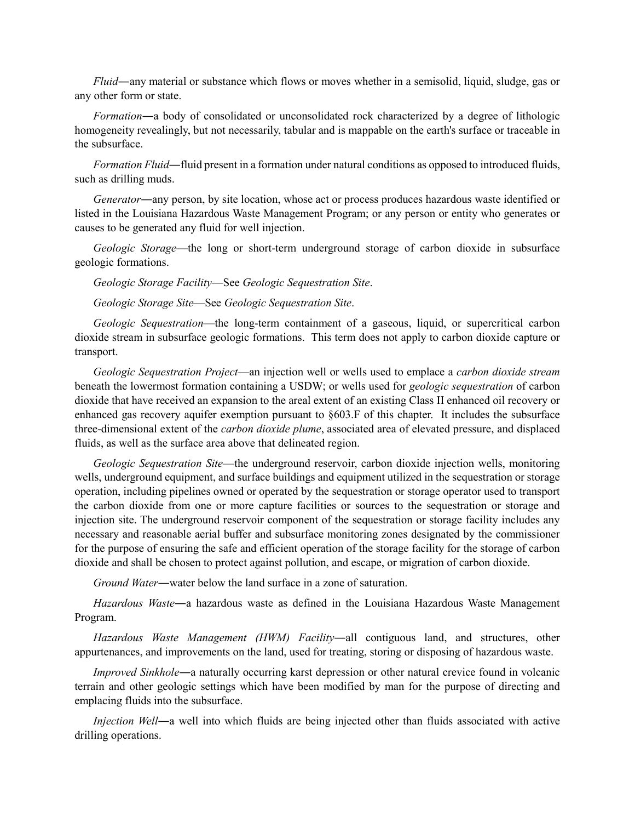*Fluid*―any material or substance which flows or moves whether in a semisolid, liquid, sludge, gas or any other form or state.

*Formation*―a body of consolidated or unconsolidated rock characterized by a degree of lithologic homogeneity revealingly, but not necessarily, tabular and is mappable on the earth's surface or traceable in the subsurface.

*Formation Fluid*—fluid present in a formation under natural conditions as opposed to introduced fluids, such as drilling muds.

*Generator*―any person, by site location, whose act or process produces hazardous waste identified or listed in the Louisiana Hazardous Waste Management Program; or any person or entity who generates or causes to be generated any fluid for well injection.

*Geologic Storage*—the long or short-term underground storage of carbon dioxide in subsurface geologic formations.

*Geologic Storage Facility*—See *Geologic Sequestration Site*.

*Geologic Storage Site*—See *Geologic Sequestration Site*.

*Geologic Sequestration*—the long-term containment of a gaseous, liquid, or supercritical carbon dioxide stream in subsurface geologic formations. This term does not apply to carbon dioxide capture or transport.

*Geologic Sequestration Project*—an injection well or wells used to emplace a *carbon dioxide stream* beneath the lowermost formation containing a USDW; or wells used for *geologic sequestration* of carbon dioxide that have received an expansion to the areal extent of an existing Class II enhanced oil recovery or enhanced gas recovery aquifer exemption pursuant to §603.F of this chapter. It includes the subsurface three-dimensional extent of the *carbon dioxide plume*, associated area of elevated pressure, and displaced fluids, as well as the surface area above that delineated region.

*Geologic Sequestration Site*—the underground reservoir, carbon dioxide injection wells, monitoring wells, underground equipment, and surface buildings and equipment utilized in the sequestration or storage operation, including pipelines owned or operated by the sequestration or storage operator used to transport the carbon dioxide from one or more capture facilities or sources to the sequestration or storage and injection site. The underground reservoir component of the sequestration or storage facility includes any necessary and reasonable aerial buffer and subsurface monitoring zones designated by the commissioner for the purpose of ensuring the safe and efficient operation of the storage facility for the storage of carbon dioxide and shall be chosen to protect against pollution, and escape, or migration of carbon dioxide.

*Ground Water*―water below the land surface in a zone of saturation.

*Hazardous Waste*―a hazardous waste as defined in the Louisiana Hazardous Waste Management Program.

*Hazardous Waste Management (HWM) Facility*―all contiguous land, and structures, other appurtenances, and improvements on the land, used for treating, storing or disposing of hazardous waste.

*Improved Sinkhole*—a naturally occurring karst depression or other natural crevice found in volcanic terrain and other geologic settings which have been modified by man for the purpose of directing and emplacing fluids into the subsurface.

*Injection Well*―a well into which fluids are being injected other than fluids associated with active drilling operations.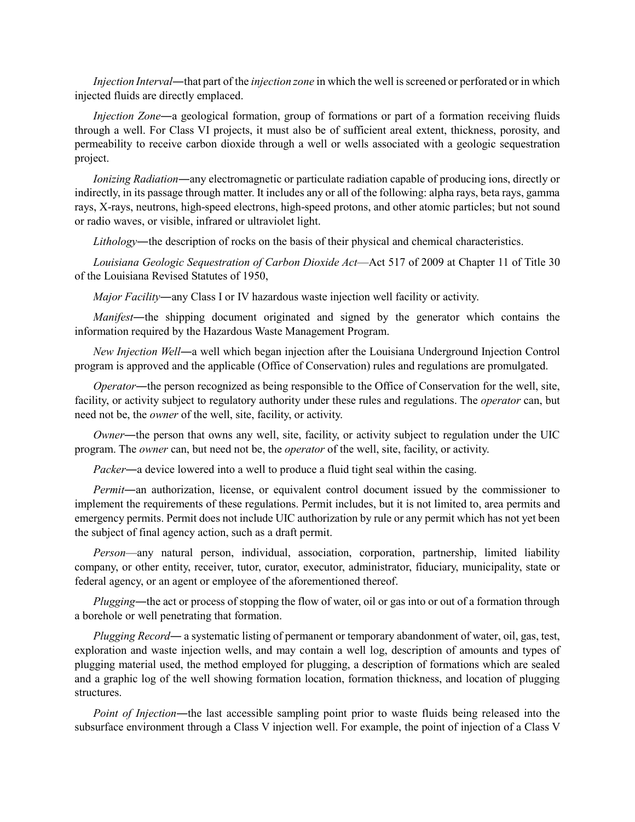*Injection Interval*―that part of the *injection zone* in which the well is screened or perforated or in which injected fluids are directly emplaced.

*Injection Zone*―a geological formation, group of formations or part of a formation receiving fluids through a well. For Class VI projects, it must also be of sufficient areal extent, thickness, porosity, and permeability to receive carbon dioxide through a well or wells associated with a geologic sequestration project.

*Ionizing Radiation*―any electromagnetic or particulate radiation capable of producing ions, directly or indirectly, in its passage through matter. It includes any or all of the following: alpha rays, beta rays, gamma rays, X-rays, neutrons, high-speed electrons, high-speed protons, and other atomic particles; but not sound or radio waves, or visible, infrared or ultraviolet light.

*Lithology*―the description of rocks on the basis of their physical and chemical characteristics.

*Louisiana Geologic Sequestration of Carbon Dioxide Act*—Act 517 of 2009 at Chapter 11 of Title 30 of the Louisiana Revised Statutes of 1950,

*Major Facility*―any Class I or IV hazardous waste injection well facility or activity.

*Manifest*—the shipping document originated and signed by the generator which contains the information required by the Hazardous Waste Management Program.

*New Injection Well*―a well which began injection after the Louisiana Underground Injection Control program is approved and the applicable (Office of Conservation) rules and regulations are promulgated.

*Operator*—the person recognized as being responsible to the Office of Conservation for the well, site, facility, or activity subject to regulatory authority under these rules and regulations. The *operator* can, but need not be, the *owner* of the well, site, facility, or activity.

*Owner*―the person that owns any well, site, facility, or activity subject to regulation under the UIC program. The *owner* can, but need not be, the *operator* of the well, site, facility, or activity.

*Packer*―a device lowered into a well to produce a fluid tight seal within the casing.

*Permit*—an authorization, license, or equivalent control document issued by the commissioner to implement the requirements of these regulations. Permit includes, but it is not limited to, area permits and emergency permits. Permit does not include UIC authorization by rule or any permit which has not yet been the subject of final agency action, such as a draft permit.

*Person*—any natural person, individual, association, corporation, partnership, limited liability company, or other entity, receiver, tutor, curator, executor, administrator, fiduciary, municipality, state or federal agency, or an agent or employee of the aforementioned thereof.

*Plugging*―the act or process of stopping the flow of water, oil or gas into or out of a formation through a borehole or well penetrating that formation.

*Plugging Record*― a systematic listing of permanent or temporary abandonment of water, oil, gas, test, exploration and waste injection wells, and may contain a well log, description of amounts and types of plugging material used, the method employed for plugging, a description of formations which are sealed and a graphic log of the well showing formation location, formation thickness, and location of plugging structures.

*Point of Injection*—the last accessible sampling point prior to waste fluids being released into the subsurface environment through a Class V injection well. For example, the point of injection of a Class V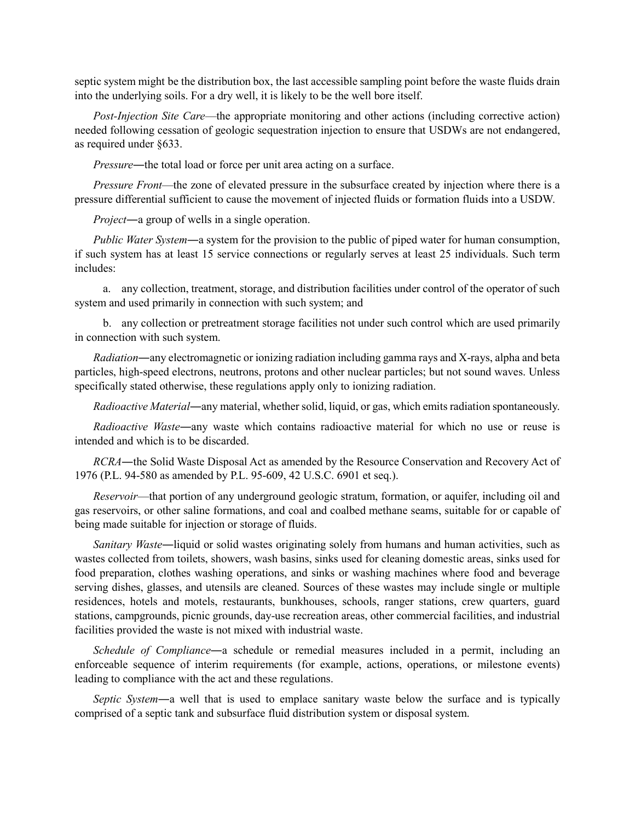septic system might be the distribution box, the last accessible sampling point before the waste fluids drain into the underlying soils. For a dry well, it is likely to be the well bore itself.

*Post-Injection Site Care*—the appropriate monitoring and other actions (including corrective action) needed following cessation of geologic sequestration injection to ensure that USDWs are not endangered, as required under §633.

*Pressure*―the total load or force per unit area acting on a surface.

*Pressure Front*—the zone of elevated pressure in the subsurface created by injection where there is a pressure differential sufficient to cause the movement of injected fluids or formation fluids into a USDW.

*Project*―a group of wells in a single operation.

*Public Water System*―a system for the provision to the public of piped water for human consumption, if such system has at least 15 service connections or regularly serves at least 25 individuals. Such term includes:

a. any collection, treatment, storage, and distribution facilities under control of the operator of such system and used primarily in connection with such system; and

b. any collection or pretreatment storage facilities not under such control which are used primarily in connection with such system.

*Radiation*―any electromagnetic or ionizing radiation including gamma rays and X-rays, alpha and beta particles, high-speed electrons, neutrons, protons and other nuclear particles; but not sound waves. Unless specifically stated otherwise, these regulations apply only to ionizing radiation.

*Radioactive Material*―any material, whether solid, liquid, or gas, which emits radiation spontaneously.

*Radioactive Waste*―any waste which contains radioactive material for which no use or reuse is intended and which is to be discarded.

*RCRA*―the Solid Waste Disposal Act as amended by the Resource Conservation and Recovery Act of 1976 (P.L. 94-580 as amended by P.L. 95-609, 42 U.S.C. 6901 et seq.).

*Reservoir*—that portion of any underground geologic stratum, formation, or aquifer, including oil and gas reservoirs, or other saline formations, and coal and coalbed methane seams, suitable for or capable of being made suitable for injection or storage of fluids.

*Sanitary Waste*―liquid or solid wastes originating solely from humans and human activities, such as wastes collected from toilets, showers, wash basins, sinks used for cleaning domestic areas, sinks used for food preparation, clothes washing operations, and sinks or washing machines where food and beverage serving dishes, glasses, and utensils are cleaned. Sources of these wastes may include single or multiple residences, hotels and motels, restaurants, bunkhouses, schools, ranger stations, crew quarters, guard stations, campgrounds, picnic grounds, day-use recreation areas, other commercial facilities, and industrial facilities provided the waste is not mixed with industrial waste.

*Schedule of Compliance*―a schedule or remedial measures included in a permit, including an enforceable sequence of interim requirements (for example, actions, operations, or milestone events) leading to compliance with the act and these regulations.

*Septic System*―a well that is used to emplace sanitary waste below the surface and is typically comprised of a septic tank and subsurface fluid distribution system or disposal system.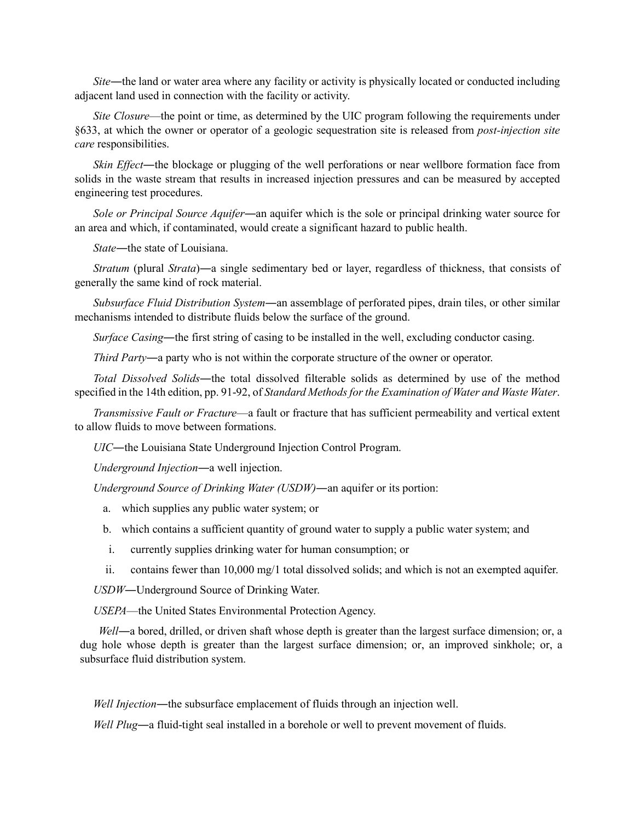*Site*—the land or water area where any facility or activity is physically located or conducted including adjacent land used in connection with the facility or activity.

*Site Closure*—the point or time, as determined by the UIC program following the requirements under §633, at which the owner or operator of a geologic sequestration site is released from *post-injection site care* responsibilities.

*Skin Effect*—the blockage or plugging of the well perforations or near wellbore formation face from solids in the waste stream that results in increased injection pressures and can be measured by accepted engineering test procedures.

*Sole or Principal Source Aquifer*―an aquifer which is the sole or principal drinking water source for an area and which, if contaminated, would create a significant hazard to public health.

*State*―the state of Louisiana.

*Stratum* (plural *Strata*)―a single sedimentary bed or layer, regardless of thickness, that consists of generally the same kind of rock material.

*Subsurface Fluid Distribution System*―an assemblage of perforated pipes, drain tiles, or other similar mechanisms intended to distribute fluids below the surface of the ground.

*Surface Casing*―the first string of casing to be installed in the well, excluding conductor casing.

*Third Party*―a party who is not within the corporate structure of the owner or operator.

*Total Dissolved Solids*―the total dissolved filterable solids as determined by use of the method specified in the 14th edition, pp. 91-92, of *Standard Methods for the Examination of Water and Waste Water*.

*Transmissive Fault or Fracture*—a fault or fracture that has sufficient permeability and vertical extent to allow fluids to move between formations.

*UIC*―the Louisiana State Underground Injection Control Program.

*Underground Injection*―a well injection.

*Underground Source of Drinking Water (USDW)*―an aquifer or its portion:

- a. which supplies any public water system; or
- b. which contains a sufficient quantity of ground water to supply a public water system; and
- i. currently supplies drinking water for human consumption; or
- ii. contains fewer than 10,000 mg/1 total dissolved solids; and which is not an exempted aquifer.

*USDW*―Underground Source of Drinking Water.

*USEPA*—the United States Environmental Protection Agency.

*Well*―a bored, drilled, or driven shaft whose depth is greater than the largest surface dimension; or, a dug hole whose depth is greater than the largest surface dimension; or, an improved sinkhole; or, a subsurface fluid distribution system.

*Well Injection*―the subsurface emplacement of fluids through an injection well.

*Well Plug*―a fluid-tight seal installed in a borehole or well to prevent movement of fluids.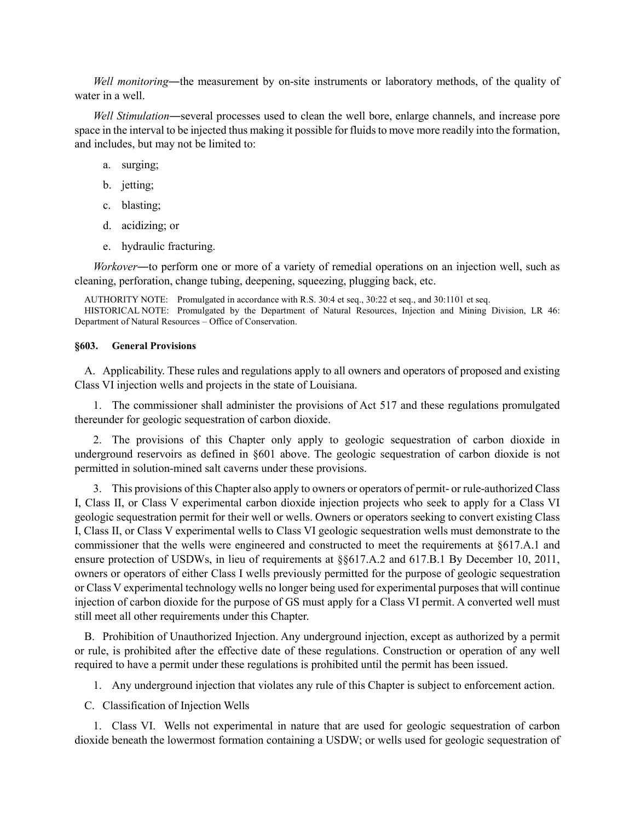*Well monitoring*―the measurement by on-site instruments or laboratory methods, of the quality of water in a well.

*Well Stimulation*―several processes used to clean the well bore, enlarge channels, and increase pore space in the interval to be injected thus making it possible for fluids to move more readily into the formation, and includes, but may not be limited to:

- a. surging;
- b. jetting;
- c. blasting;
- d. acidizing; or
- e. hydraulic fracturing.

*Workover*―to perform one or more of a variety of remedial operations on an injection well, such as cleaning, perforation, change tubing, deepening, squeezing, plugging back, etc.

AUTHORITY NOTE: Promulgated in accordance with R.S. 30:4 et seq., 30:22 et seq., and 30:1101 et seq.

HISTORICAL NOTE: Promulgated by the Department of Natural Resources, Injection and Mining Division, LR 46: Department of Natural Resources – Office of Conservation.

### **§603. General Provisions**

A. Applicability. These rules and regulations apply to all owners and operators of proposed and existing Class VI injection wells and projects in the state of Louisiana.

1. The commissioner shall administer the provisions of Act 517 and these regulations promulgated thereunder for geologic sequestration of carbon dioxide.

2. The provisions of this Chapter only apply to geologic sequestration of carbon dioxide in underground reservoirs as defined in §601 above. The geologic sequestration of carbon dioxide is not permitted in solution-mined salt caverns under these provisions.

3. This provisions of this Chapter also apply to owners or operators of permit- or rule-authorized Class I, Class II, or Class V experimental carbon dioxide injection projects who seek to apply for a Class VI geologic sequestration permit for their well or wells. Owners or operators seeking to convert existing Class I, Class II, or Class V experimental wells to Class VI geologic sequestration wells must demonstrate to the commissioner that the wells were engineered and constructed to meet the requirements at §617.A.1 and ensure protection of USDWs, in lieu of requirements at §§617.A.2 and 617.B.1 By December 10, 2011, owners or operators of either Class I wells previously permitted for the purpose of geologic sequestration or Class V experimental technology wells no longer being used for experimental purposes that will continue injection of carbon dioxide for the purpose of GS must apply for a Class VI permit. A converted well must still meet all other requirements under this Chapter.

B. Prohibition of Unauthorized Injection. Any underground injection, except as authorized by a permit or rule, is prohibited after the effective date of these regulations. Construction or operation of any well required to have a permit under these regulations is prohibited until the permit has been issued.

1. Any underground injection that violates any rule of this Chapter is subject to enforcement action.

C. Classification of Injection Wells

1. Class VI. Wells not experimental in nature that are used for geologic sequestration of carbon dioxide beneath the lowermost formation containing a USDW; or wells used for geologic sequestration of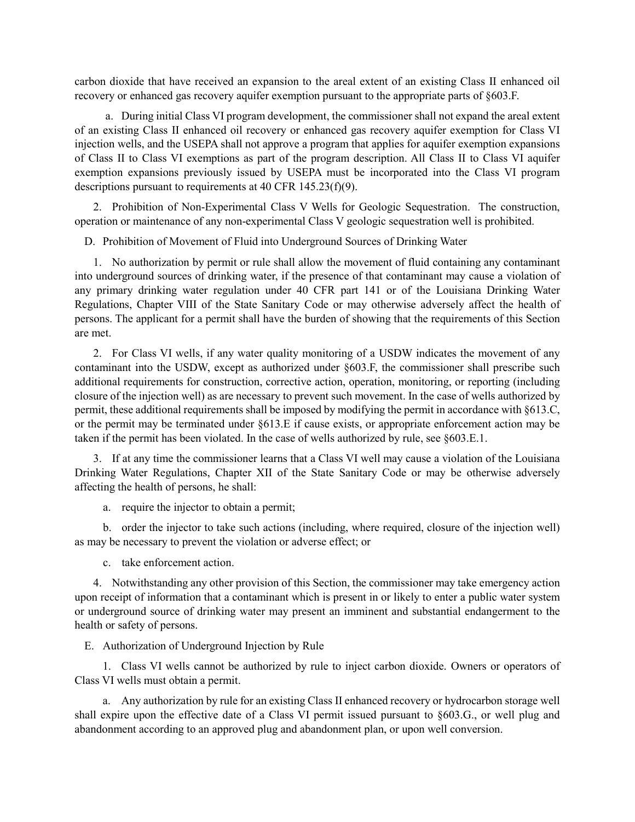carbon dioxide that have received an expansion to the areal extent of an existing Class II enhanced oil recovery or enhanced gas recovery aquifer exemption pursuant to the appropriate parts of §603.F.

a. During initial Class VI program development, the commissioner shall not expand the areal extent of an existing Class II enhanced oil recovery or enhanced gas recovery aquifer exemption for Class VI injection wells, and the USEPA shall not approve a program that applies for aquifer exemption expansions of Class II to Class VI exemptions as part of the program description. All Class II to Class VI aquifer exemption expansions previously issued by USEPA must be incorporated into the Class VI program descriptions pursuant to requirements at 40 CFR 145.23(f)(9).

2. Prohibition of Non-Experimental Class V Wells for Geologic Sequestration. The construction, operation or maintenance of any non-experimental Class V geologic sequestration well is prohibited.

D. Prohibition of Movement of Fluid into Underground Sources of Drinking Water

1. No authorization by permit or rule shall allow the movement of fluid containing any contaminant into underground sources of drinking water, if the presence of that contaminant may cause a violation of any primary drinking water regulation under 40 CFR part 141 or of the Louisiana Drinking Water Regulations, Chapter VIII of the State Sanitary Code or may otherwise adversely affect the health of persons. The applicant for a permit shall have the burden of showing that the requirements of this Section are met.

2. For Class VI wells, if any water quality monitoring of a USDW indicates the movement of any contaminant into the USDW, except as authorized under §603.F, the commissioner shall prescribe such additional requirements for construction, corrective action, operation, monitoring, or reporting (including closure of the injection well) as are necessary to prevent such movement. In the case of wells authorized by permit, these additional requirements shall be imposed by modifying the permit in accordance with §613.C, or the permit may be terminated under §613.E if cause exists, or appropriate enforcement action may be taken if the permit has been violated. In the case of wells authorized by rule, see §603.E.1.

3. If at any time the commissioner learns that a Class VI well may cause a violation of the Louisiana Drinking Water Regulations, Chapter XII of the State Sanitary Code or may be otherwise adversely affecting the health of persons, he shall:

a. require the injector to obtain a permit;

b. order the injector to take such actions (including, where required, closure of the injection well) as may be necessary to prevent the violation or adverse effect; or

c. take enforcement action.

4. Notwithstanding any other provision of this Section, the commissioner may take emergency action upon receipt of information that a contaminant which is present in or likely to enter a public water system or underground source of drinking water may present an imminent and substantial endangerment to the health or safety of persons.

E. Authorization of Underground Injection by Rule

1. Class VI wells cannot be authorized by rule to inject carbon dioxide. Owners or operators of Class VI wells must obtain a permit.

a. Any authorization by rule for an existing Class II enhanced recovery or hydrocarbon storage well shall expire upon the effective date of a Class VI permit issued pursuant to §603.G., or well plug and abandonment according to an approved plug and abandonment plan, or upon well conversion.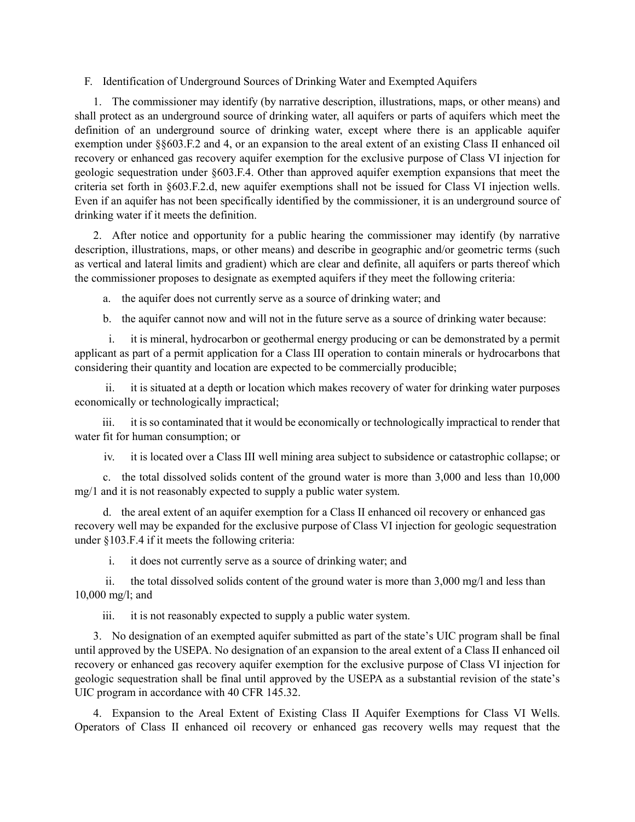# F. Identification of Underground Sources of Drinking Water and Exempted Aquifers

1. The commissioner may identify (by narrative description, illustrations, maps, or other means) and shall protect as an underground source of drinking water, all aquifers or parts of aquifers which meet the definition of an underground source of drinking water, except where there is an applicable aquifer exemption under §§603.F.2 and 4, or an expansion to the areal extent of an existing Class II enhanced oil recovery or enhanced gas recovery aquifer exemption for the exclusive purpose of Class VI injection for geologic sequestration under §603.F.4. Other than approved aquifer exemption expansions that meet the criteria set forth in §603.F.2.d, new aquifer exemptions shall not be issued for Class VI injection wells. Even if an aquifer has not been specifically identified by the commissioner, it is an underground source of drinking water if it meets the definition.

2. After notice and opportunity for a public hearing the commissioner may identify (by narrative description, illustrations, maps, or other means) and describe in geographic and/or geometric terms (such as vertical and lateral limits and gradient) which are clear and definite, all aquifers or parts thereof which the commissioner proposes to designate as exempted aquifers if they meet the following criteria:

a. the aquifer does not currently serve as a source of drinking water; and

b. the aquifer cannot now and will not in the future serve as a source of drinking water because:

i. it is mineral, hydrocarbon or geothermal energy producing or can be demonstrated by a permit applicant as part of a permit application for a Class III operation to contain minerals or hydrocarbons that considering their quantity and location are expected to be commercially producible;

ii. it is situated at a depth or location which makes recovery of water for drinking water purposes economically or technologically impractical;

iii. it is so contaminated that it would be economically or technologically impractical to render that water fit for human consumption; or

iv. it is located over a Class III well mining area subject to subsidence or catastrophic collapse; or

c. the total dissolved solids content of the ground water is more than 3,000 and less than 10,000 mg/1 and it is not reasonably expected to supply a public water system.

d. the areal extent of an aquifer exemption for a Class II enhanced oil recovery or enhanced gas recovery well may be expanded for the exclusive purpose of Class VI injection for geologic sequestration under §103.F.4 if it meets the following criteria:

i. it does not currently serve as a source of drinking water; and

ii. the total dissolved solids content of the ground water is more than 3,000 mg/l and less than 10,000 mg/l; and

iii. it is not reasonably expected to supply a public water system.

3. No designation of an exempted aquifer submitted as part of the state's UIC program shall be final until approved by the USEPA. No designation of an expansion to the areal extent of a Class II enhanced oil recovery or enhanced gas recovery aquifer exemption for the exclusive purpose of Class VI injection for geologic sequestration shall be final until approved by the USEPA as a substantial revision of the state's UIC program in accordance with 40 CFR 145.32.

4. Expansion to the Areal Extent of Existing Class II Aquifer Exemptions for Class VI Wells. Operators of Class II enhanced oil recovery or enhanced gas recovery wells may request that the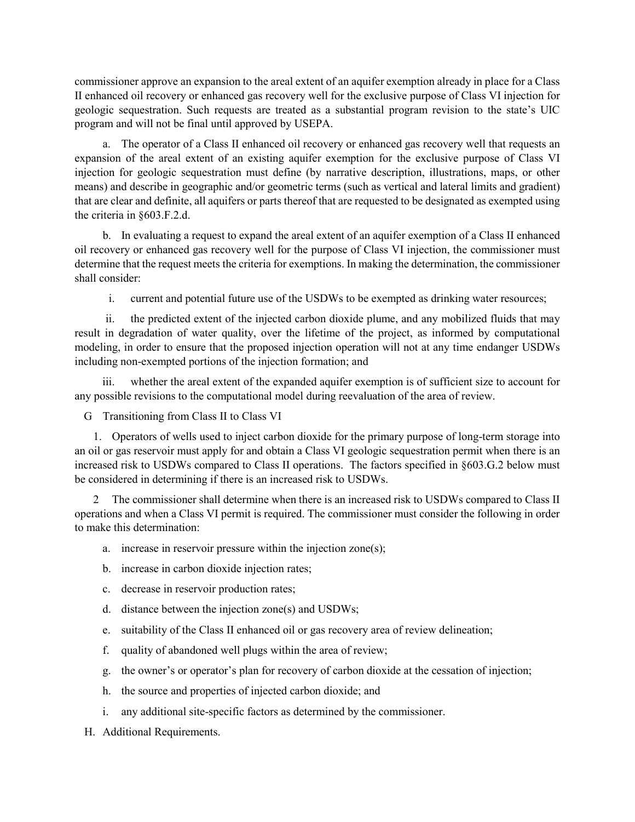commissioner approve an expansion to the areal extent of an aquifer exemption already in place for a Class II enhanced oil recovery or enhanced gas recovery well for the exclusive purpose of Class VI injection for geologic sequestration. Such requests are treated as a substantial program revision to the state's UIC program and will not be final until approved by USEPA.

a. The operator of a Class II enhanced oil recovery or enhanced gas recovery well that requests an expansion of the areal extent of an existing aquifer exemption for the exclusive purpose of Class VI injection for geologic sequestration must define (by narrative description, illustrations, maps, or other means) and describe in geographic and/or geometric terms (such as vertical and lateral limits and gradient) that are clear and definite, all aquifers or parts thereof that are requested to be designated as exempted using the criteria in §603.F.2.d.

b. In evaluating a request to expand the areal extent of an aquifer exemption of a Class II enhanced oil recovery or enhanced gas recovery well for the purpose of Class VI injection, the commissioner must determine that the request meets the criteria for exemptions. In making the determination, the commissioner shall consider:

i. current and potential future use of the USDWs to be exempted as drinking water resources;

ii. the predicted extent of the injected carbon dioxide plume, and any mobilized fluids that may result in degradation of water quality, over the lifetime of the project, as informed by computational modeling, in order to ensure that the proposed injection operation will not at any time endanger USDWs including non-exempted portions of the injection formation; and

iii. whether the areal extent of the expanded aquifer exemption is of sufficient size to account for any possible revisions to the computational model during reevaluation of the area of review.

G Transitioning from Class II to Class VI

1. Operators of wells used to inject carbon dioxide for the primary purpose of long-term storage into an oil or gas reservoir must apply for and obtain a Class VI geologic sequestration permit when there is an increased risk to USDWs compared to Class II operations. The factors specified in §603.G.2 below must be considered in determining if there is an increased risk to USDWs.

2 The commissioner shall determine when there is an increased risk to USDWs compared to Class II operations and when a Class VI permit is required. The commissioner must consider the following in order to make this determination:

- a. increase in reservoir pressure within the injection zone(s);
- b. increase in carbon dioxide injection rates;
- c. decrease in reservoir production rates;
- d. distance between the injection zone(s) and USDWs;
- e. suitability of the Class II enhanced oil or gas recovery area of review delineation;
- f. quality of abandoned well plugs within the area of review;
- g. the owner's or operator's plan for recovery of carbon dioxide at the cessation of injection;
- h. the source and properties of injected carbon dioxide; and
- i. any additional site-specific factors as determined by the commissioner.
- H. Additional Requirements.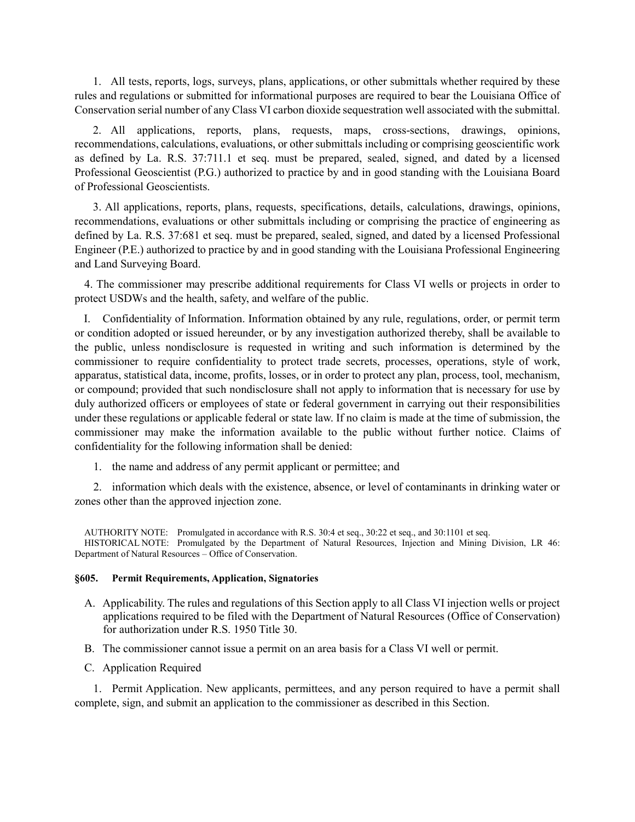1. All tests, reports, logs, surveys, plans, applications, or other submittals whether required by these rules and regulations or submitted for informational purposes are required to bear the Louisiana Office of Conservation serial number of any Class VI carbon dioxide sequestration well associated with the submittal.

 2. All applications, reports, plans, requests, maps, cross-sections, drawings, opinions, recommendations, calculations, evaluations, or other submittals including or comprising geoscientific work as defined by La. R.S. 37:711.1 et seq. must be prepared, sealed, signed, and dated by a licensed Professional Geoscientist (P.G.) authorized to practice by and in good standing with the Louisiana Board of Professional Geoscientists.

 3. All applications, reports, plans, requests, specifications, details, calculations, drawings, opinions, recommendations, evaluations or other submittals including or comprising the practice of engineering as defined by La. R.S. 37:681 et seq. must be prepared, sealed, signed, and dated by a licensed Professional Engineer (P.E.) authorized to practice by and in good standing with the Louisiana Professional Engineering and Land Surveying Board.

4. The commissioner may prescribe additional requirements for Class VI wells or projects in order to protect USDWs and the health, safety, and welfare of the public.

I. Confidentiality of Information. Information obtained by any rule, regulations, order, or permit term or condition adopted or issued hereunder, or by any investigation authorized thereby, shall be available to the public, unless nondisclosure is requested in writing and such information is determined by the commissioner to require confidentiality to protect trade secrets, processes, operations, style of work, apparatus, statistical data, income, profits, losses, or in order to protect any plan, process, tool, mechanism, or compound; provided that such nondisclosure shall not apply to information that is necessary for use by duly authorized officers or employees of state or federal government in carrying out their responsibilities under these regulations or applicable federal or state law. If no claim is made at the time of submission, the commissioner may make the information available to the public without further notice. Claims of confidentiality for the following information shall be denied:

1. the name and address of any permit applicant or permittee; and

2. information which deals with the existence, absence, or level of contaminants in drinking water or zones other than the approved injection zone.

AUTHORITY NOTE: Promulgated in accordance with R.S. 30:4 et seq., 30:22 et seq., and 30:1101 et seq. HISTORICAL NOTE: Promulgated by the Department of Natural Resources, Injection and Mining Division, LR 46: Department of Natural Resources – Office of Conservation.

### **§605. Permit Requirements, Application, Signatories**

- A. Applicability. The rules and regulations of this Section apply to all Class VI injection wells or project applications required to be filed with the Department of Natural Resources (Office of Conservation) for authorization under R.S. 1950 Title 30.
- B. The commissioner cannot issue a permit on an area basis for a Class VI well or permit.
- C. Application Required

1. Permit Application. New applicants, permittees, and any person required to have a permit shall complete, sign, and submit an application to the commissioner as described in this Section.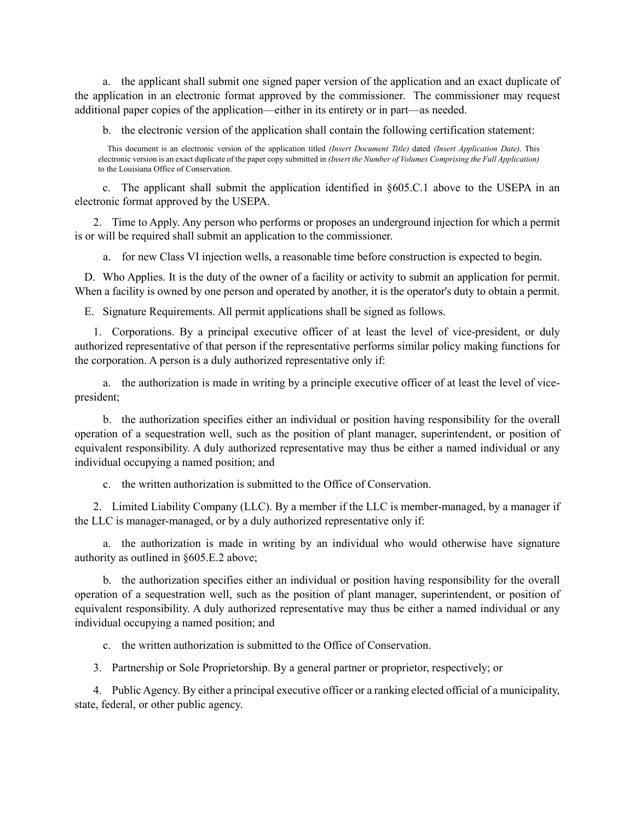a. the applicant shall submit one signed paper version of the application and an exact duplicate of the application in an electronic format approved by the commissioner. The commissioner may request additional paper copies of the application—either in its entirety or in part—as needed.

b. the electronic version of the application shall contain the following certification statement:

This document is an electronic version of the application titled *(Insert Document Title)* dated *(Insert Application Date)*. This electronic version is an exact duplicate of the paper copy submitted in *(Insert the Number of Volumes Comprising the Full Application)* to the Louisiana Office of Conservation.

c. The applicant shall submit the application identified in §605.C.1 above to the USEPA in an electronic format approved by the USEPA.

2. Time to Apply. Any person who performs or proposes an underground injection for which a permit is or will be required shall submit an application to the commissioner.

a. for new Class VI injection wells, a reasonable time before construction is expected to begin.

D. Who Applies. It is the duty of the owner of a facility or activity to submit an application for permit. When a facility is owned by one person and operated by another, it is the operator's duty to obtain a permit.

E. Signature Requirements. All permit applications shall be signed as follows.

1. Corporations. By a principal executive officer of at least the level of vice-president, or duly authorized representative of that person if the representative performs similar policy making functions for the corporation. A person is a duly authorized representative only if:

a. the authorization is made in writing by a principle executive officer of at least the level of vicepresident;

b. the authorization specifies either an individual or position having responsibility for the overall operation of a sequestration well, such as the position of plant manager, superintendent, or position of equivalent responsibility. A duly authorized representative may thus be either a named individual or any individual occupying a named position; and

c. the written authorization is submitted to the Office of Conservation.

2. Limited Liability Company (LLC). By a member if the LLC is member-managed, by a manager if the LLC is manager-managed, or by a duly authorized representative only if:

a. the authorization is made in writing by an individual who would otherwise have signature authority as outlined in §605.E.2 above;

b. the authorization specifies either an individual or position having responsibility for the overall operation of a sequestration well, such as the position of plant manager, superintendent, or position of equivalent responsibility. A duly authorized representative may thus be either a named individual or any individual occupying a named position; and

c. the written authorization is submitted to the Office of Conservation.

3. Partnership or Sole Proprietorship. By a general partner or proprietor, respectively; or

4. Public Agency. By either a principal executive officer or a ranking elected official of a municipality, state, federal, or other public agency.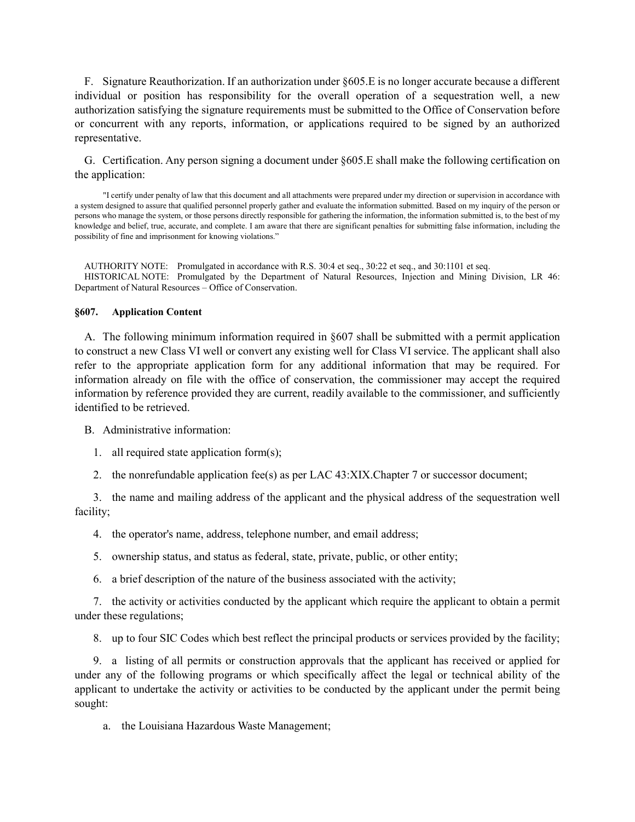F. Signature Reauthorization. If an authorization under §605.E is no longer accurate because a different individual or position has responsibility for the overall operation of a sequestration well, a new authorization satisfying the signature requirements must be submitted to the Office of Conservation before or concurrent with any reports, information, or applications required to be signed by an authorized representative.

G. Certification. Any person signing a document under §605.E shall make the following certification on the application:

"I certify under penalty of law that this document and all attachments were prepared under my direction or supervision in accordance with a system designed to assure that qualified personnel properly gather and evaluate the information submitted. Based on my inquiry of the person or persons who manage the system, or those persons directly responsible for gathering the information, the information submitted is, to the best of my knowledge and belief, true, accurate, and complete. I am aware that there are significant penalties for submitting false information, including the possibility of fine and imprisonment for knowing violations."

AUTHORITY NOTE: Promulgated in accordance with R.S. 30:4 et seq., 30:22 et seq., and 30:1101 et seq. HISTORICAL NOTE: Promulgated by the Department of Natural Resources, Injection and Mining Division, LR 46: Department of Natural Resources – Office of Conservation.

#### **§607. Application Content**

A. The following minimum information required in §607 shall be submitted with a permit application to construct a new Class VI well or convert any existing well for Class VI service. The applicant shall also refer to the appropriate application form for any additional information that may be required. For information already on file with the office of conservation, the commissioner may accept the required information by reference provided they are current, readily available to the commissioner, and sufficiently identified to be retrieved.

B. Administrative information:

- 1. all required state application form(s);
- 2. the nonrefundable application fee(s) as per LAC  $43: XIX$ . Chapter 7 or successor document;

3. the name and mailing address of the applicant and the physical address of the sequestration well facility;

- 4. the operator's name, address, telephone number, and email address;
- 5. ownership status, and status as federal, state, private, public, or other entity;
- 6. a brief description of the nature of the business associated with the activity;

7. the activity or activities conducted by the applicant which require the applicant to obtain a permit under these regulations;

8. up to four SIC Codes which best reflect the principal products or services provided by the facility;

9. a listing of all permits or construction approvals that the applicant has received or applied for under any of the following programs or which specifically affect the legal or technical ability of the applicant to undertake the activity or activities to be conducted by the applicant under the permit being sought:

a. the Louisiana Hazardous Waste Management;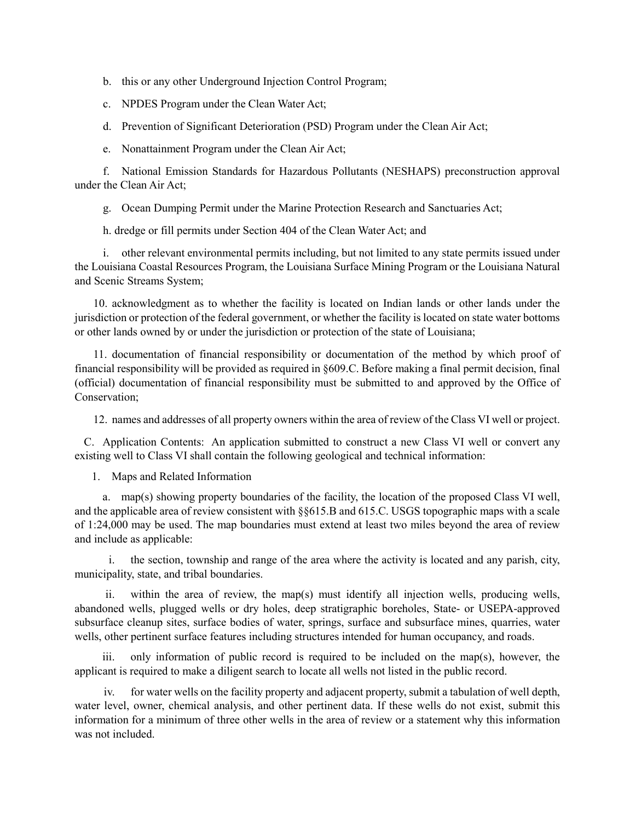- b. this or any other Underground Injection Control Program;
- c. NPDES Program under the Clean Water Act;
- d. Prevention of Significant Deterioration (PSD) Program under the Clean Air Act;
- e. Nonattainment Program under the Clean Air Act;

f. National Emission Standards for Hazardous Pollutants (NESHAPS) preconstruction approval under the Clean Air Act;

g. Ocean Dumping Permit under the Marine Protection Research and Sanctuaries Act;

h. dredge or fill permits under Section 404 of the Clean Water Act; and

i. other relevant environmental permits including, but not limited to any state permits issued under the Louisiana Coastal Resources Program, the Louisiana Surface Mining Program or the Louisiana Natural and Scenic Streams System;

10. acknowledgment as to whether the facility is located on Indian lands or other lands under the jurisdiction or protection of the federal government, or whether the facility is located on state water bottoms or other lands owned by or under the jurisdiction or protection of the state of Louisiana;

11. documentation of financial responsibility or documentation of the method by which proof of financial responsibility will be provided as required in §609.C. Before making a final permit decision, final (official) documentation of financial responsibility must be submitted to and approved by the Office of Conservation;

12. names and addresses of all property owners within the area of review of the Class VI well or project.

C. Application Contents: An application submitted to construct a new Class VI well or convert any existing well to Class VI shall contain the following geological and technical information:

1. Maps and Related Information

a. map(s) showing property boundaries of the facility, the location of the proposed Class VI well, and the applicable area of review consistent with §§615.B and 615.C. USGS topographic maps with a scale of 1:24,000 may be used. The map boundaries must extend at least two miles beyond the area of review and include as applicable:

i. the section, township and range of the area where the activity is located and any parish, city, municipality, state, and tribal boundaries.

ii. within the area of review, the map(s) must identify all injection wells, producing wells, abandoned wells, plugged wells or dry holes, deep stratigraphic boreholes, State- or USEPA-approved subsurface cleanup sites, surface bodies of water, springs, surface and subsurface mines, quarries, water wells, other pertinent surface features including structures intended for human occupancy, and roads.

iii. only information of public record is required to be included on the map(s), however, the applicant is required to make a diligent search to locate all wells not listed in the public record.

iv. for water wells on the facility property and adjacent property, submit a tabulation of well depth, water level, owner, chemical analysis, and other pertinent data. If these wells do not exist, submit this information for a minimum of three other wells in the area of review or a statement why this information was not included.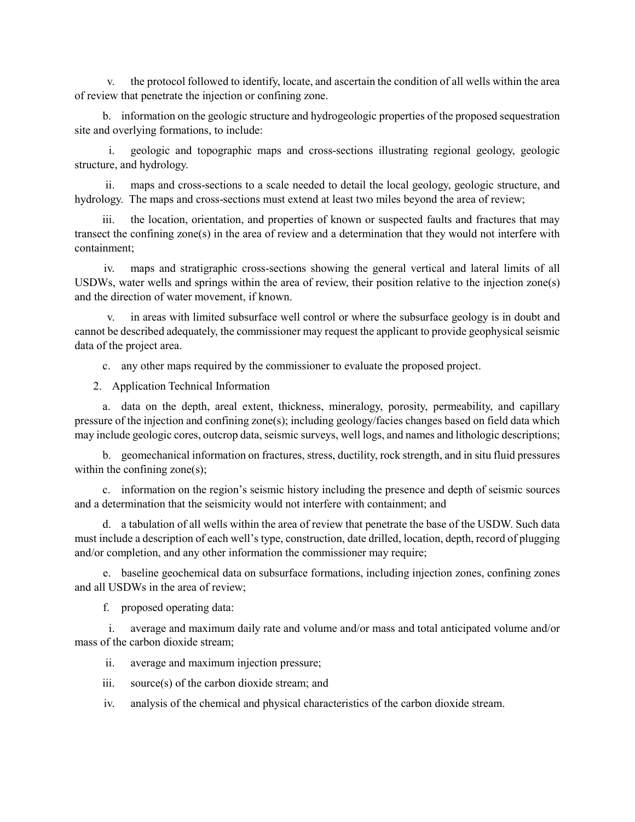v. the protocol followed to identify, locate, and ascertain the condition of all wells within the area of review that penetrate the injection or confining zone.

b. information on the geologic structure and hydrogeologic properties of the proposed sequestration site and overlying formations, to include:

i. geologic and topographic maps and cross-sections illustrating regional geology, geologic structure, and hydrology.

ii. maps and cross-sections to a scale needed to detail the local geology, geologic structure, and hydrology. The maps and cross-sections must extend at least two miles beyond the area of review;

iii. the location, orientation, and properties of known or suspected faults and fractures that may transect the confining zone(s) in the area of review and a determination that they would not interfere with containment;

iv. maps and stratigraphic cross-sections showing the general vertical and lateral limits of all USDWs, water wells and springs within the area of review, their position relative to the injection zone(s) and the direction of water movement, if known.

in areas with limited subsurface well control or where the subsurface geology is in doubt and cannot be described adequately, the commissioner may request the applicant to provide geophysical seismic data of the project area.

c. any other maps required by the commissioner to evaluate the proposed project.

2. Application Technical Information

a. data on the depth, areal extent, thickness, mineralogy, porosity, permeability, and capillary pressure of the injection and confining zone(s); including geology/facies changes based on field data which may include geologic cores, outcrop data, seismic surveys, well logs, and names and lithologic descriptions;

b. geomechanical information on fractures, stress, ductility, rock strength, and in situ fluid pressures within the confining zone(s);

c. information on the region's seismic history including the presence and depth of seismic sources and a determination that the seismicity would not interfere with containment; and

d. a tabulation of all wells within the area of review that penetrate the base of the USDW. Such data must include a description of each well's type, construction, date drilled, location, depth, record of plugging and/or completion, and any other information the commissioner may require;

e. baseline geochemical data on subsurface formations, including injection zones, confining zones and all USDWs in the area of review;

f. proposed operating data:

i. average and maximum daily rate and volume and/or mass and total anticipated volume and/or mass of the carbon dioxide stream;

ii. average and maximum injection pressure;

iii. source(s) of the carbon dioxide stream; and

iv. analysis of the chemical and physical characteristics of the carbon dioxide stream.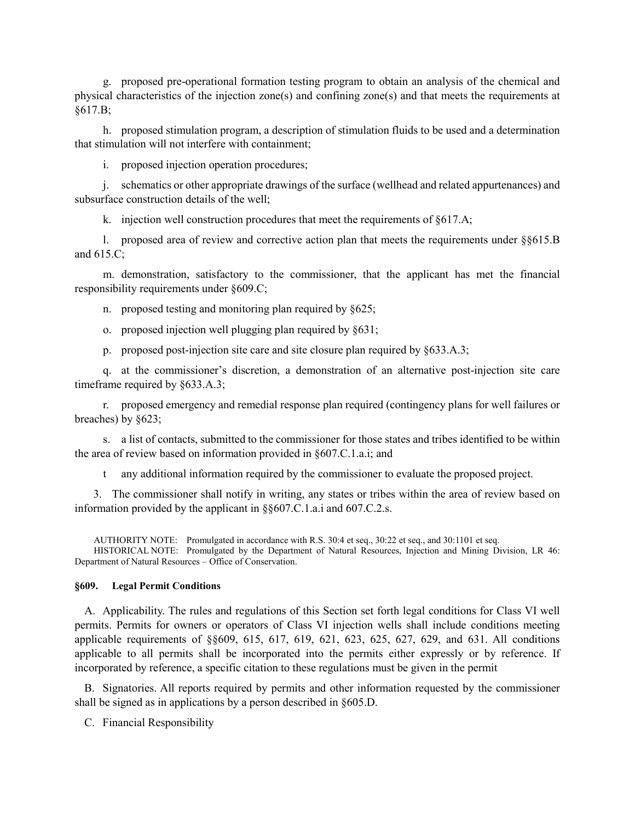g. proposed pre-operational formation testing program to obtain an analysis of the chemical and physical characteristics of the injection zone(s) and confining zone(s) and that meets the requirements at §617.B;

h. proposed stimulation program, a description of stimulation fluids to be used and a determination that stimulation will not interfere with containment;

i. proposed injection operation procedures;

j. schematics or other appropriate drawings of the surface (wellhead and related appurtenances) and subsurface construction details of the well;

k. injection well construction procedures that meet the requirements of §617.A;

l. proposed area of review and corrective action plan that meets the requirements under §§615.B and 615.C;

m. demonstration, satisfactory to the commissioner, that the applicant has met the financial responsibility requirements under §609.C;

n. proposed testing and monitoring plan required by §625;

- o. proposed injection well plugging plan required by §631;
- p. proposed post-injection site care and site closure plan required by §633.A.3;

q. at the commissioner's discretion, a demonstration of an alternative post-injection site care timeframe required by §633.A.3;

r. proposed emergency and remedial response plan required (contingency plans for well failures or breaches) by §623;

s. a list of contacts, submitted to the commissioner for those states and tribes identified to be within the area of review based on information provided in §607.C.1.a.i; and

t any additional information required by the commissioner to evaluate the proposed project.

3. The commissioner shall notify in writing, any states or tribes within the area of review based on information provided by the applicant in §§607.C.1.a.i and 607.C.2.s.

AUTHORITY NOTE: Promulgated in accordance with R.S. 30:4 et seq., 30:22 et seq., and 30:1101 et seq.

 HISTORICAL NOTE: Promulgated by the Department of Natural Resources, Injection and Mining Division, LR 46: Department of Natural Resources – Office of Conservation.

### **§609. Legal Permit Conditions**

A. Applicability. The rules and regulations of this Section set forth legal conditions for Class VI well permits. Permits for owners or operators of Class VI injection wells shall include conditions meeting applicable requirements of §§609, 615, 617, 619, 621, 623, 625, 627, 629, and 631. All conditions applicable to all permits shall be incorporated into the permits either expressly or by reference. If incorporated by reference, a specific citation to these regulations must be given in the permit

B. Signatories. All reports required by permits and other information requested by the commissioner shall be signed as in applications by a person described in §605.D.

C. Financial Responsibility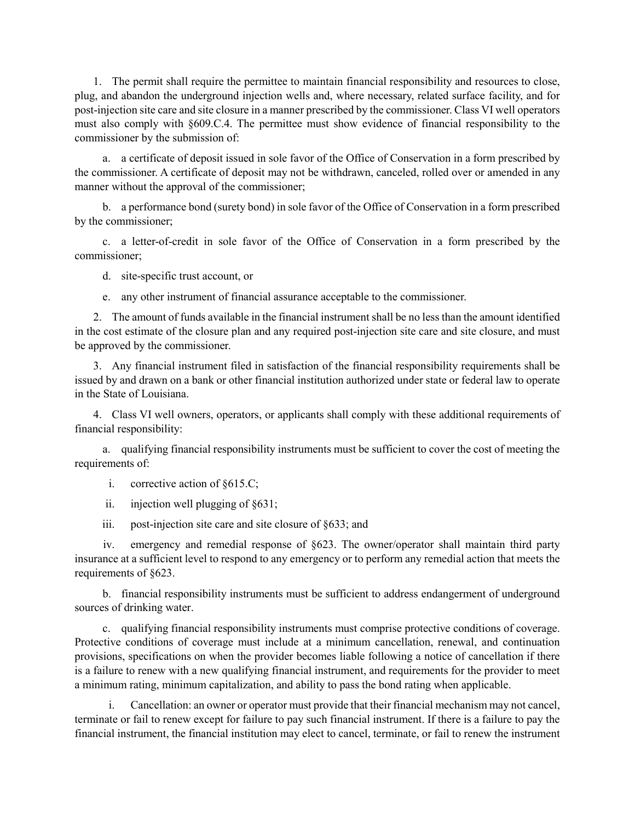1. The permit shall require the permittee to maintain financial responsibility and resources to close, plug, and abandon the underground injection wells and, where necessary, related surface facility, and for post-injection site care and site closure in a manner prescribed by the commissioner. Class VI well operators must also comply with §609.C.4. The permittee must show evidence of financial responsibility to the commissioner by the submission of:

a. a certificate of deposit issued in sole favor of the Office of Conservation in a form prescribed by the commissioner. A certificate of deposit may not be withdrawn, canceled, rolled over or amended in any manner without the approval of the commissioner;

b. a performance bond (surety bond) in sole favor of the Office of Conservation in a form prescribed by the commissioner;

c. a letter-of-credit in sole favor of the Office of Conservation in a form prescribed by the commissioner;

d. site-specific trust account, or

e. any other instrument of financial assurance acceptable to the commissioner.

2. The amount of funds available in the financial instrument shall be no less than the amount identified in the cost estimate of the closure plan and any required post-injection site care and site closure, and must be approved by the commissioner.

3. Any financial instrument filed in satisfaction of the financial responsibility requirements shall be issued by and drawn on a bank or other financial institution authorized under state or federal law to operate in the State of Louisiana.

4. Class VI well owners, operators, or applicants shall comply with these additional requirements of financial responsibility:

a. qualifying financial responsibility instruments must be sufficient to cover the cost of meeting the requirements of:

i. corrective action of §615.C;

ii. injection well plugging of §631;

iii. post-injection site care and site closure of §633; and

iv. emergency and remedial response of §623. The owner/operator shall maintain third party insurance at a sufficient level to respond to any emergency or to perform any remedial action that meets the requirements of §623.

b. financial responsibility instruments must be sufficient to address endangerment of underground sources of drinking water.

c. qualifying financial responsibility instruments must comprise protective conditions of coverage. Protective conditions of coverage must include at a minimum cancellation, renewal, and continuation provisions, specifications on when the provider becomes liable following a notice of cancellation if there is a failure to renew with a new qualifying financial instrument, and requirements for the provider to meet a minimum rating, minimum capitalization, and ability to pass the bond rating when applicable.

i. Cancellation: an owner or operator must provide that their financial mechanism may not cancel, terminate or fail to renew except for failure to pay such financial instrument. If there is a failure to pay the financial instrument, the financial institution may elect to cancel, terminate, or fail to renew the instrument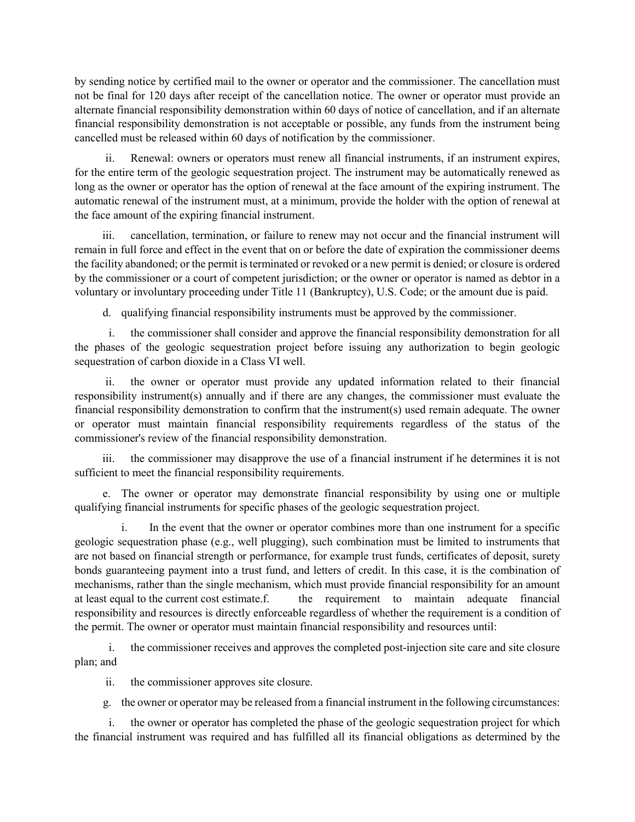by sending notice by certified mail to the owner or operator and the commissioner. The cancellation must not be final for 120 days after receipt of the cancellation notice. The owner or operator must provide an alternate financial responsibility demonstration within 60 days of notice of cancellation, and if an alternate financial responsibility demonstration is not acceptable or possible, any funds from the instrument being cancelled must be released within 60 days of notification by the commissioner.

ii. Renewal: owners or operators must renew all financial instruments, if an instrument expires, for the entire term of the geologic sequestration project. The instrument may be automatically renewed as long as the owner or operator has the option of renewal at the face amount of the expiring instrument. The automatic renewal of the instrument must, at a minimum, provide the holder with the option of renewal at the face amount of the expiring financial instrument.

cancellation, termination, or failure to renew may not occur and the financial instrument will remain in full force and effect in the event that on or before the date of expiration the commissioner deems the facility abandoned; or the permit is terminated or revoked or a new permit is denied; or closure is ordered by the commissioner or a court of competent jurisdiction; or the owner or operator is named as debtor in a voluntary or involuntary proceeding under Title 11 (Bankruptcy), U.S. Code; or the amount due is paid.

d. qualifying financial responsibility instruments must be approved by the commissioner.

i. the commissioner shall consider and approve the financial responsibility demonstration for all the phases of the geologic sequestration project before issuing any authorization to begin geologic sequestration of carbon dioxide in a Class VI well.

ii. the owner or operator must provide any updated information related to their financial responsibility instrument(s) annually and if there are any changes, the commissioner must evaluate the financial responsibility demonstration to confirm that the instrument(s) used remain adequate. The owner or operator must maintain financial responsibility requirements regardless of the status of the commissioner's review of the financial responsibility demonstration.

iii. the commissioner may disapprove the use of a financial instrument if he determines it is not sufficient to meet the financial responsibility requirements.

e. The owner or operator may demonstrate financial responsibility by using one or multiple qualifying financial instruments for specific phases of the geologic sequestration project.

i. In the event that the owner or operator combines more than one instrument for a specific geologic sequestration phase (e.g., well plugging), such combination must be limited to instruments that are not based on financial strength or performance, for example trust funds, certificates of deposit, surety bonds guaranteeing payment into a trust fund, and letters of credit. In this case, it is the combination of mechanisms, rather than the single mechanism, which must provide financial responsibility for an amount at least equal to the current cost estimate.f. the requirement to maintain adequate financial responsibility and resources is directly enforceable regardless of whether the requirement is a condition of the permit. The owner or operator must maintain financial responsibility and resources until:

i. the commissioner receives and approves the completed post-injection site care and site closure plan; and

ii. the commissioner approves site closure.

g. the owner or operator may be released from a financial instrument in the following circumstances:

i. the owner or operator has completed the phase of the geologic sequestration project for which the financial instrument was required and has fulfilled all its financial obligations as determined by the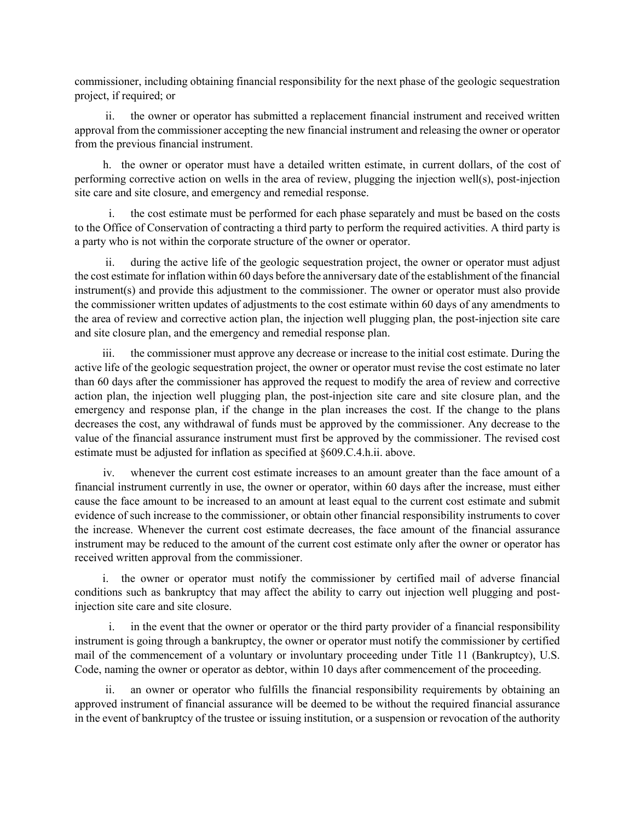commissioner, including obtaining financial responsibility for the next phase of the geologic sequestration project, if required; or

ii. the owner or operator has submitted a replacement financial instrument and received written approval from the commissioner accepting the new financial instrument and releasing the owner or operator from the previous financial instrument.

h. the owner or operator must have a detailed written estimate, in current dollars, of the cost of performing corrective action on wells in the area of review, plugging the injection well(s), post-injection site care and site closure, and emergency and remedial response.

i. the cost estimate must be performed for each phase separately and must be based on the costs to the Office of Conservation of contracting a third party to perform the required activities. A third party is a party who is not within the corporate structure of the owner or operator.

ii. during the active life of the geologic sequestration project, the owner or operator must adjust the cost estimate for inflation within 60 days before the anniversary date of the establishment of the financial instrument(s) and provide this adjustment to the commissioner. The owner or operator must also provide the commissioner written updates of adjustments to the cost estimate within 60 days of any amendments to the area of review and corrective action plan, the injection well plugging plan, the post-injection site care and site closure plan, and the emergency and remedial response plan.

iii. the commissioner must approve any decrease or increase to the initial cost estimate. During the active life of the geologic sequestration project, the owner or operator must revise the cost estimate no later than 60 days after the commissioner has approved the request to modify the area of review and corrective action plan, the injection well plugging plan, the post-injection site care and site closure plan, and the emergency and response plan, if the change in the plan increases the cost. If the change to the plans decreases the cost, any withdrawal of funds must be approved by the commissioner. Any decrease to the value of the financial assurance instrument must first be approved by the commissioner. The revised cost estimate must be adjusted for inflation as specified at §609.C.4.h.ii. above.

iv. whenever the current cost estimate increases to an amount greater than the face amount of a financial instrument currently in use, the owner or operator, within 60 days after the increase, must either cause the face amount to be increased to an amount at least equal to the current cost estimate and submit evidence of such increase to the commissioner, or obtain other financial responsibility instruments to cover the increase. Whenever the current cost estimate decreases, the face amount of the financial assurance instrument may be reduced to the amount of the current cost estimate only after the owner or operator has received written approval from the commissioner.

i. the owner or operator must notify the commissioner by certified mail of adverse financial conditions such as bankruptcy that may affect the ability to carry out injection well plugging and postinjection site care and site closure.

i. in the event that the owner or operator or the third party provider of a financial responsibility instrument is going through a bankruptcy, the owner or operator must notify the commissioner by certified mail of the commencement of a voluntary or involuntary proceeding under Title 11 (Bankruptcy), U.S. Code, naming the owner or operator as debtor, within 10 days after commencement of the proceeding.

ii. an owner or operator who fulfills the financial responsibility requirements by obtaining an approved instrument of financial assurance will be deemed to be without the required financial assurance in the event of bankruptcy of the trustee or issuing institution, or a suspension or revocation of the authority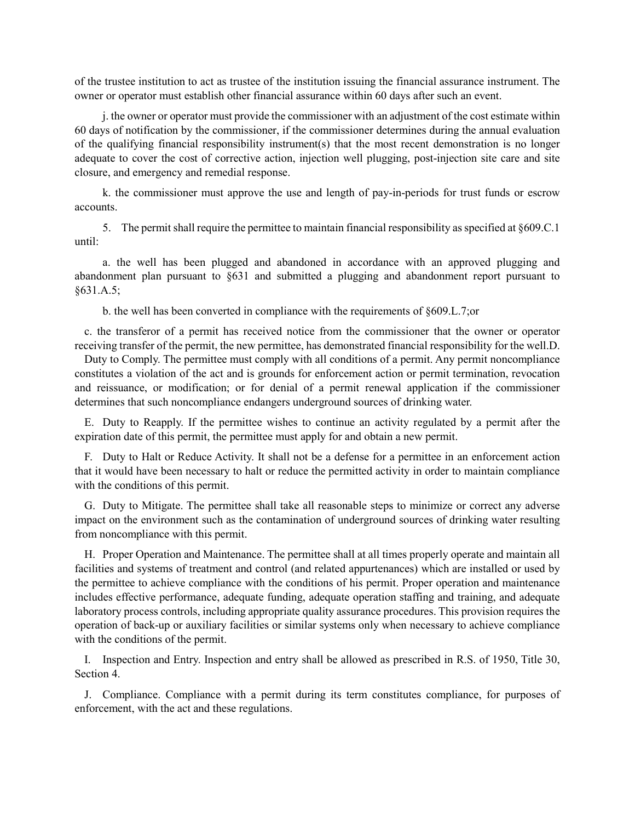of the trustee institution to act as trustee of the institution issuing the financial assurance instrument. The owner or operator must establish other financial assurance within 60 days after such an event.

j. the owner or operator must provide the commissioner with an adjustment of the cost estimate within 60 days of notification by the commissioner, if the commissioner determines during the annual evaluation of the qualifying financial responsibility instrument(s) that the most recent demonstration is no longer adequate to cover the cost of corrective action, injection well plugging, post-injection site care and site closure, and emergency and remedial response.

k. the commissioner must approve the use and length of pay-in-periods for trust funds or escrow accounts.

5. The permit shall require the permittee to maintain financial responsibility as specified at §609.C.1 until:

a. the well has been plugged and abandoned in accordance with an approved plugging and abandonment plan pursuant to §631 and submitted a plugging and abandonment report pursuant to §631.A.5;

b. the well has been converted in compliance with the requirements of §609.L.7;or

c. the transferor of a permit has received notice from the commissioner that the owner or operator receiving transfer of the permit, the new permittee, has demonstrated financial responsibility for the well.D.

Duty to Comply. The permittee must comply with all conditions of a permit. Any permit noncompliance constitutes a violation of the act and is grounds for enforcement action or permit termination, revocation and reissuance, or modification; or for denial of a permit renewal application if the commissioner determines that such noncompliance endangers underground sources of drinking water.

E. Duty to Reapply. If the permittee wishes to continue an activity regulated by a permit after the expiration date of this permit, the permittee must apply for and obtain a new permit.

F. Duty to Halt or Reduce Activity. It shall not be a defense for a permittee in an enforcement action that it would have been necessary to halt or reduce the permitted activity in order to maintain compliance with the conditions of this permit.

G. Duty to Mitigate. The permittee shall take all reasonable steps to minimize or correct any adverse impact on the environment such as the contamination of underground sources of drinking water resulting from noncompliance with this permit.

H. Proper Operation and Maintenance. The permittee shall at all times properly operate and maintain all facilities and systems of treatment and control (and related appurtenances) which are installed or used by the permittee to achieve compliance with the conditions of his permit. Proper operation and maintenance includes effective performance, adequate funding, adequate operation staffing and training, and adequate laboratory process controls, including appropriate quality assurance procedures. This provision requires the operation of back-up or auxiliary facilities or similar systems only when necessary to achieve compliance with the conditions of the permit.

I. Inspection and Entry. Inspection and entry shall be allowed as prescribed in R.S. of 1950, Title 30, Section 4.

J. Compliance. Compliance with a permit during its term constitutes compliance, for purposes of enforcement, with the act and these regulations.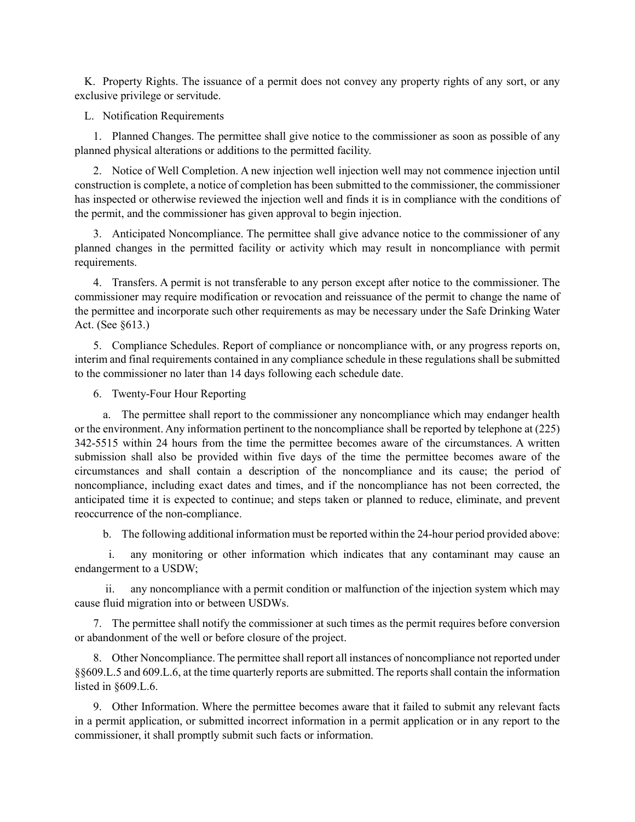K. Property Rights. The issuance of a permit does not convey any property rights of any sort, or any exclusive privilege or servitude.

L. Notification Requirements

1. Planned Changes. The permittee shall give notice to the commissioner as soon as possible of any planned physical alterations or additions to the permitted facility.

2. Notice of Well Completion. A new injection well injection well may not commence injection until construction is complete, a notice of completion has been submitted to the commissioner, the commissioner has inspected or otherwise reviewed the injection well and finds it is in compliance with the conditions of the permit, and the commissioner has given approval to begin injection.

3. Anticipated Noncompliance. The permittee shall give advance notice to the commissioner of any planned changes in the permitted facility or activity which may result in noncompliance with permit requirements.

4. Transfers. A permit is not transferable to any person except after notice to the commissioner. The commissioner may require modification or revocation and reissuance of the permit to change the name of the permittee and incorporate such other requirements as may be necessary under the Safe Drinking Water Act. (See §613.)

5. Compliance Schedules. Report of compliance or noncompliance with, or any progress reports on, interim and final requirements contained in any compliance schedule in these regulations shall be submitted to the commissioner no later than 14 days following each schedule date.

6. Twenty-Four Hour Reporting

a. The permittee shall report to the commissioner any noncompliance which may endanger health or the environment. Any information pertinent to the noncompliance shall be reported by telephone at (225) 342-5515 within 24 hours from the time the permittee becomes aware of the circumstances. A written submission shall also be provided within five days of the time the permittee becomes aware of the circumstances and shall contain a description of the noncompliance and its cause; the period of noncompliance, including exact dates and times, and if the noncompliance has not been corrected, the anticipated time it is expected to continue; and steps taken or planned to reduce, eliminate, and prevent reoccurrence of the non-compliance.

b. The following additional information must be reported within the 24-hour period provided above:

i. any monitoring or other information which indicates that any contaminant may cause an endangerment to a USDW;

ii. any noncompliance with a permit condition or malfunction of the injection system which may cause fluid migration into or between USDWs.

7. The permittee shall notify the commissioner at such times as the permit requires before conversion or abandonment of the well or before closure of the project.

8. Other Noncompliance. The permittee shall report all instances of noncompliance not reported under §§609.L.5 and 609.L.6, at the time quarterly reports are submitted. The reports shall contain the information listed in §609.L.6.

9. Other Information. Where the permittee becomes aware that it failed to submit any relevant facts in a permit application, or submitted incorrect information in a permit application or in any report to the commissioner, it shall promptly submit such facts or information.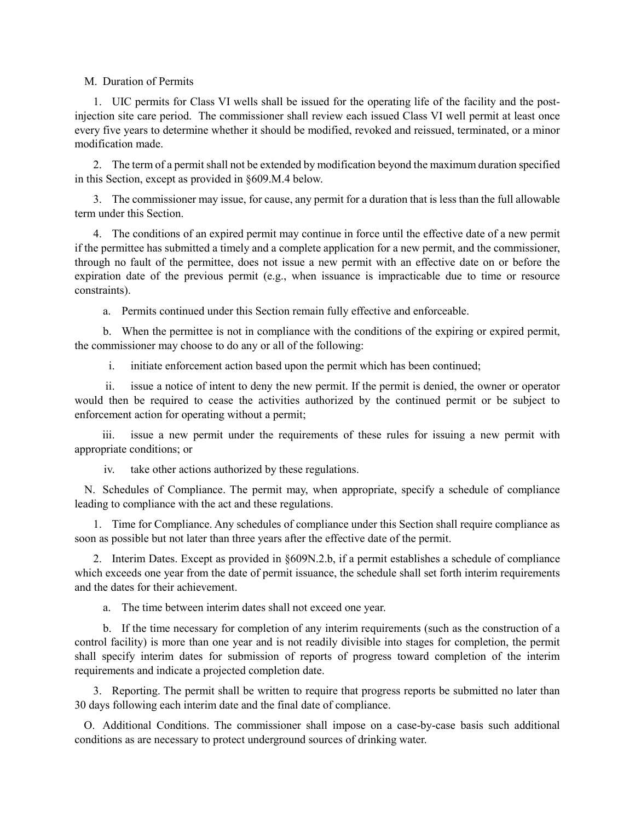### M. Duration of Permits

1. UIC permits for Class VI wells shall be issued for the operating life of the facility and the postinjection site care period. The commissioner shall review each issued Class VI well permit at least once every five years to determine whether it should be modified, revoked and reissued, terminated, or a minor modification made.

2. The term of a permit shall not be extended by modification beyond the maximum duration specified in this Section, except as provided in §609.M.4 below.

3. The commissioner may issue, for cause, any permit for a duration that is less than the full allowable term under this Section.

4. The conditions of an expired permit may continue in force until the effective date of a new permit if the permittee has submitted a timely and a complete application for a new permit, and the commissioner, through no fault of the permittee, does not issue a new permit with an effective date on or before the expiration date of the previous permit (e.g., when issuance is impracticable due to time or resource constraints).

a. Permits continued under this Section remain fully effective and enforceable.

b. When the permittee is not in compliance with the conditions of the expiring or expired permit, the commissioner may choose to do any or all of the following:

i. initiate enforcement action based upon the permit which has been continued;

ii. issue a notice of intent to deny the new permit. If the permit is denied, the owner or operator would then be required to cease the activities authorized by the continued permit or be subject to enforcement action for operating without a permit;

iii. issue a new permit under the requirements of these rules for issuing a new permit with appropriate conditions; or

iv. take other actions authorized by these regulations.

N. Schedules of Compliance. The permit may, when appropriate, specify a schedule of compliance leading to compliance with the act and these regulations.

1. Time for Compliance. Any schedules of compliance under this Section shall require compliance as soon as possible but not later than three years after the effective date of the permit.

2. Interim Dates. Except as provided in §609N.2.b, if a permit establishes a schedule of compliance which exceeds one year from the date of permit issuance, the schedule shall set forth interim requirements and the dates for their achievement.

a. The time between interim dates shall not exceed one year.

b. If the time necessary for completion of any interim requirements (such as the construction of a control facility) is more than one year and is not readily divisible into stages for completion, the permit shall specify interim dates for submission of reports of progress toward completion of the interim requirements and indicate a projected completion date.

3. Reporting. The permit shall be written to require that progress reports be submitted no later than 30 days following each interim date and the final date of compliance.

O. Additional Conditions. The commissioner shall impose on a case-by-case basis such additional conditions as are necessary to protect underground sources of drinking water.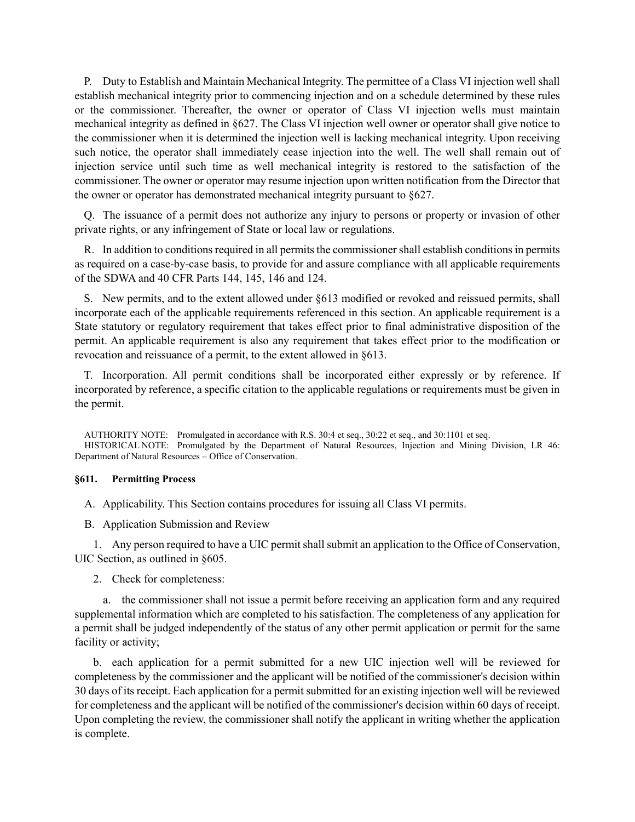P. Duty to Establish and Maintain Mechanical Integrity. The permittee of a Class VI injection well shall establish mechanical integrity prior to commencing injection and on a schedule determined by these rules or the commissioner. Thereafter, the owner or operator of Class VI injection wells must maintain mechanical integrity as defined in §627. The Class VI injection well owner or operator shall give notice to the commissioner when it is determined the injection well is lacking mechanical integrity. Upon receiving such notice, the operator shall immediately cease injection into the well. The well shall remain out of injection service until such time as well mechanical integrity is restored to the satisfaction of the commissioner. The owner or operator may resume injection upon written notification from the Director that the owner or operator has demonstrated mechanical integrity pursuant to §627.

Q. The issuance of a permit does not authorize any injury to persons or property or invasion of other private rights, or any infringement of State or local law or regulations.

R. In addition to conditions required in all permits the commissioner shall establish conditions in permits as required on a case-by-case basis, to provide for and assure compliance with all applicable requirements of the SDWA and 40 CFR Parts 144, 145, 146 and 124.

S. New permits, and to the extent allowed under §613 modified or revoked and reissued permits, shall incorporate each of the applicable requirements referenced in this section. An applicable requirement is a State statutory or regulatory requirement that takes effect prior to final administrative disposition of the permit. An applicable requirement is also any requirement that takes effect prior to the modification or revocation and reissuance of a permit, to the extent allowed in §613.

T. Incorporation. All permit conditions shall be incorporated either expressly or by reference. If incorporated by reference, a specific citation to the applicable regulations or requirements must be given in the permit.

AUTHORITY NOTE: Promulgated in accordance with R.S. 30:4 et seq., 30:22 et seq., and 30:1101 et seq. HISTORICAL NOTE: Promulgated by the Department of Natural Resources, Injection and Mining Division, LR 46: Department of Natural Resources – Office of Conservation.

### **§611. Permitting Process**

A. Applicability. This Section contains procedures for issuing all Class VI permits.

B. Application Submission and Review

1. Any person required to have a UIC permit shall submit an application to the Office of Conservation, UIC Section, as outlined in §605.

2. Check for completeness:

a. the commissioner shall not issue a permit before receiving an application form and any required supplemental information which are completed to his satisfaction. The completeness of any application for a permit shall be judged independently of the status of any other permit application or permit for the same facility or activity;

b. each application for a permit submitted for a new UIC injection well will be reviewed for completeness by the commissioner and the applicant will be notified of the commissioner's decision within 30 days of its receipt. Each application for a permit submitted for an existing injection well will be reviewed for completeness and the applicant will be notified of the commissioner's decision within 60 days of receipt. Upon completing the review, the commissioner shall notify the applicant in writing whether the application is complete.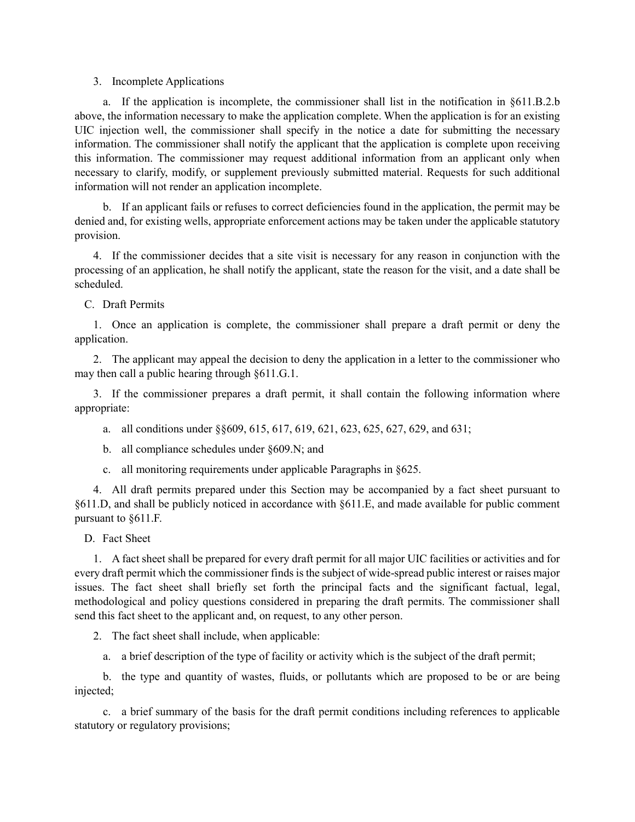### 3. Incomplete Applications

a. If the application is incomplete, the commissioner shall list in the notification in §611.B.2.b above, the information necessary to make the application complete. When the application is for an existing UIC injection well, the commissioner shall specify in the notice a date for submitting the necessary information. The commissioner shall notify the applicant that the application is complete upon receiving this information. The commissioner may request additional information from an applicant only when necessary to clarify, modify, or supplement previously submitted material. Requests for such additional information will not render an application incomplete.

b. If an applicant fails or refuses to correct deficiencies found in the application, the permit may be denied and, for existing wells, appropriate enforcement actions may be taken under the applicable statutory provision.

4. If the commissioner decides that a site visit is necessary for any reason in conjunction with the processing of an application, he shall notify the applicant, state the reason for the visit, and a date shall be scheduled.

C. Draft Permits

1. Once an application is complete, the commissioner shall prepare a draft permit or deny the application.

2. The applicant may appeal the decision to deny the application in a letter to the commissioner who may then call a public hearing through §611.G.1.

3. If the commissioner prepares a draft permit, it shall contain the following information where appropriate:

- a. all conditions under §§609, 615, 617, 619, 621, 623, 625, 627, 629, and 631;
- b. all compliance schedules under §609.N; and
- c. all monitoring requirements under applicable Paragraphs in §625.

4. All draft permits prepared under this Section may be accompanied by a fact sheet pursuant to §611.D, and shall be publicly noticed in accordance with §611.E, and made available for public comment pursuant to §611.F.

D. Fact Sheet

1. A fact sheet shall be prepared for every draft permit for all major UIC facilities or activities and for every draft permit which the commissioner finds is the subject of wide-spread public interest or raises major issues. The fact sheet shall briefly set forth the principal facts and the significant factual, legal, methodological and policy questions considered in preparing the draft permits. The commissioner shall send this fact sheet to the applicant and, on request, to any other person.

2. The fact sheet shall include, when applicable:

a. a brief description of the type of facility or activity which is the subject of the draft permit;

b. the type and quantity of wastes, fluids, or pollutants which are proposed to be or are being injected;

c. a brief summary of the basis for the draft permit conditions including references to applicable statutory or regulatory provisions;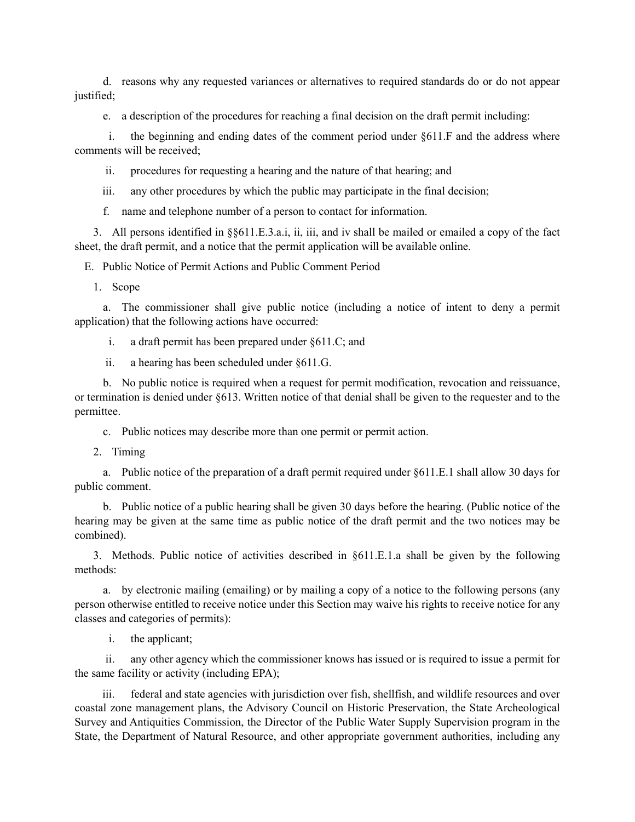d. reasons why any requested variances or alternatives to required standards do or do not appear justified;

e. a description of the procedures for reaching a final decision on the draft permit including:

i. the beginning and ending dates of the comment period under §611.F and the address where comments will be received;

ii. procedures for requesting a hearing and the nature of that hearing; and

iii. any other procedures by which the public may participate in the final decision;

f. name and telephone number of a person to contact for information.

3. All persons identified in §§611.E.3.a.i, ii, iii, and iv shall be mailed or emailed a copy of the fact sheet, the draft permit, and a notice that the permit application will be available online.

E. Public Notice of Permit Actions and Public Comment Period

1. Scope

a. The commissioner shall give public notice (including a notice of intent to deny a permit application) that the following actions have occurred:

i. a draft permit has been prepared under §611.C; and

ii. a hearing has been scheduled under §611.G.

b. No public notice is required when a request for permit modification, revocation and reissuance, or termination is denied under §613. Written notice of that denial shall be given to the requester and to the permittee.

c. Public notices may describe more than one permit or permit action.

2. Timing

a. Public notice of the preparation of a draft permit required under §611.E.1 shall allow 30 days for public comment.

b. Public notice of a public hearing shall be given 30 days before the hearing. (Public notice of the hearing may be given at the same time as public notice of the draft permit and the two notices may be combined).

3. Methods. Public notice of activities described in §611.E.1.a shall be given by the following methods:

a. by electronic mailing (emailing) or by mailing a copy of a notice to the following persons (any person otherwise entitled to receive notice under this Section may waive his rights to receive notice for any classes and categories of permits):

i. the applicant;

ii. any other agency which the commissioner knows has issued or is required to issue a permit for the same facility or activity (including EPA);

iii. federal and state agencies with jurisdiction over fish, shellfish, and wildlife resources and over coastal zone management plans, the Advisory Council on Historic Preservation, the State Archeological Survey and Antiquities Commission, the Director of the Public Water Supply Supervision program in the State, the Department of Natural Resource, and other appropriate government authorities, including any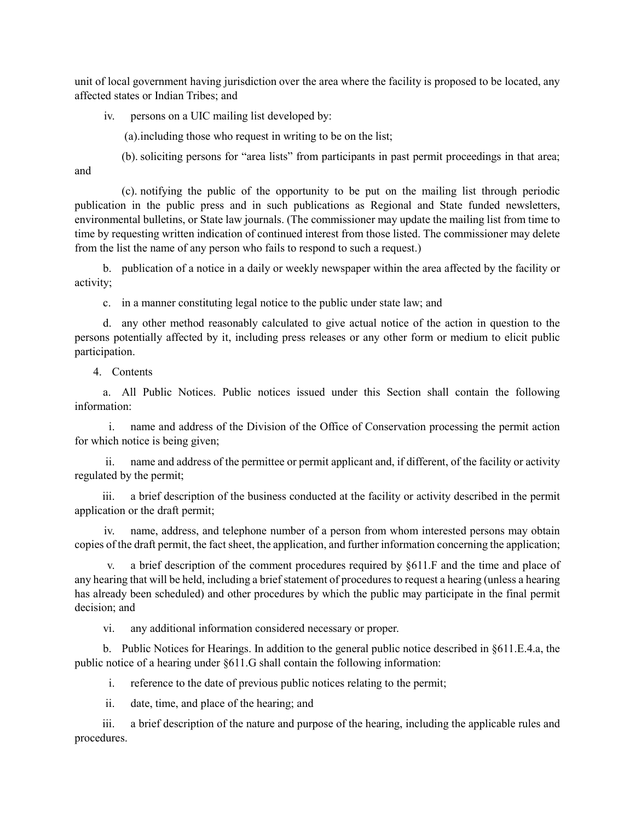unit of local government having jurisdiction over the area where the facility is proposed to be located, any affected states or Indian Tribes; and

iv. persons on a UIC mailing list developed by:

(a).including those who request in writing to be on the list;

(b). soliciting persons for "area lists" from participants in past permit proceedings in that area;

and

(c). notifying the public of the opportunity to be put on the mailing list through periodic publication in the public press and in such publications as Regional and State funded newsletters, environmental bulletins, or State law journals. (The commissioner may update the mailing list from time to time by requesting written indication of continued interest from those listed. The commissioner may delete from the list the name of any person who fails to respond to such a request.)

b. publication of a notice in a daily or weekly newspaper within the area affected by the facility or activity;

c. in a manner constituting legal notice to the public under state law; and

d. any other method reasonably calculated to give actual notice of the action in question to the persons potentially affected by it, including press releases or any other form or medium to elicit public participation.

4. Contents

a. All Public Notices. Public notices issued under this Section shall contain the following information:

i. name and address of the Division of the Office of Conservation processing the permit action for which notice is being given;

ii. name and address of the permittee or permit applicant and, if different, of the facility or activity regulated by the permit;

iii. a brief description of the business conducted at the facility or activity described in the permit application or the draft permit;

iv. name, address, and telephone number of a person from whom interested persons may obtain copies of the draft permit, the fact sheet, the application, and further information concerning the application;

a brief description of the comment procedures required by §611.F and the time and place of any hearing that will be held, including a brief statement of procedures to request a hearing (unless a hearing has already been scheduled) and other procedures by which the public may participate in the final permit decision; and

vi. any additional information considered necessary or proper.

b. Public Notices for Hearings. In addition to the general public notice described in §611.E.4.a, the public notice of a hearing under §611.G shall contain the following information:

i. reference to the date of previous public notices relating to the permit;

ii. date, time, and place of the hearing; and

iii. a brief description of the nature and purpose of the hearing, including the applicable rules and procedures.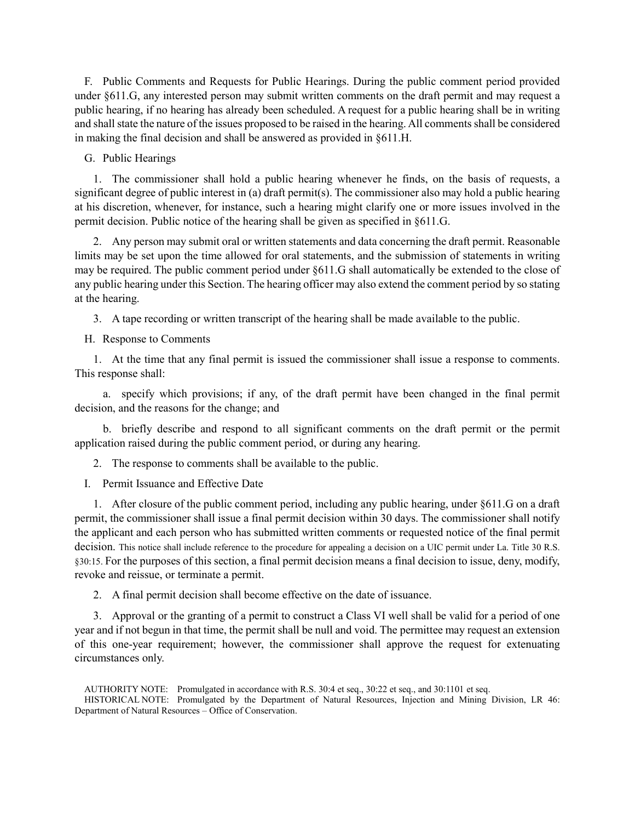F. Public Comments and Requests for Public Hearings. During the public comment period provided under §611.G, any interested person may submit written comments on the draft permit and may request a public hearing, if no hearing has already been scheduled. A request for a public hearing shall be in writing and shall state the nature of the issues proposed to be raised in the hearing. All comments shall be considered in making the final decision and shall be answered as provided in §611.H.

G. Public Hearings

1. The commissioner shall hold a public hearing whenever he finds, on the basis of requests, a significant degree of public interest in (a) draft permit(s). The commissioner also may hold a public hearing at his discretion, whenever, for instance, such a hearing might clarify one or more issues involved in the permit decision. Public notice of the hearing shall be given as specified in §611.G.

2. Any person may submit oral or written statements and data concerning the draft permit. Reasonable limits may be set upon the time allowed for oral statements, and the submission of statements in writing may be required. The public comment period under §611.G shall automatically be extended to the close of any public hearing under this Section. The hearing officer may also extend the comment period by so stating at the hearing.

3. A tape recording or written transcript of the hearing shall be made available to the public.

H. Response to Comments

1. At the time that any final permit is issued the commissioner shall issue a response to comments. This response shall:

a. specify which provisions; if any, of the draft permit have been changed in the final permit decision, and the reasons for the change; and

b. briefly describe and respond to all significant comments on the draft permit or the permit application raised during the public comment period, or during any hearing.

2. The response to comments shall be available to the public.

I. Permit Issuance and Effective Date

1. After closure of the public comment period, including any public hearing, under §611.G on a draft permit, the commissioner shall issue a final permit decision within 30 days. The commissioner shall notify the applicant and each person who has submitted written comments or requested notice of the final permit decision. This notice shall include reference to the procedure for appealing a decision on a UIC permit under La. Title 30 R.S. §30:15. For the purposes of this section, a final permit decision means a final decision to issue, deny, modify, revoke and reissue, or terminate a permit.

2. A final permit decision shall become effective on the date of issuance.

3. Approval or the granting of a permit to construct a Class VI well shall be valid for a period of one year and if not begun in that time, the permit shall be null and void. The permittee may request an extension of this one-year requirement; however, the commissioner shall approve the request for extenuating circumstances only.

AUTHORITY NOTE: Promulgated in accordance with R.S. 30:4 et seq., 30:22 et seq., and 30:1101 et seq. HISTORICAL NOTE: Promulgated by the Department of Natural Resources, Injection and Mining Division, LR 46: Department of Natural Resources – Office of Conservation.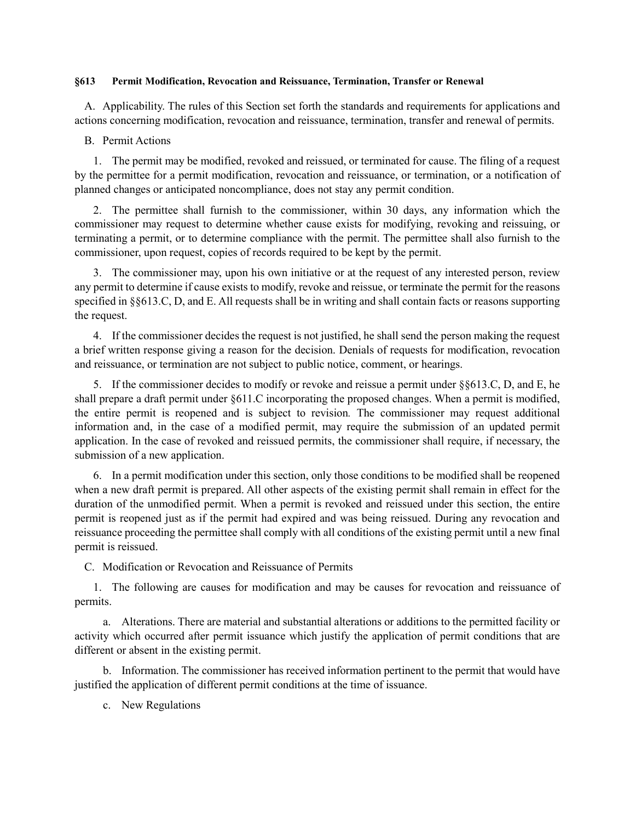### **§613 Permit Modification, Revocation and Reissuance, Termination, Transfer or Renewal**

A. Applicability. The rules of this Section set forth the standards and requirements for applications and actions concerning modification, revocation and reissuance, termination, transfer and renewal of permits.

B. Permit Actions

1. The permit may be modified, revoked and reissued, or terminated for cause. The filing of a request by the permittee for a permit modification, revocation and reissuance, or termination, or a notification of planned changes or anticipated noncompliance, does not stay any permit condition.

2. The permittee shall furnish to the commissioner, within 30 days, any information which the commissioner may request to determine whether cause exists for modifying, revoking and reissuing, or terminating a permit, or to determine compliance with the permit. The permittee shall also furnish to the commissioner, upon request, copies of records required to be kept by the permit.

3. The commissioner may, upon his own initiative or at the request of any interested person, review any permit to determine if cause exists to modify, revoke and reissue, or terminate the permit for the reasons specified in §§613.C, D, and E. All requests shall be in writing and shall contain facts or reasons supporting the request.

4. If the commissioner decides the request is not justified, he shall send the person making the request a brief written response giving a reason for the decision. Denials of requests for modification, revocation and reissuance, or termination are not subject to public notice, comment, or hearings.

5. If the commissioner decides to modify or revoke and reissue a permit under §§613.C, D, and E, he shall prepare a draft permit under §611.C incorporating the proposed changes. When a permit is modified, the entire permit is reopened and is subject to revision*.* The commissioner may request additional information and, in the case of a modified permit, may require the submission of an updated permit application. In the case of revoked and reissued permits, the commissioner shall require, if necessary, the submission of a new application.

6. In a permit modification under this section, only those conditions to be modified shall be reopened when a new draft permit is prepared. All other aspects of the existing permit shall remain in effect for the duration of the unmodified permit. When a permit is revoked and reissued under this section, the entire permit is reopened just as if the permit had expired and was being reissued. During any revocation and reissuance proceeding the permittee shall comply with all conditions of the existing permit until a new final permit is reissued.

C. Modification or Revocation and Reissuance of Permits

1. The following are causes for modification and may be causes for revocation and reissuance of permits.

a. Alterations. There are material and substantial alterations or additions to the permitted facility or activity which occurred after permit issuance which justify the application of permit conditions that are different or absent in the existing permit.

b. Information. The commissioner has received information pertinent to the permit that would have justified the application of different permit conditions at the time of issuance.

c. New Regulations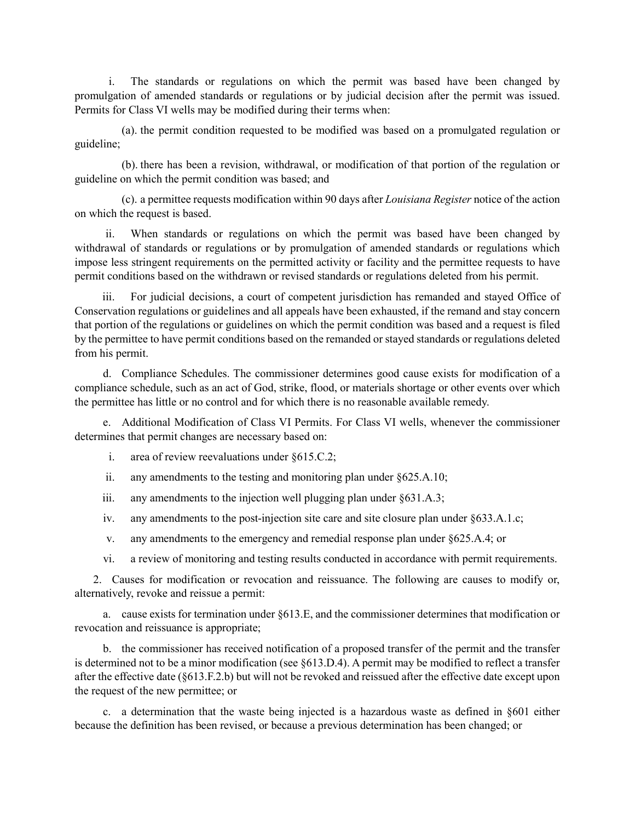i. The standards or regulations on which the permit was based have been changed by promulgation of amended standards or regulations or by judicial decision after the permit was issued. Permits for Class VI wells may be modified during their terms when:

(a). the permit condition requested to be modified was based on a promulgated regulation or guideline;

(b). there has been a revision, withdrawal, or modification of that portion of the regulation or guideline on which the permit condition was based; and

(c). a permittee requests modification within 90 days after *Louisiana Register* notice of the action on which the request is based.

ii. When standards or regulations on which the permit was based have been changed by withdrawal of standards or regulations or by promulgation of amended standards or regulations which impose less stringent requirements on the permitted activity or facility and the permittee requests to have permit conditions based on the withdrawn or revised standards or regulations deleted from his permit.

iii. For judicial decisions, a court of competent jurisdiction has remanded and stayed Office of Conservation regulations or guidelines and all appeals have been exhausted, if the remand and stay concern that portion of the regulations or guidelines on which the permit condition was based and a request is filed by the permittee to have permit conditions based on the remanded or stayed standards or regulations deleted from his permit.

d. Compliance Schedules. The commissioner determines good cause exists for modification of a compliance schedule, such as an act of God, strike, flood, or materials shortage or other events over which the permittee has little or no control and for which there is no reasonable available remedy.

e. Additional Modification of Class VI Permits. For Class VI wells, whenever the commissioner determines that permit changes are necessary based on:

- i. area of review reevaluations under §615.C.2;
- ii. any amendments to the testing and monitoring plan under §625.A.10;
- iii. any amendments to the injection well plugging plan under  $\S 631.A.3$ ;
- iv. any amendments to the post-injection site care and site closure plan under §633.A.1.c;
- v. any amendments to the emergency and remedial response plan under §625.A.4; or
- vi. a review of monitoring and testing results conducted in accordance with permit requirements.

2. Causes for modification or revocation and reissuance. The following are causes to modify or, alternatively, revoke and reissue a permit:

a. cause exists for termination under §613.E, and the commissioner determines that modification or revocation and reissuance is appropriate;

b. the commissioner has received notification of a proposed transfer of the permit and the transfer is determined not to be a minor modification (see §613.D.4). A permit may be modified to reflect a transfer after the effective date (§613.F.2.b) but will not be revoked and reissued after the effective date except upon the request of the new permittee; or

c. a determination that the waste being injected is a hazardous waste as defined in §601 either because the definition has been revised, or because a previous determination has been changed; or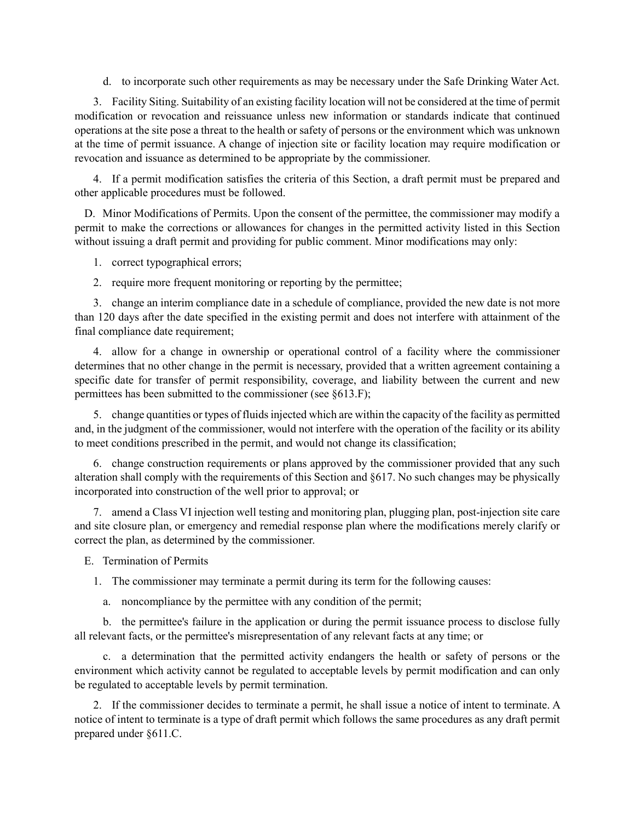d. to incorporate such other requirements as may be necessary under the Safe Drinking Water Act.

3. Facility Siting. Suitability of an existing facility location will not be considered at the time of permit modification or revocation and reissuance unless new information or standards indicate that continued operations at the site pose a threat to the health or safety of persons or the environment which was unknown at the time of permit issuance. A change of injection site or facility location may require modification or revocation and issuance as determined to be appropriate by the commissioner.

4. If a permit modification satisfies the criteria of this Section, a draft permit must be prepared and other applicable procedures must be followed.

D. Minor Modifications of Permits. Upon the consent of the permittee, the commissioner may modify a permit to make the corrections or allowances for changes in the permitted activity listed in this Section without issuing a draft permit and providing for public comment. Minor modifications may only:

1. correct typographical errors;

2. require more frequent monitoring or reporting by the permittee;

3. change an interim compliance date in a schedule of compliance, provided the new date is not more than 120 days after the date specified in the existing permit and does not interfere with attainment of the final compliance date requirement;

4. allow for a change in ownership or operational control of a facility where the commissioner determines that no other change in the permit is necessary, provided that a written agreement containing a specific date for transfer of permit responsibility, coverage, and liability between the current and new permittees has been submitted to the commissioner (see §613.F);

5. change quantities or types of fluids injected which are within the capacity of the facility as permitted and, in the judgment of the commissioner, would not interfere with the operation of the facility or its ability to meet conditions prescribed in the permit, and would not change its classification;

6. change construction requirements or plans approved by the commissioner provided that any such alteration shall comply with the requirements of this Section and §617. No such changes may be physically incorporated into construction of the well prior to approval; or

7. amend a Class VI injection well testing and monitoring plan, plugging plan, post-injection site care and site closure plan, or emergency and remedial response plan where the modifications merely clarify or correct the plan, as determined by the commissioner.

E. Termination of Permits

1. The commissioner may terminate a permit during its term for the following causes:

a. noncompliance by the permittee with any condition of the permit;

b. the permittee's failure in the application or during the permit issuance process to disclose fully all relevant facts, or the permittee's misrepresentation of any relevant facts at any time; or

c. a determination that the permitted activity endangers the health or safety of persons or the environment which activity cannot be regulated to acceptable levels by permit modification and can only be regulated to acceptable levels by permit termination.

2. If the commissioner decides to terminate a permit, he shall issue a notice of intent to terminate. A notice of intent to terminate is a type of draft permit which follows the same procedures as any draft permit prepared under §611.C.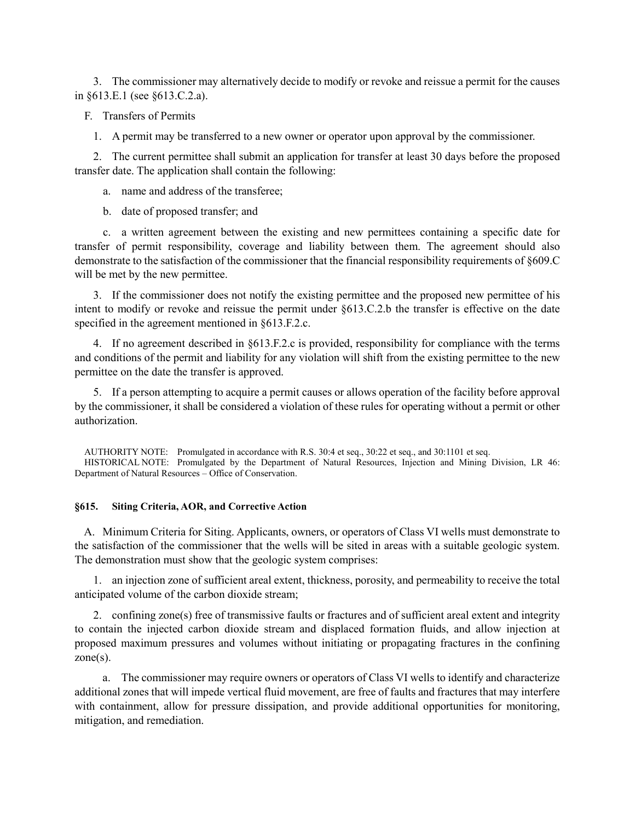3. The commissioner may alternatively decide to modify or revoke and reissue a permit for the causes in §613.E.1 (see §613.C.2.a).

F. Transfers of Permits

1. A permit may be transferred to a new owner or operator upon approval by the commissioner.

2. The current permittee shall submit an application for transfer at least 30 days before the proposed transfer date. The application shall contain the following:

a. name and address of the transferee;

b. date of proposed transfer; and

c. a written agreement between the existing and new permittees containing a specific date for transfer of permit responsibility, coverage and liability between them. The agreement should also demonstrate to the satisfaction of the commissioner that the financial responsibility requirements of §609.C will be met by the new permittee.

3. If the commissioner does not notify the existing permittee and the proposed new permittee of his intent to modify or revoke and reissue the permit under §613.C.2.b the transfer is effective on the date specified in the agreement mentioned in §613.F.2.c.

4. If no agreement described in §613.F.2.c is provided, responsibility for compliance with the terms and conditions of the permit and liability for any violation will shift from the existing permittee to the new permittee on the date the transfer is approved.

5. If a person attempting to acquire a permit causes or allows operation of the facility before approval by the commissioner, it shall be considered a violation of these rules for operating without a permit or other authorization.

AUTHORITY NOTE: Promulgated in accordance with R.S. 30:4 et seq., 30:22 et seq., and 30:1101 et seq. HISTORICAL NOTE: Promulgated by the Department of Natural Resources, Injection and Mining Division, LR 46: Department of Natural Resources – Office of Conservation.

### **§615. Siting Criteria, AOR, and Corrective Action**

A. Minimum Criteria for Siting. Applicants, owners, or operators of Class VI wells must demonstrate to the satisfaction of the commissioner that the wells will be sited in areas with a suitable geologic system. The demonstration must show that the geologic system comprises:

1. an injection zone of sufficient areal extent, thickness, porosity, and permeability to receive the total anticipated volume of the carbon dioxide stream;

2. confining zone(s) free of transmissive faults or fractures and of sufficient areal extent and integrity to contain the injected carbon dioxide stream and displaced formation fluids, and allow injection at proposed maximum pressures and volumes without initiating or propagating fractures in the confining  $zone(s)$ .

a. The commissioner may require owners or operators of Class VI wells to identify and characterize additional zones that will impede vertical fluid movement, are free of faults and fractures that may interfere with containment, allow for pressure dissipation, and provide additional opportunities for monitoring, mitigation, and remediation.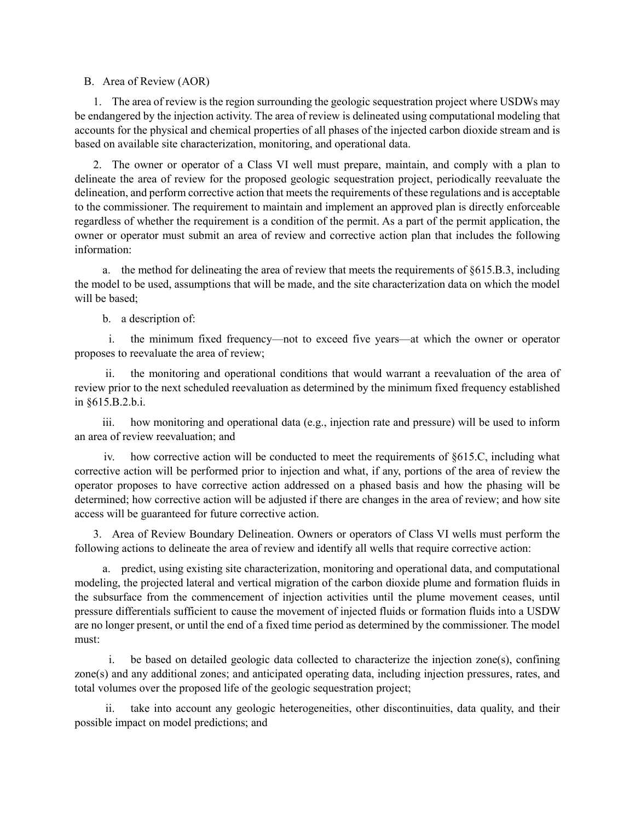B. Area of Review (AOR)

1. The area of review is the region surrounding the geologic sequestration project where USDWs may be endangered by the injection activity. The area of review is delineated using computational modeling that accounts for the physical and chemical properties of all phases of the injected carbon dioxide stream and is based on available site characterization, monitoring, and operational data.

2. The owner or operator of a Class VI well must prepare, maintain, and comply with a plan to delineate the area of review for the proposed geologic sequestration project, periodically reevaluate the delineation, and perform corrective action that meets the requirements of these regulations and is acceptable to the commissioner. The requirement to maintain and implement an approved plan is directly enforceable regardless of whether the requirement is a condition of the permit. As a part of the permit application, the owner or operator must submit an area of review and corrective action plan that includes the following information:

a. the method for delineating the area of review that meets the requirements of §615.B.3, including the model to be used, assumptions that will be made, and the site characterization data on which the model will be based;

b. a description of:

i. the minimum fixed frequency—not to exceed five years—at which the owner or operator proposes to reevaluate the area of review;

ii. the monitoring and operational conditions that would warrant a reevaluation of the area of review prior to the next scheduled reevaluation as determined by the minimum fixed frequency established in §615.B.2.b.i.

iii. how monitoring and operational data (e.g., injection rate and pressure) will be used to inform an area of review reevaluation; and

iv. how corrective action will be conducted to meet the requirements of §615.C, including what corrective action will be performed prior to injection and what, if any, portions of the area of review the operator proposes to have corrective action addressed on a phased basis and how the phasing will be determined; how corrective action will be adjusted if there are changes in the area of review; and how site access will be guaranteed for future corrective action.

3. Area of Review Boundary Delineation. Owners or operators of Class VI wells must perform the following actions to delineate the area of review and identify all wells that require corrective action:

a. predict, using existing site characterization, monitoring and operational data, and computational modeling, the projected lateral and vertical migration of the carbon dioxide plume and formation fluids in the subsurface from the commencement of injection activities until the plume movement ceases, until pressure differentials sufficient to cause the movement of injected fluids or formation fluids into a USDW are no longer present, or until the end of a fixed time period as determined by the commissioner. The model must:

i. be based on detailed geologic data collected to characterize the injection zone(s), confining zone(s) and any additional zones; and anticipated operating data, including injection pressures, rates, and total volumes over the proposed life of the geologic sequestration project;

ii. take into account any geologic heterogeneities, other discontinuities, data quality, and their possible impact on model predictions; and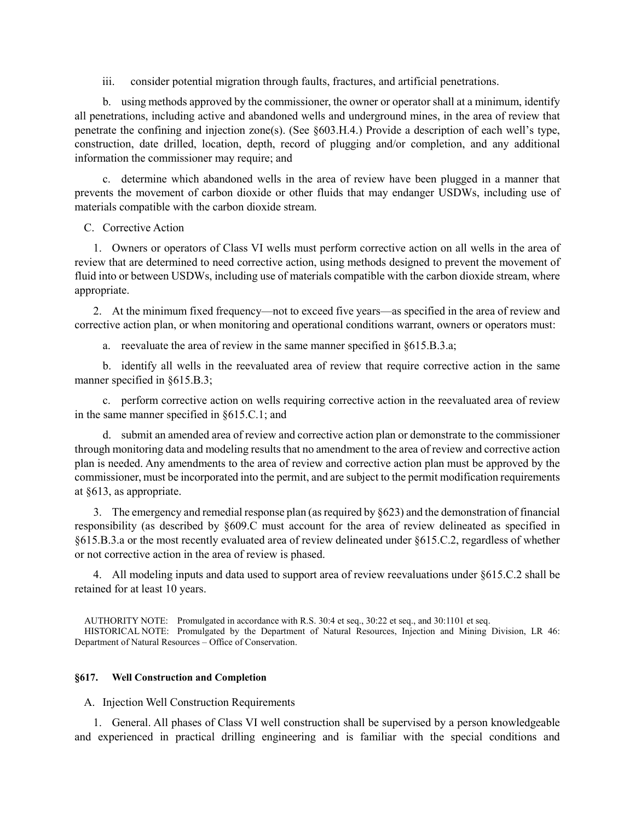iii. consider potential migration through faults, fractures, and artificial penetrations.

b. using methods approved by the commissioner, the owner or operator shall at a minimum, identify all penetrations, including active and abandoned wells and underground mines, in the area of review that penetrate the confining and injection zone(s). (See §603.H.4.) Provide a description of each well's type, construction, date drilled, location, depth, record of plugging and/or completion, and any additional information the commissioner may require; and

c. determine which abandoned wells in the area of review have been plugged in a manner that prevents the movement of carbon dioxide or other fluids that may endanger USDWs, including use of materials compatible with the carbon dioxide stream.

C. Corrective Action

1. Owners or operators of Class VI wells must perform corrective action on all wells in the area of review that are determined to need corrective action, using methods designed to prevent the movement of fluid into or between USDWs, including use of materials compatible with the carbon dioxide stream, where appropriate.

2. At the minimum fixed frequency—not to exceed five years—as specified in the area of review and corrective action plan, or when monitoring and operational conditions warrant, owners or operators must:

a. reevaluate the area of review in the same manner specified in §615.B.3.a;

b. identify all wells in the reevaluated area of review that require corrective action in the same manner specified in §615.B.3;

c. perform corrective action on wells requiring corrective action in the reevaluated area of review in the same manner specified in §615.C.1; and

d. submit an amended area of review and corrective action plan or demonstrate to the commissioner through monitoring data and modeling results that no amendment to the area of review and corrective action plan is needed. Any amendments to the area of review and corrective action plan must be approved by the commissioner, must be incorporated into the permit, and are subject to the permit modification requirements at §613, as appropriate.

3. The emergency and remedial response plan (as required by §623) and the demonstration of financial responsibility (as described by §609.C must account for the area of review delineated as specified in §615.B.3.a or the most recently evaluated area of review delineated under §615.C.2, regardless of whether or not corrective action in the area of review is phased.

4. All modeling inputs and data used to support area of review reevaluations under §615.C.2 shall be retained for at least 10 years.

AUTHORITY NOTE: Promulgated in accordance with R.S. 30:4 et seq., 30:22 et seq., and 30:1101 et seq. HISTORICAL NOTE: Promulgated by the Department of Natural Resources, Injection and Mining Division, LR 46: Department of Natural Resources – Office of Conservation.

### **§617. Well Construction and Completion**

# A. Injection Well Construction Requirements

1. General. All phases of Class VI well construction shall be supervised by a person knowledgeable and experienced in practical drilling engineering and is familiar with the special conditions and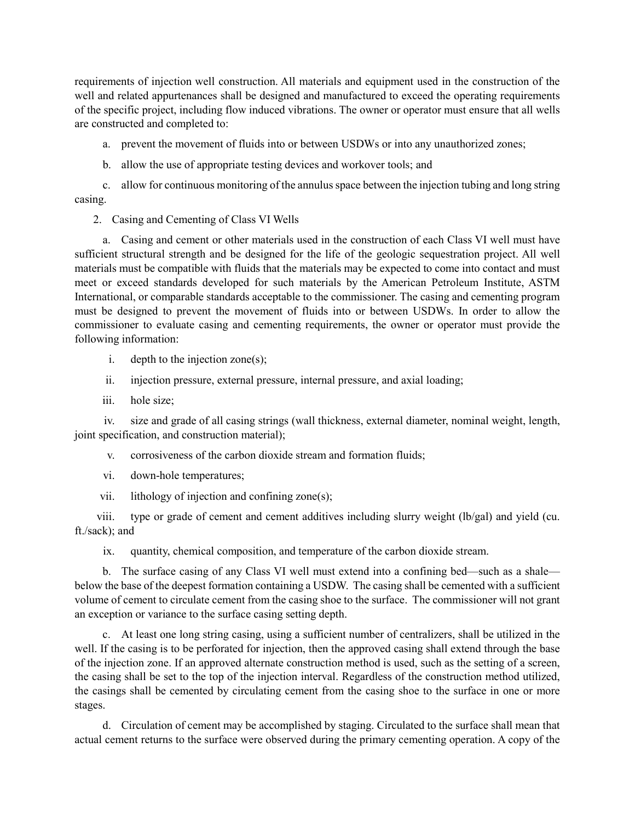requirements of injection well construction. All materials and equipment used in the construction of the well and related appurtenances shall be designed and manufactured to exceed the operating requirements of the specific project, including flow induced vibrations. The owner or operator must ensure that all wells are constructed and completed to:

a. prevent the movement of fluids into or between USDWs or into any unauthorized zones;

b. allow the use of appropriate testing devices and workover tools; and

c. allow for continuous monitoring of the annulus space between the injection tubing and long string casing.

2. Casing and Cementing of Class VI Wells

a. Casing and cement or other materials used in the construction of each Class VI well must have sufficient structural strength and be designed for the life of the geologic sequestration project. All well materials must be compatible with fluids that the materials may be expected to come into contact and must meet or exceed standards developed for such materials by the American Petroleum Institute, ASTM International, or comparable standards acceptable to the commissioner. The casing and cementing program must be designed to prevent the movement of fluids into or between USDWs. In order to allow the commissioner to evaluate casing and cementing requirements, the owner or operator must provide the following information:

- i. depth to the injection zone(s);
- ii. injection pressure, external pressure, internal pressure, and axial loading;
- iii. hole size;

iv. size and grade of all casing strings (wall thickness, external diameter, nominal weight, length, joint specification, and construction material);

- v. corrosiveness of the carbon dioxide stream and formation fluids;
- vi. down-hole temperatures;
- vii. lithology of injection and confining zone(s);

viii. type or grade of cement and cement additives including slurry weight (lb/gal) and yield (cu. ft./sack); and

ix. quantity, chemical composition, and temperature of the carbon dioxide stream.

b. The surface casing of any Class VI well must extend into a confining bed—such as a shale below the base of the deepest formation containing a USDW. The casing shall be cemented with a sufficient volume of cement to circulate cement from the casing shoe to the surface. The commissioner will not grant an exception or variance to the surface casing setting depth.

c. At least one long string casing, using a sufficient number of centralizers, shall be utilized in the well. If the casing is to be perforated for injection, then the approved casing shall extend through the base of the injection zone. If an approved alternate construction method is used, such as the setting of a screen, the casing shall be set to the top of the injection interval. Regardless of the construction method utilized, the casings shall be cemented by circulating cement from the casing shoe to the surface in one or more stages.

d. Circulation of cement may be accomplished by staging. Circulated to the surface shall mean that actual cement returns to the surface were observed during the primary cementing operation. A copy of the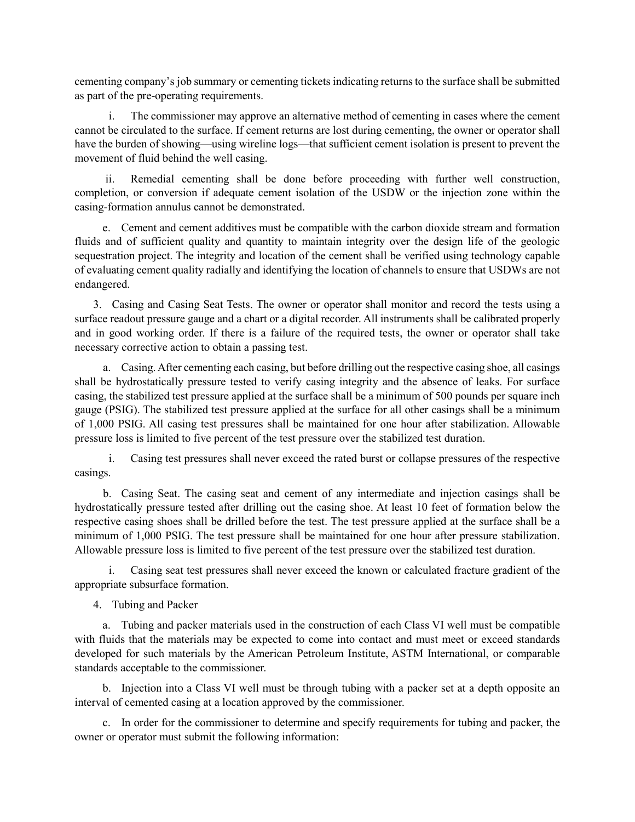cementing company's job summary or cementing tickets indicating returns to the surface shall be submitted as part of the pre-operating requirements.

i. The commissioner may approve an alternative method of cementing in cases where the cement cannot be circulated to the surface. If cement returns are lost during cementing, the owner or operator shall have the burden of showing—using wireline logs—that sufficient cement isolation is present to prevent the movement of fluid behind the well casing.

ii. Remedial cementing shall be done before proceeding with further well construction, completion, or conversion if adequate cement isolation of the USDW or the injection zone within the casing-formation annulus cannot be demonstrated.

e. Cement and cement additives must be compatible with the carbon dioxide stream and formation fluids and of sufficient quality and quantity to maintain integrity over the design life of the geologic sequestration project. The integrity and location of the cement shall be verified using technology capable of evaluating cement quality radially and identifying the location of channels to ensure that USDWs are not endangered.

3. Casing and Casing Seat Tests. The owner or operator shall monitor and record the tests using a surface readout pressure gauge and a chart or a digital recorder. All instruments shall be calibrated properly and in good working order. If there is a failure of the required tests, the owner or operator shall take necessary corrective action to obtain a passing test.

a. Casing. After cementing each casing, but before drilling out the respective casing shoe, all casings shall be hydrostatically pressure tested to verify casing integrity and the absence of leaks. For surface casing, the stabilized test pressure applied at the surface shall be a minimum of 500 pounds per square inch gauge (PSIG). The stabilized test pressure applied at the surface for all other casings shall be a minimum of 1,000 PSIG. All casing test pressures shall be maintained for one hour after stabilization. Allowable pressure loss is limited to five percent of the test pressure over the stabilized test duration.

i. Casing test pressures shall never exceed the rated burst or collapse pressures of the respective casings.

b. Casing Seat. The casing seat and cement of any intermediate and injection casings shall be hydrostatically pressure tested after drilling out the casing shoe. At least 10 feet of formation below the respective casing shoes shall be drilled before the test. The test pressure applied at the surface shall be a minimum of 1,000 PSIG. The test pressure shall be maintained for one hour after pressure stabilization. Allowable pressure loss is limited to five percent of the test pressure over the stabilized test duration.

i. Casing seat test pressures shall never exceed the known or calculated fracture gradient of the appropriate subsurface formation.

4. Tubing and Packer

a. Tubing and packer materials used in the construction of each Class VI well must be compatible with fluids that the materials may be expected to come into contact and must meet or exceed standards developed for such materials by the American Petroleum Institute, ASTM International, or comparable standards acceptable to the commissioner.

b. Injection into a Class VI well must be through tubing with a packer set at a depth opposite an interval of cemented casing at a location approved by the commissioner.

c. In order for the commissioner to determine and specify requirements for tubing and packer, the owner or operator must submit the following information: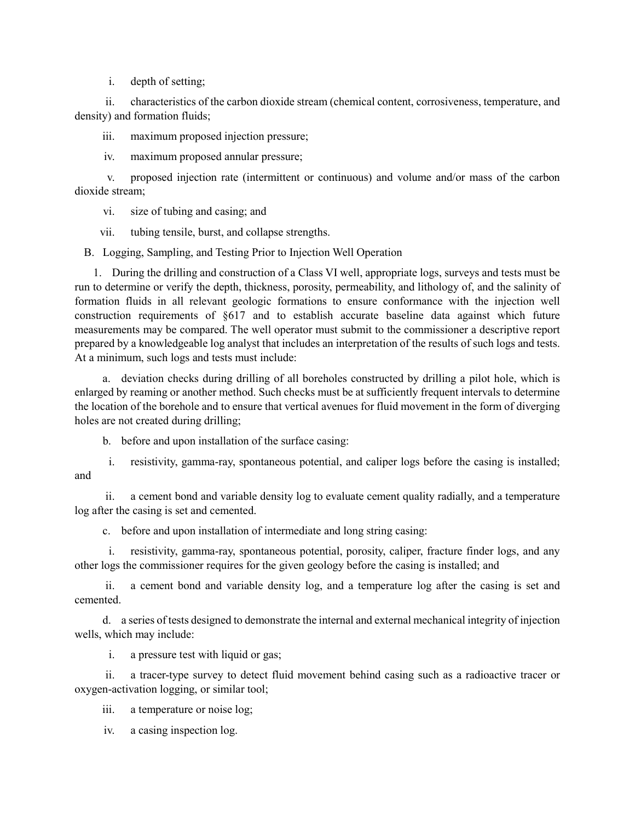i. depth of setting;

ii. characteristics of the carbon dioxide stream (chemical content, corrosiveness, temperature, and density) and formation fluids;

iii. maximum proposed injection pressure;

iv. maximum proposed annular pressure;

v. proposed injection rate (intermittent or continuous) and volume and/or mass of the carbon dioxide stream;

vi. size of tubing and casing; and

vii. tubing tensile, burst, and collapse strengths.

B. Logging, Sampling, and Testing Prior to Injection Well Operation

1. During the drilling and construction of a Class VI well, appropriate logs, surveys and tests must be run to determine or verify the depth, thickness, porosity, permeability, and lithology of, and the salinity of formation fluids in all relevant geologic formations to ensure conformance with the injection well construction requirements of §617 and to establish accurate baseline data against which future measurements may be compared. The well operator must submit to the commissioner a descriptive report prepared by a knowledgeable log analyst that includes an interpretation of the results of such logs and tests. At a minimum, such logs and tests must include:

a. deviation checks during drilling of all boreholes constructed by drilling a pilot hole, which is enlarged by reaming or another method. Such checks must be at sufficiently frequent intervals to determine the location of the borehole and to ensure that vertical avenues for fluid movement in the form of diverging holes are not created during drilling;

b. before and upon installation of the surface casing:

i. resistivity, gamma-ray, spontaneous potential, and caliper logs before the casing is installed; and

ii. a cement bond and variable density log to evaluate cement quality radially, and a temperature log after the casing is set and cemented.

c. before and upon installation of intermediate and long string casing:

i. resistivity, gamma-ray, spontaneous potential, porosity, caliper, fracture finder logs, and any other logs the commissioner requires for the given geology before the casing is installed; and

ii. a cement bond and variable density log, and a temperature log after the casing is set and cemented.

d. a series of tests designed to demonstrate the internal and external mechanical integrity of injection wells, which may include:

i. a pressure test with liquid or gas;

ii. a tracer-type survey to detect fluid movement behind casing such as a radioactive tracer or oxygen-activation logging, or similar tool;

iii. a temperature or noise log;

iv. a casing inspection log.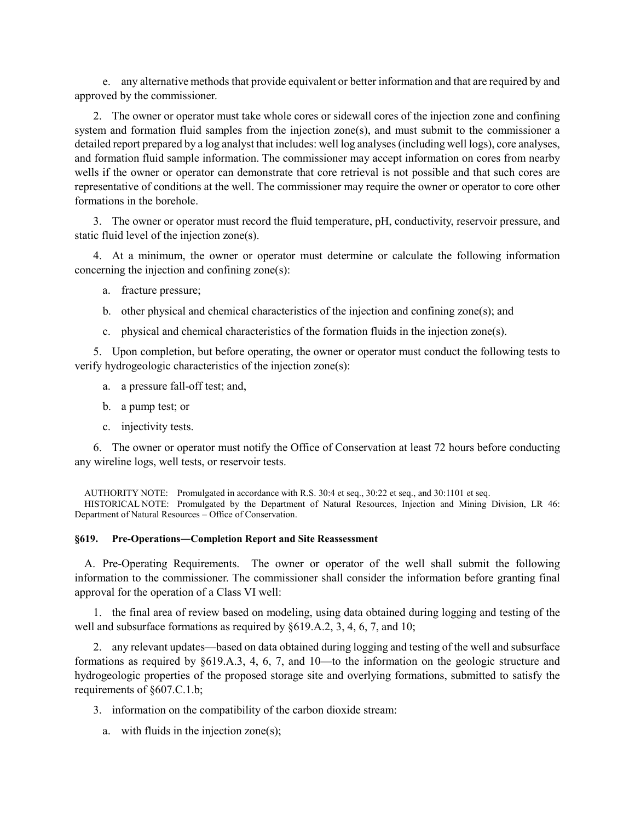e. any alternative methods that provide equivalent or better information and that are required by and approved by the commissioner.

2. The owner or operator must take whole cores or sidewall cores of the injection zone and confining system and formation fluid samples from the injection zone(s), and must submit to the commissioner a detailed report prepared by a log analyst that includes: well log analyses (including well logs), core analyses, and formation fluid sample information. The commissioner may accept information on cores from nearby wells if the owner or operator can demonstrate that core retrieval is not possible and that such cores are representative of conditions at the well. The commissioner may require the owner or operator to core other formations in the borehole.

3. The owner or operator must record the fluid temperature, pH, conductivity, reservoir pressure, and static fluid level of the injection zone(s).

4. At a minimum, the owner or operator must determine or calculate the following information concerning the injection and confining zone(s):

- a. fracture pressure;
- b. other physical and chemical characteristics of the injection and confining zone(s); and
- c. physical and chemical characteristics of the formation fluids in the injection zone(s).

5. Upon completion, but before operating, the owner or operator must conduct the following tests to verify hydrogeologic characteristics of the injection zone(s):

- a. a pressure fall-off test; and,
- b. a pump test; or
- c. injectivity tests.

6. The owner or operator must notify the Office of Conservation at least 72 hours before conducting any wireline logs, well tests, or reservoir tests.

AUTHORITY NOTE: Promulgated in accordance with R.S. 30:4 et seq., 30:22 et seq., and 30:1101 et seq. HISTORICAL NOTE: Promulgated by the Department of Natural Resources, Injection and Mining Division, LR 46: Department of Natural Resources – Office of Conservation.

### **§619. Pre-Operations―Completion Report and Site Reassessment**

A. Pre-Operating Requirements. The owner or operator of the well shall submit the following information to the commissioner. The commissioner shall consider the information before granting final approval for the operation of a Class VI well:

1. the final area of review based on modeling, using data obtained during logging and testing of the well and subsurface formations as required by §619.A.2, 3, 4, 6, 7, and 10;

2. any relevant updates—based on data obtained during logging and testing of the well and subsurface formations as required by §619.A.3, 4, 6, 7, and 10—to the information on the geologic structure and hydrogeologic properties of the proposed storage site and overlying formations, submitted to satisfy the requirements of §607.C.1.b;

- 3. information on the compatibility of the carbon dioxide stream:
	- a. with fluids in the injection zone(s);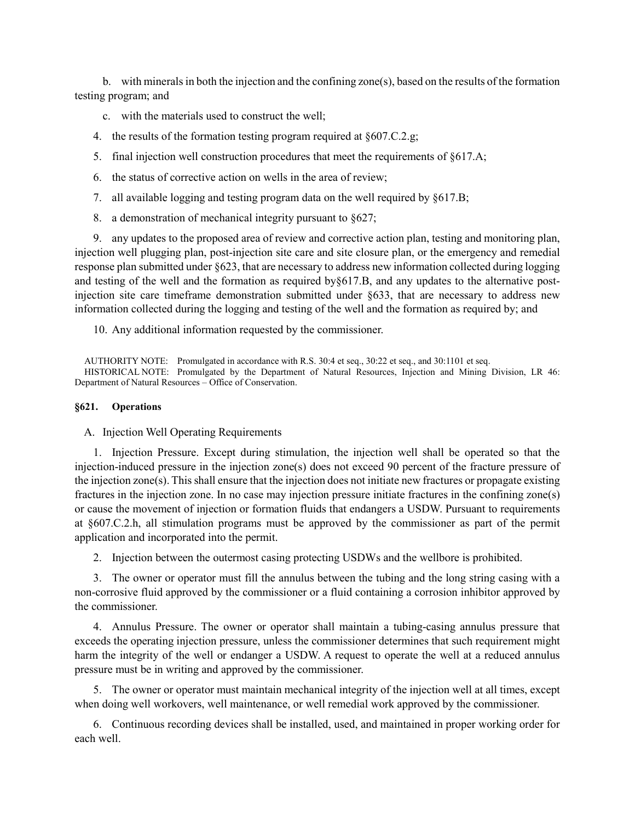b. with minerals in both the injection and the confining zone(s), based on the results of the formation testing program; and

- c. with the materials used to construct the well;
- 4. the results of the formation testing program required at §607.C.2.g;
- 5. final injection well construction procedures that meet the requirements of §617.A;
- 6. the status of corrective action on wells in the area of review;
- 7. all available logging and testing program data on the well required by §617.B;
- 8. a demonstration of mechanical integrity pursuant to §627;

9. any updates to the proposed area of review and corrective action plan, testing and monitoring plan, injection well plugging plan, post-injection site care and site closure plan, or the emergency and remedial response plan submitted under §623, that are necessary to address new information collected during logging and testing of the well and the formation as required by§617.B, and any updates to the alternative postinjection site care timeframe demonstration submitted under §633, that are necessary to address new information collected during the logging and testing of the well and the formation as required by; and

10. Any additional information requested by the commissioner.

AUTHORITY NOTE: Promulgated in accordance with R.S. 30:4 et seq., 30:22 et seq., and 30:1101 et seq. HISTORICAL NOTE: Promulgated by the Department of Natural Resources, Injection and Mining Division, LR 46: Department of Natural Resources – Office of Conservation.

### **§621. Operations**

A. Injection Well Operating Requirements

1. Injection Pressure. Except during stimulation, the injection well shall be operated so that the injection-induced pressure in the injection zone(s) does not exceed 90 percent of the fracture pressure of the injection zone(s). This shall ensure that the injection does not initiate new fractures or propagate existing fractures in the injection zone. In no case may injection pressure initiate fractures in the confining zone(s) or cause the movement of injection or formation fluids that endangers a USDW. Pursuant to requirements at §607.C.2.h, all stimulation programs must be approved by the commissioner as part of the permit application and incorporated into the permit.

2. Injection between the outermost casing protecting USDWs and the wellbore is prohibited.

3. The owner or operator must fill the annulus between the tubing and the long string casing with a non-corrosive fluid approved by the commissioner or a fluid containing a corrosion inhibitor approved by the commissioner.

4. Annulus Pressure. The owner or operator shall maintain a tubing-casing annulus pressure that exceeds the operating injection pressure, unless the commissioner determines that such requirement might harm the integrity of the well or endanger a USDW. A request to operate the well at a reduced annulus pressure must be in writing and approved by the commissioner.

5. The owner or operator must maintain mechanical integrity of the injection well at all times, except when doing well workovers, well maintenance, or well remedial work approved by the commissioner.

6. Continuous recording devices shall be installed, used, and maintained in proper working order for each well.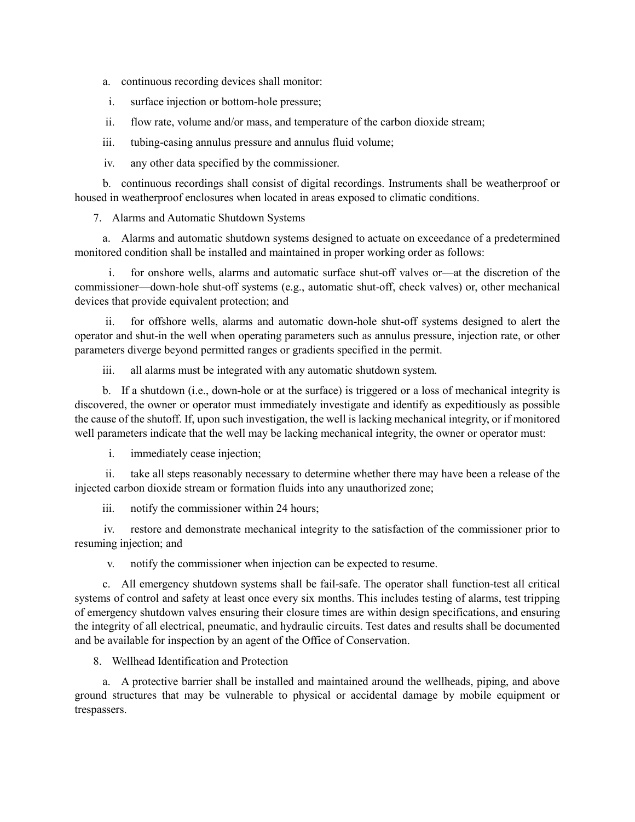a. continuous recording devices shall monitor:

i. surface injection or bottom-hole pressure;

ii. flow rate, volume and/or mass, and temperature of the carbon dioxide stream;

iii. tubing-casing annulus pressure and annulus fluid volume;

iv. any other data specified by the commissioner.

b. continuous recordings shall consist of digital recordings. Instruments shall be weatherproof or housed in weatherproof enclosures when located in areas exposed to climatic conditions.

7. Alarms and Automatic Shutdown Systems

a. Alarms and automatic shutdown systems designed to actuate on exceedance of a predetermined monitored condition shall be installed and maintained in proper working order as follows:

i. for onshore wells, alarms and automatic surface shut-off valves or—at the discretion of the commissioner—down-hole shut-off systems (e.g., automatic shut-off, check valves) or, other mechanical devices that provide equivalent protection; and

ii. for offshore wells, alarms and automatic down-hole shut-off systems designed to alert the operator and shut-in the well when operating parameters such as annulus pressure, injection rate, or other parameters diverge beyond permitted ranges or gradients specified in the permit.

iii. all alarms must be integrated with any automatic shutdown system.

b. If a shutdown (i.e., down-hole or at the surface) is triggered or a loss of mechanical integrity is discovered, the owner or operator must immediately investigate and identify as expeditiously as possible the cause of the shutoff. If, upon such investigation, the well is lacking mechanical integrity, or if monitored well parameters indicate that the well may be lacking mechanical integrity, the owner or operator must:

i. immediately cease injection;

ii. take all steps reasonably necessary to determine whether there may have been a release of the injected carbon dioxide stream or formation fluids into any unauthorized zone;

iii. notify the commissioner within 24 hours;

iv. restore and demonstrate mechanical integrity to the satisfaction of the commissioner prior to resuming injection; and

v. notify the commissioner when injection can be expected to resume.

c. All emergency shutdown systems shall be fail-safe. The operator shall function-test all critical systems of control and safety at least once every six months. This includes testing of alarms, test tripping of emergency shutdown valves ensuring their closure times are within design specifications, and ensuring the integrity of all electrical, pneumatic, and hydraulic circuits. Test dates and results shall be documented and be available for inspection by an agent of the Office of Conservation.

8. Wellhead Identification and Protection

a. A protective barrier shall be installed and maintained around the wellheads, piping, and above ground structures that may be vulnerable to physical or accidental damage by mobile equipment or trespassers.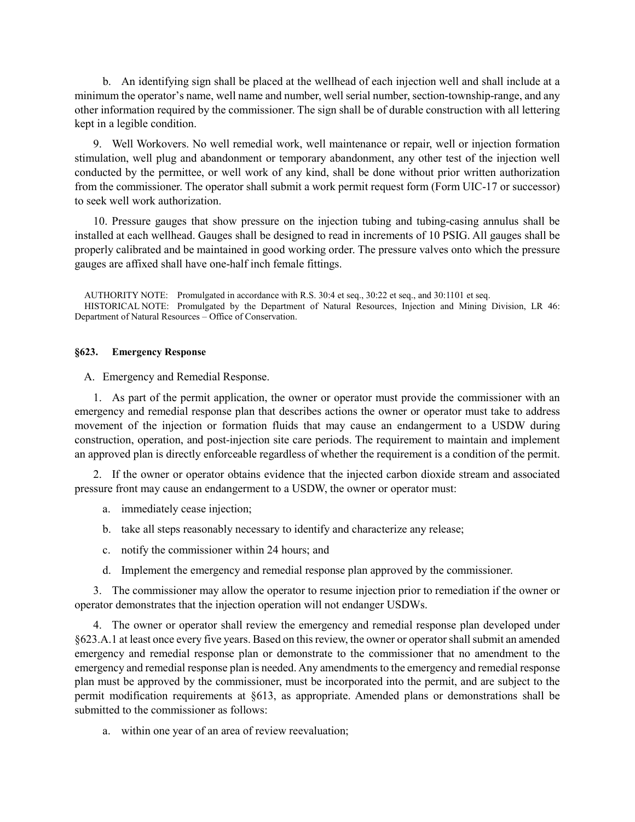b. An identifying sign shall be placed at the wellhead of each injection well and shall include at a minimum the operator's name, well name and number, well serial number, section-township-range, and any other information required by the commissioner. The sign shall be of durable construction with all lettering kept in a legible condition.

9. Well Workovers. No well remedial work, well maintenance or repair, well or injection formation stimulation, well plug and abandonment or temporary abandonment, any other test of the injection well conducted by the permittee, or well work of any kind, shall be done without prior written authorization from the commissioner. The operator shall submit a work permit request form (Form UIC-17 or successor) to seek well work authorization.

10. Pressure gauges that show pressure on the injection tubing and tubing-casing annulus shall be installed at each wellhead. Gauges shall be designed to read in increments of 10 PSIG. All gauges shall be properly calibrated and be maintained in good working order. The pressure valves onto which the pressure gauges are affixed shall have one-half inch female fittings.

AUTHORITY NOTE: Promulgated in accordance with R.S. 30:4 et seq., 30:22 et seq., and 30:1101 et seq. HISTORICAL NOTE: Promulgated by the Department of Natural Resources, Injection and Mining Division, LR 46: Department of Natural Resources – Office of Conservation.

### **§623. Emergency Response**

A. Emergency and Remedial Response.

1. As part of the permit application, the owner or operator must provide the commissioner with an emergency and remedial response plan that describes actions the owner or operator must take to address movement of the injection or formation fluids that may cause an endangerment to a USDW during construction, operation, and post-injection site care periods. The requirement to maintain and implement an approved plan is directly enforceable regardless of whether the requirement is a condition of the permit.

2. If the owner or operator obtains evidence that the injected carbon dioxide stream and associated pressure front may cause an endangerment to a USDW, the owner or operator must:

- a. immediately cease injection;
- b. take all steps reasonably necessary to identify and characterize any release;
- c. notify the commissioner within 24 hours; and
- d. Implement the emergency and remedial response plan approved by the commissioner.

3. The commissioner may allow the operator to resume injection prior to remediation if the owner or operator demonstrates that the injection operation will not endanger USDWs.

4. The owner or operator shall review the emergency and remedial response plan developed under §623.A.1 at least once every five years. Based on this review, the owner or operator shall submit an amended emergency and remedial response plan or demonstrate to the commissioner that no amendment to the emergency and remedial response plan is needed. Any amendments to the emergency and remedial response plan must be approved by the commissioner, must be incorporated into the permit, and are subject to the permit modification requirements at §613, as appropriate. Amended plans or demonstrations shall be submitted to the commissioner as follows:

a. within one year of an area of review reevaluation;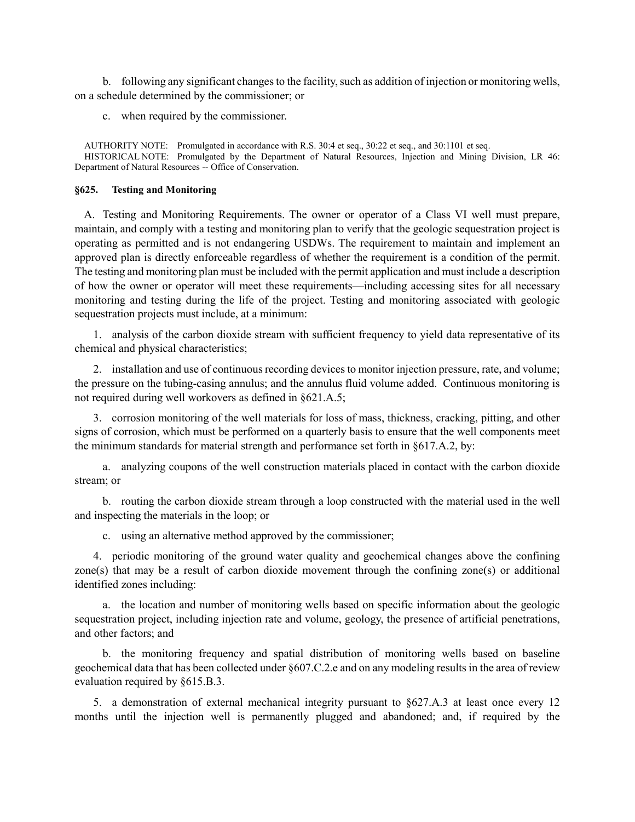b. following any significant changes to the facility, such as addition of injection or monitoring wells, on a schedule determined by the commissioner; or

c. when required by the commissioner.

AUTHORITY NOTE: Promulgated in accordance with R.S. 30:4 et seq., 30:22 et seq., and 30:1101 et seq. HISTORICAL NOTE: Promulgated by the Department of Natural Resources, Injection and Mining Division, LR 46: Department of Natural Resources -- Office of Conservation.

### **§625. Testing and Monitoring**

A. Testing and Monitoring Requirements. The owner or operator of a Class VI well must prepare, maintain, and comply with a testing and monitoring plan to verify that the geologic sequestration project is operating as permitted and is not endangering USDWs. The requirement to maintain and implement an approved plan is directly enforceable regardless of whether the requirement is a condition of the permit. The testing and monitoring plan must be included with the permit application and must include a description of how the owner or operator will meet these requirements—including accessing sites for all necessary monitoring and testing during the life of the project. Testing and monitoring associated with geologic sequestration projects must include, at a minimum:

1. analysis of the carbon dioxide stream with sufficient frequency to yield data representative of its chemical and physical characteristics;

2. installation and use of continuous recording devices to monitor injection pressure, rate, and volume; the pressure on the tubing-casing annulus; and the annulus fluid volume added. Continuous monitoring is not required during well workovers as defined in §621.A.5;

3. corrosion monitoring of the well materials for loss of mass, thickness, cracking, pitting, and other signs of corrosion, which must be performed on a quarterly basis to ensure that the well components meet the minimum standards for material strength and performance set forth in §617.A.2, by:

a. analyzing coupons of the well construction materials placed in contact with the carbon dioxide stream; or

b. routing the carbon dioxide stream through a loop constructed with the material used in the well and inspecting the materials in the loop; or

c. using an alternative method approved by the commissioner;

4. periodic monitoring of the ground water quality and geochemical changes above the confining zone(s) that may be a result of carbon dioxide movement through the confining zone(s) or additional identified zones including:

a. the location and number of monitoring wells based on specific information about the geologic sequestration project, including injection rate and volume, geology, the presence of artificial penetrations, and other factors; and

b. the monitoring frequency and spatial distribution of monitoring wells based on baseline geochemical data that has been collected under §607.C.2.e and on any modeling results in the area of review evaluation required by §615.B.3.

5. a demonstration of external mechanical integrity pursuant to §627.A.3 at least once every 12 months until the injection well is permanently plugged and abandoned; and, if required by the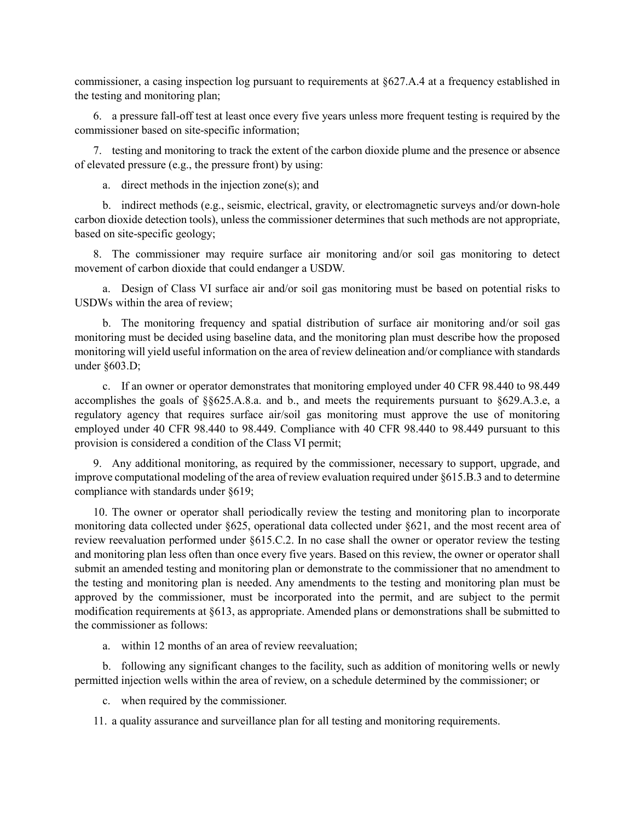commissioner, a casing inspection log pursuant to requirements at §627.A.4 at a frequency established in the testing and monitoring plan;

6. a pressure fall-off test at least once every five years unless more frequent testing is required by the commissioner based on site-specific information;

7. testing and monitoring to track the extent of the carbon dioxide plume and the presence or absence of elevated pressure (e.g., the pressure front) by using:

a. direct methods in the injection zone(s); and

b. indirect methods (e.g., seismic, electrical, gravity, or electromagnetic surveys and/or down-hole carbon dioxide detection tools), unless the commissioner determines that such methods are not appropriate, based on site-specific geology;

8. The commissioner may require surface air monitoring and/or soil gas monitoring to detect movement of carbon dioxide that could endanger a USDW.

a. Design of Class VI surface air and/or soil gas monitoring must be based on potential risks to USDWs within the area of review;

b. The monitoring frequency and spatial distribution of surface air monitoring and/or soil gas monitoring must be decided using baseline data, and the monitoring plan must describe how the proposed monitoring will yield useful information on the area of review delineation and/or compliance with standards under §603.D;

c. If an owner or operator demonstrates that monitoring employed under 40 CFR 98.440 to 98.449 accomplishes the goals of §§625.A.8.a. and b., and meets the requirements pursuant to §629.A.3.e, a regulatory agency that requires surface air/soil gas monitoring must approve the use of monitoring employed under 40 CFR 98.440 to 98.449. Compliance with 40 CFR 98.440 to 98.449 pursuant to this provision is considered a condition of the Class VI permit;

9. Any additional monitoring, as required by the commissioner, necessary to support, upgrade, and improve computational modeling of the area of review evaluation required under §615.B.3 and to determine compliance with standards under §619;

10. The owner or operator shall periodically review the testing and monitoring plan to incorporate monitoring data collected under §625, operational data collected under §621, and the most recent area of review reevaluation performed under §615.C.2. In no case shall the owner or operator review the testing and monitoring plan less often than once every five years. Based on this review, the owner or operator shall submit an amended testing and monitoring plan or demonstrate to the commissioner that no amendment to the testing and monitoring plan is needed. Any amendments to the testing and monitoring plan must be approved by the commissioner, must be incorporated into the permit, and are subject to the permit modification requirements at §613, as appropriate. Amended plans or demonstrations shall be submitted to the commissioner as follows:

a. within 12 months of an area of review reevaluation;

b. following any significant changes to the facility, such as addition of monitoring wells or newly permitted injection wells within the area of review, on a schedule determined by the commissioner; or

c. when required by the commissioner.

11. a quality assurance and surveillance plan for all testing and monitoring requirements.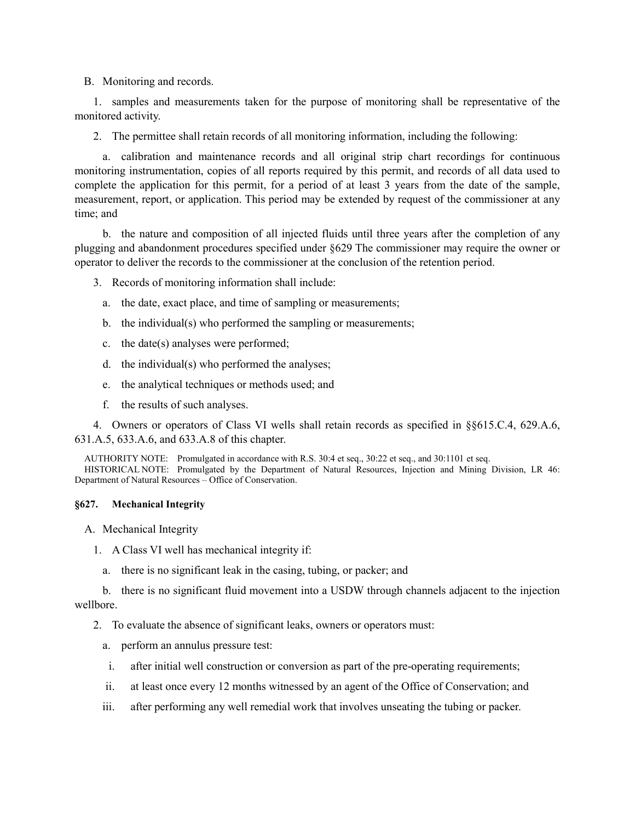B. Monitoring and records.

1. samples and measurements taken for the purpose of monitoring shall be representative of the monitored activity.

2. The permittee shall retain records of all monitoring information, including the following:

a. calibration and maintenance records and all original strip chart recordings for continuous monitoring instrumentation, copies of all reports required by this permit, and records of all data used to complete the application for this permit, for a period of at least 3 years from the date of the sample, measurement, report, or application. This period may be extended by request of the commissioner at any time; and

b. the nature and composition of all injected fluids until three years after the completion of any plugging and abandonment procedures specified under §629 The commissioner may require the owner or operator to deliver the records to the commissioner at the conclusion of the retention period.

3. Records of monitoring information shall include:

- a. the date, exact place, and time of sampling or measurements;
- b. the individual(s) who performed the sampling or measurements;
- c. the date(s) analyses were performed;
- d. the individual(s) who performed the analyses;
- e. the analytical techniques or methods used; and
- f. the results of such analyses.

4. Owners or operators of Class VI wells shall retain records as specified in §§615.C.4, 629.A.6, 631.A.5, 633.A.6, and 633.A.8 of this chapter.

AUTHORITY NOTE: Promulgated in accordance with R.S. 30:4 et seq., 30:22 et seq., and 30:1101 et seq. HISTORICAL NOTE: Promulgated by the Department of Natural Resources, Injection and Mining Division, LR 46: Department of Natural Resources – Office of Conservation.

### **§627. Mechanical Integrity**

- A. Mechanical Integrity
	- 1. A Class VI well has mechanical integrity if:
		- a. there is no significant leak in the casing, tubing, or packer; and

b. there is no significant fluid movement into a USDW through channels adjacent to the injection wellbore.

2. To evaluate the absence of significant leaks, owners or operators must:

- a. perform an annulus pressure test:
- i. after initial well construction or conversion as part of the pre-operating requirements;
- ii. at least once every 12 months witnessed by an agent of the Office of Conservation; and
- iii. after performing any well remedial work that involves unseating the tubing or packer.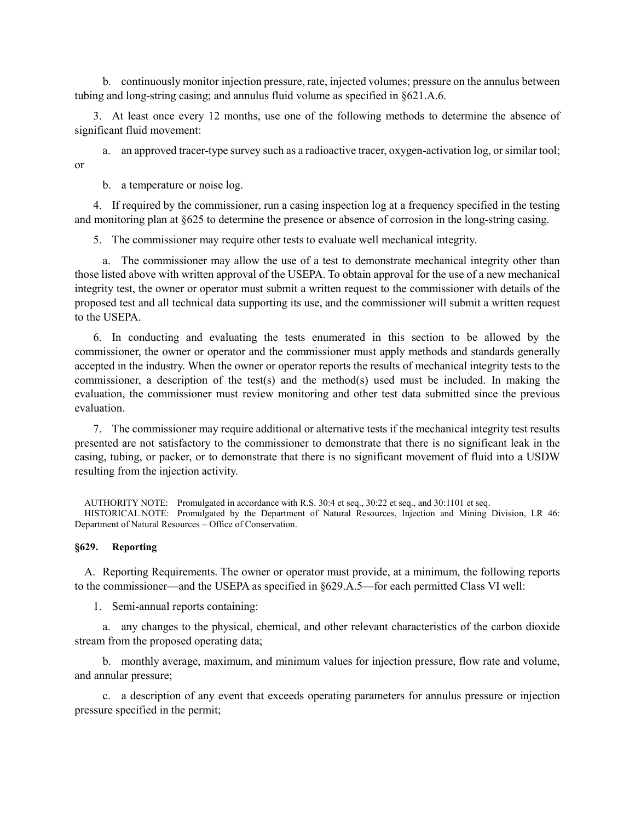b. continuously monitor injection pressure, rate, injected volumes; pressure on the annulus between tubing and long-string casing; and annulus fluid volume as specified in §621.A.6.

3. At least once every 12 months, use one of the following methods to determine the absence of significant fluid movement:

a. an approved tracer-type survey such as a radioactive tracer, oxygen-activation log, or similar tool; or

b. a temperature or noise log.

4. If required by the commissioner, run a casing inspection log at a frequency specified in the testing and monitoring plan at §625 to determine the presence or absence of corrosion in the long-string casing.

5. The commissioner may require other tests to evaluate well mechanical integrity.

a. The commissioner may allow the use of a test to demonstrate mechanical integrity other than those listed above with written approval of the USEPA. To obtain approval for the use of a new mechanical integrity test, the owner or operator must submit a written request to the commissioner with details of the proposed test and all technical data supporting its use, and the commissioner will submit a written request to the USEPA.

6. In conducting and evaluating the tests enumerated in this section to be allowed by the commissioner, the owner or operator and the commissioner must apply methods and standards generally accepted in the industry. When the owner or operator reports the results of mechanical integrity tests to the commissioner, a description of the test(s) and the method(s) used must be included. In making the evaluation, the commissioner must review monitoring and other test data submitted since the previous evaluation.

7. The commissioner may require additional or alternative tests if the mechanical integrity test results presented are not satisfactory to the commissioner to demonstrate that there is no significant leak in the casing, tubing, or packer, or to demonstrate that there is no significant movement of fluid into a USDW resulting from the injection activity.

AUTHORITY NOTE: Promulgated in accordance with R.S. 30:4 et seq., 30:22 et seq., and 30:1101 et seq. HISTORICAL NOTE: Promulgated by the Department of Natural Resources, Injection and Mining Division, LR 46: Department of Natural Resources – Office of Conservation.

### **§629. Reporting**

A. Reporting Requirements. The owner or operator must provide, at a minimum, the following reports to the commissioner—and the USEPA as specified in §629.A.5—for each permitted Class VI well:

1. Semi-annual reports containing:

a. any changes to the physical, chemical, and other relevant characteristics of the carbon dioxide stream from the proposed operating data;

b. monthly average, maximum, and minimum values for injection pressure, flow rate and volume, and annular pressure;

c. a description of any event that exceeds operating parameters for annulus pressure or injection pressure specified in the permit;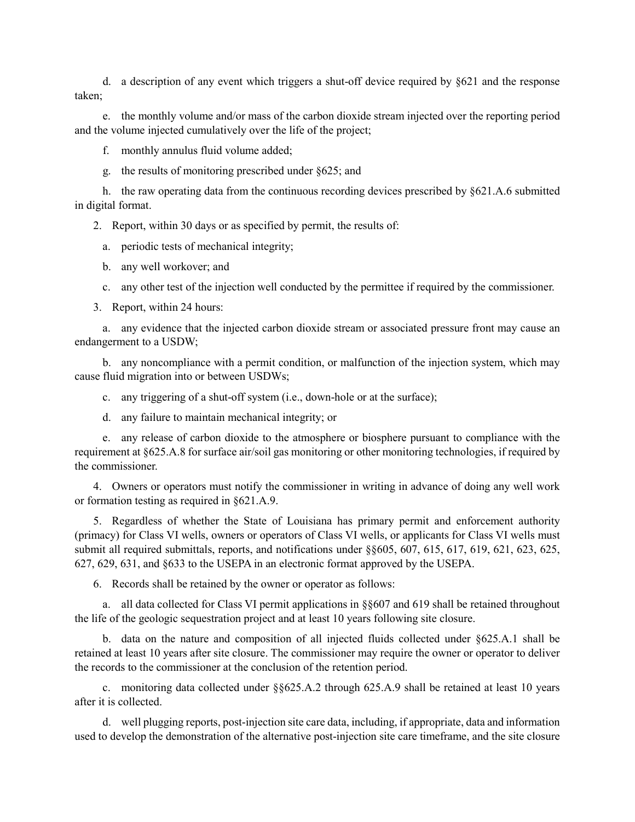d. a description of any event which triggers a shut-off device required by §621 and the response taken;

e. the monthly volume and/or mass of the carbon dioxide stream injected over the reporting period and the volume injected cumulatively over the life of the project;

f. monthly annulus fluid volume added;

g. the results of monitoring prescribed under §625; and

h. the raw operating data from the continuous recording devices prescribed by §621.A.6 submitted in digital format.

2. Report, within 30 days or as specified by permit, the results of:

- a. periodic tests of mechanical integrity;
- b. any well workover; and
- c. any other test of the injection well conducted by the permittee if required by the commissioner.
- 3. Report, within 24 hours:

a. any evidence that the injected carbon dioxide stream or associated pressure front may cause an endangerment to a USDW;

b. any noncompliance with a permit condition, or malfunction of the injection system, which may cause fluid migration into or between USDWs;

c. any triggering of a shut-off system (i.e., down-hole or at the surface);

d. any failure to maintain mechanical integrity; or

e. any release of carbon dioxide to the atmosphere or biosphere pursuant to compliance with the requirement at §625.A.8 for surface air/soil gas monitoring or other monitoring technologies, if required by the commissioner.

4. Owners or operators must notify the commissioner in writing in advance of doing any well work or formation testing as required in §621.A.9.

5. Regardless of whether the State of Louisiana has primary permit and enforcement authority (primacy) for Class VI wells, owners or operators of Class VI wells, or applicants for Class VI wells must submit all required submittals, reports, and notifications under §§605, 607, 615, 617, 619, 621, 623, 625, 627, 629, 631, and §633 to the USEPA in an electronic format approved by the USEPA.

6. Records shall be retained by the owner or operator as follows:

a. all data collected for Class VI permit applications in §§607 and 619 shall be retained throughout the life of the geologic sequestration project and at least 10 years following site closure.

b. data on the nature and composition of all injected fluids collected under §625.A.1 shall be retained at least 10 years after site closure. The commissioner may require the owner or operator to deliver the records to the commissioner at the conclusion of the retention period.

c. monitoring data collected under §§625.A.2 through 625.A.9 shall be retained at least 10 years after it is collected.

d. well plugging reports, post-injection site care data, including, if appropriate, data and information used to develop the demonstration of the alternative post-injection site care timeframe, and the site closure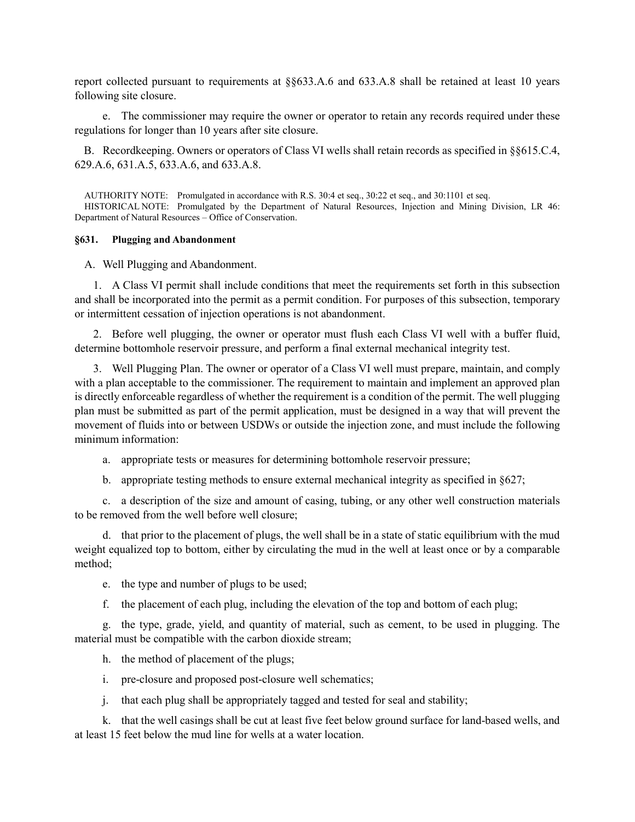report collected pursuant to requirements at §§633.A.6 and 633.A.8 shall be retained at least 10 years following site closure.

e. The commissioner may require the owner or operator to retain any records required under these regulations for longer than 10 years after site closure.

B. Recordkeeping. Owners or operators of Class VI wells shall retain records as specified in §§615.C.4, 629.A.6, 631.A.5, 633.A.6, and 633.A.8.

AUTHORITY NOTE: Promulgated in accordance with R.S. 30:4 et seq., 30:22 et seq., and 30:1101 et seq. HISTORICAL NOTE: Promulgated by the Department of Natural Resources, Injection and Mining Division, LR 46: Department of Natural Resources – Office of Conservation.

### **§631. Plugging and Abandonment**

A. Well Plugging and Abandonment.

1. A Class VI permit shall include conditions that meet the requirements set forth in this subsection and shall be incorporated into the permit as a permit condition. For purposes of this subsection, temporary or intermittent cessation of injection operations is not abandonment.

2. Before well plugging, the owner or operator must flush each Class VI well with a buffer fluid, determine bottomhole reservoir pressure, and perform a final external mechanical integrity test.

3. Well Plugging Plan. The owner or operator of a Class VI well must prepare, maintain, and comply with a plan acceptable to the commissioner. The requirement to maintain and implement an approved plan is directly enforceable regardless of whether the requirement is a condition of the permit. The well plugging plan must be submitted as part of the permit application, must be designed in a way that will prevent the movement of fluids into or between USDWs or outside the injection zone, and must include the following minimum information:

a. appropriate tests or measures for determining bottomhole reservoir pressure;

b. appropriate testing methods to ensure external mechanical integrity as specified in §627;

c. a description of the size and amount of casing, tubing, or any other well construction materials to be removed from the well before well closure;

d. that prior to the placement of plugs, the well shall be in a state of static equilibrium with the mud weight equalized top to bottom, either by circulating the mud in the well at least once or by a comparable method;

e. the type and number of plugs to be used;

f. the placement of each plug, including the elevation of the top and bottom of each plug;

g. the type, grade, yield, and quantity of material, such as cement, to be used in plugging. The material must be compatible with the carbon dioxide stream;

h. the method of placement of the plugs;

i. pre-closure and proposed post-closure well schematics;

j. that each plug shall be appropriately tagged and tested for seal and stability;

k. that the well casings shall be cut at least five feet below ground surface for land-based wells, and at least 15 feet below the mud line for wells at a water location.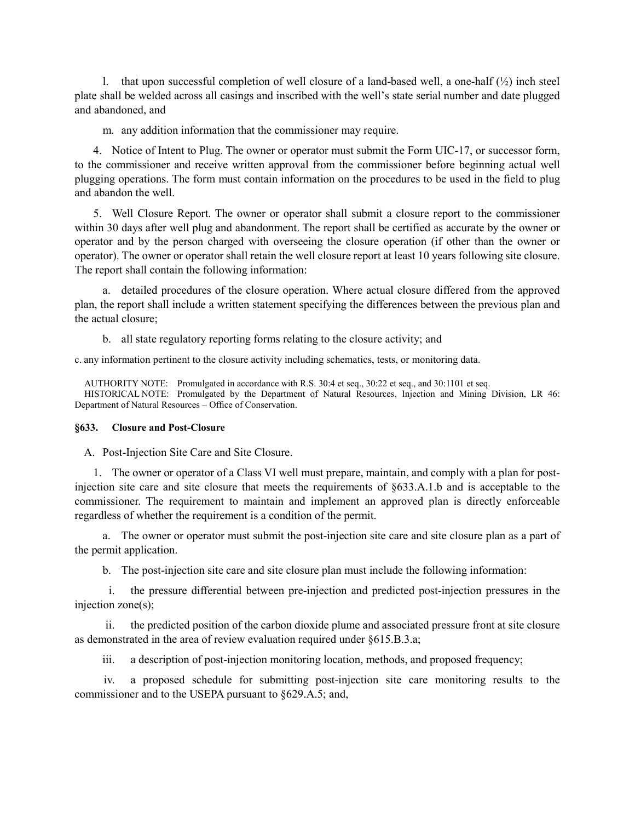l. that upon successful completion of well closure of a land-based well, a one-half  $(\frac{1}{2})$  inch steel plate shall be welded across all casings and inscribed with the well's state serial number and date plugged and abandoned, and

m. any addition information that the commissioner may require.

4. Notice of Intent to Plug. The owner or operator must submit the Form UIC-17, or successor form, to the commissioner and receive written approval from the commissioner before beginning actual well plugging operations. The form must contain information on the procedures to be used in the field to plug and abandon the well.

5. Well Closure Report. The owner or operator shall submit a closure report to the commissioner within 30 days after well plug and abandonment. The report shall be certified as accurate by the owner or operator and by the person charged with overseeing the closure operation (if other than the owner or operator). The owner or operator shall retain the well closure report at least 10 years following site closure. The report shall contain the following information:

a. detailed procedures of the closure operation. Where actual closure differed from the approved plan, the report shall include a written statement specifying the differences between the previous plan and the actual closure;

b. all state regulatory reporting forms relating to the closure activity; and

c. any information pertinent to the closure activity including schematics, tests, or monitoring data.

AUTHORITY NOTE: Promulgated in accordance with R.S. 30:4 et seq., 30:22 et seq., and 30:1101 et seq.

HISTORICAL NOTE: Promulgated by the Department of Natural Resources, Injection and Mining Division, LR 46: Department of Natural Resources – Office of Conservation.

### **§633. Closure and Post-Closure**

A. Post-Injection Site Care and Site Closure.

1. The owner or operator of a Class VI well must prepare, maintain, and comply with a plan for postinjection site care and site closure that meets the requirements of §633.A.1.b and is acceptable to the commissioner. The requirement to maintain and implement an approved plan is directly enforceable regardless of whether the requirement is a condition of the permit.

a. The owner or operator must submit the post-injection site care and site closure plan as a part of the permit application.

b. The post-injection site care and site closure plan must include the following information:

i. the pressure differential between pre-injection and predicted post-injection pressures in the injection zone(s);

ii. the predicted position of the carbon dioxide plume and associated pressure front at site closure as demonstrated in the area of review evaluation required under §615.B.3.a;

iii. a description of post-injection monitoring location, methods, and proposed frequency;

iv. a proposed schedule for submitting post-injection site care monitoring results to the commissioner and to the USEPA pursuant to §629.A.5; and,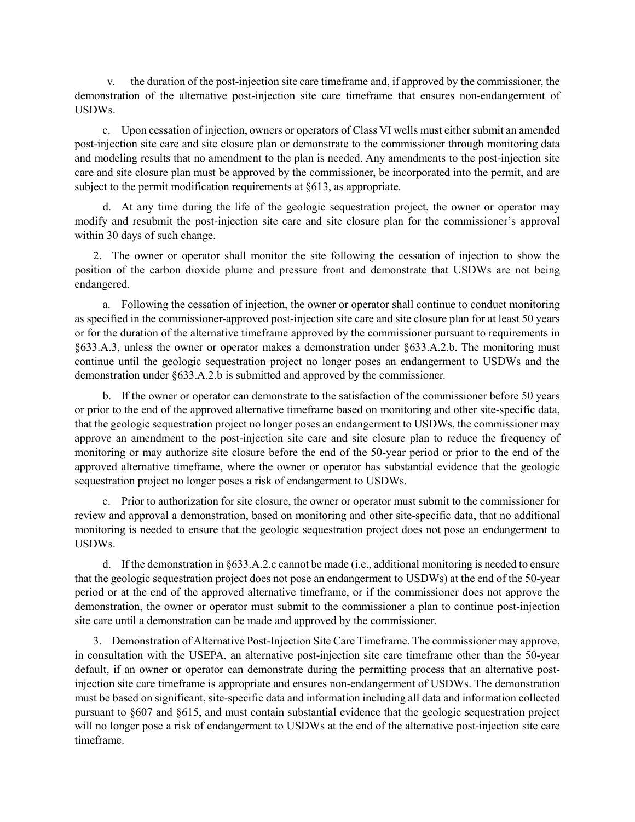v. the duration of the post-injection site care timeframe and, if approved by the commissioner, the demonstration of the alternative post-injection site care timeframe that ensures non-endangerment of USDWs.

c. Upon cessation of injection, owners or operators of Class VI wells must either submit an amended post-injection site care and site closure plan or demonstrate to the commissioner through monitoring data and modeling results that no amendment to the plan is needed. Any amendments to the post-injection site care and site closure plan must be approved by the commissioner, be incorporated into the permit, and are subject to the permit modification requirements at §613, as appropriate.

d. At any time during the life of the geologic sequestration project, the owner or operator may modify and resubmit the post-injection site care and site closure plan for the commissioner's approval within 30 days of such change.

2. The owner or operator shall monitor the site following the cessation of injection to show the position of the carbon dioxide plume and pressure front and demonstrate that USDWs are not being endangered.

a. Following the cessation of injection, the owner or operator shall continue to conduct monitoring as specified in the commissioner-approved post-injection site care and site closure plan for at least 50 years or for the duration of the alternative timeframe approved by the commissioner pursuant to requirements in §633.A.3, unless the owner or operator makes a demonstration under §633.A.2.b. The monitoring must continue until the geologic sequestration project no longer poses an endangerment to USDWs and the demonstration under §633.A.2.b is submitted and approved by the commissioner.

b. If the owner or operator can demonstrate to the satisfaction of the commissioner before 50 years or prior to the end of the approved alternative timeframe based on monitoring and other site-specific data, that the geologic sequestration project no longer poses an endangerment to USDWs, the commissioner may approve an amendment to the post-injection site care and site closure plan to reduce the frequency of monitoring or may authorize site closure before the end of the 50-year period or prior to the end of the approved alternative timeframe, where the owner or operator has substantial evidence that the geologic sequestration project no longer poses a risk of endangerment to USDWs.

c. Prior to authorization for site closure, the owner or operator must submit to the commissioner for review and approval a demonstration, based on monitoring and other site-specific data, that no additional monitoring is needed to ensure that the geologic sequestration project does not pose an endangerment to USDWs.

d. If the demonstration in §633.A.2.c cannot be made (i.e., additional monitoring is needed to ensure that the geologic sequestration project does not pose an endangerment to USDWs) at the end of the 50-year period or at the end of the approved alternative timeframe, or if the commissioner does not approve the demonstration, the owner or operator must submit to the commissioner a plan to continue post-injection site care until a demonstration can be made and approved by the commissioner.

3. Demonstration of Alternative Post-Injection Site Care Timeframe. The commissioner may approve, in consultation with the USEPA, an alternative post-injection site care timeframe other than the 50-year default, if an owner or operator can demonstrate during the permitting process that an alternative postinjection site care timeframe is appropriate and ensures non-endangerment of USDWs. The demonstration must be based on significant, site-specific data and information including all data and information collected pursuant to §607 and §615, and must contain substantial evidence that the geologic sequestration project will no longer pose a risk of endangerment to USDWs at the end of the alternative post-injection site care timeframe.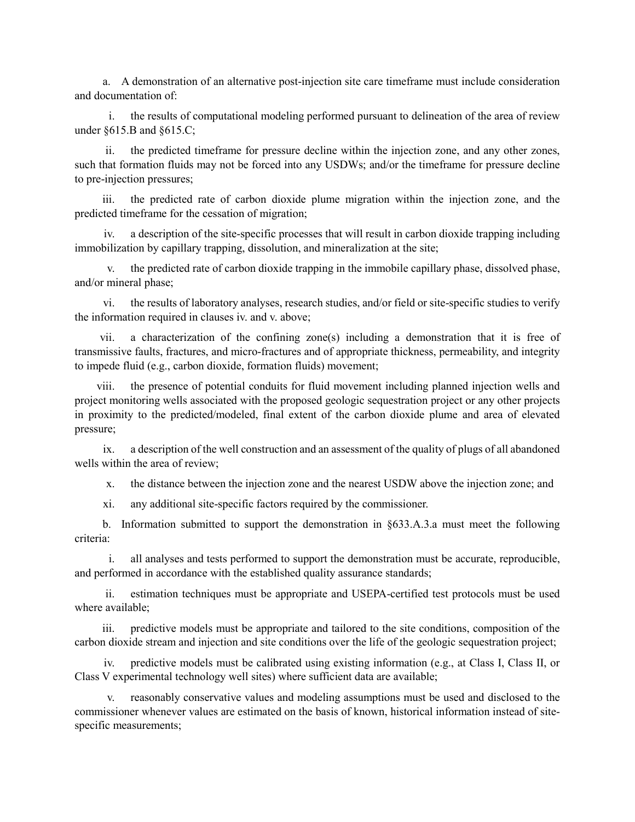a. A demonstration of an alternative post-injection site care timeframe must include consideration and documentation of:

i. the results of computational modeling performed pursuant to delineation of the area of review under §615.B and §615.C;

ii. the predicted timeframe for pressure decline within the injection zone, and any other zones, such that formation fluids may not be forced into any USDWs; and/or the timeframe for pressure decline to pre-injection pressures;

iii. the predicted rate of carbon dioxide plume migration within the injection zone, and the predicted timeframe for the cessation of migration;

a description of the site-specific processes that will result in carbon dioxide trapping including immobilization by capillary trapping, dissolution, and mineralization at the site;

the predicted rate of carbon dioxide trapping in the immobile capillary phase, dissolved phase, and/or mineral phase;

vi. the results of laboratory analyses, research studies, and/or field or site-specific studies to verify the information required in clauses iv. and v. above;

vii. a characterization of the confining zone(s) including a demonstration that it is free of transmissive faults, fractures, and micro-fractures and of appropriate thickness, permeability, and integrity to impede fluid (e.g., carbon dioxide, formation fluids) movement;

the presence of potential conduits for fluid movement including planned injection wells and project monitoring wells associated with the proposed geologic sequestration project or any other projects in proximity to the predicted/modeled, final extent of the carbon dioxide plume and area of elevated pressure;

ix. a description of the well construction and an assessment of the quality of plugs of all abandoned wells within the area of review;

x. the distance between the injection zone and the nearest USDW above the injection zone; and

xi. any additional site-specific factors required by the commissioner.

b. Information submitted to support the demonstration in §633.A.3.a must meet the following criteria:

i. all analyses and tests performed to support the demonstration must be accurate, reproducible, and performed in accordance with the established quality assurance standards;

ii. estimation techniques must be appropriate and USEPA-certified test protocols must be used where available;

iii. predictive models must be appropriate and tailored to the site conditions, composition of the carbon dioxide stream and injection and site conditions over the life of the geologic sequestration project;

iv. predictive models must be calibrated using existing information (e.g., at Class I, Class II, or Class V experimental technology well sites) where sufficient data are available;

reasonably conservative values and modeling assumptions must be used and disclosed to the commissioner whenever values are estimated on the basis of known, historical information instead of sitespecific measurements;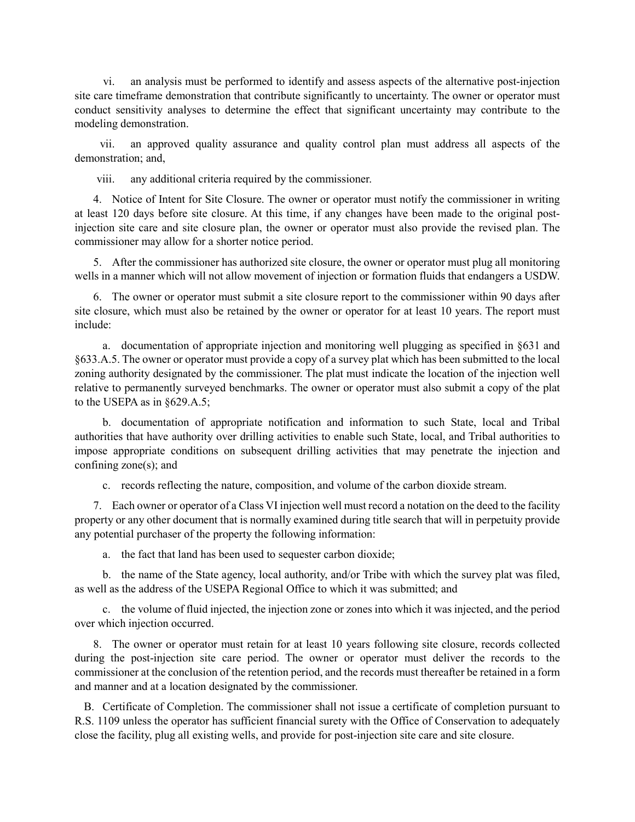vi. an analysis must be performed to identify and assess aspects of the alternative post-injection site care timeframe demonstration that contribute significantly to uncertainty. The owner or operator must conduct sensitivity analyses to determine the effect that significant uncertainty may contribute to the modeling demonstration.

vii. an approved quality assurance and quality control plan must address all aspects of the demonstration; and,

viii. any additional criteria required by the commissioner.

4. Notice of Intent for Site Closure. The owner or operator must notify the commissioner in writing at least 120 days before site closure. At this time, if any changes have been made to the original postinjection site care and site closure plan, the owner or operator must also provide the revised plan. The commissioner may allow for a shorter notice period.

5. After the commissioner has authorized site closure, the owner or operator must plug all monitoring wells in a manner which will not allow movement of injection or formation fluids that endangers a USDW.

6. The owner or operator must submit a site closure report to the commissioner within 90 days after site closure, which must also be retained by the owner or operator for at least 10 years. The report must include:

a. documentation of appropriate injection and monitoring well plugging as specified in §631 and §633.A.5. The owner or operator must provide a copy of a survey plat which has been submitted to the local zoning authority designated by the commissioner. The plat must indicate the location of the injection well relative to permanently surveyed benchmarks. The owner or operator must also submit a copy of the plat to the USEPA as in §629.A.5;

b. documentation of appropriate notification and information to such State, local and Tribal authorities that have authority over drilling activities to enable such State, local, and Tribal authorities to impose appropriate conditions on subsequent drilling activities that may penetrate the injection and confining zone(s); and

c. records reflecting the nature, composition, and volume of the carbon dioxide stream.

7. Each owner or operator of a Class VI injection well must record a notation on the deed to the facility property or any other document that is normally examined during title search that will in perpetuity provide any potential purchaser of the property the following information:

a. the fact that land has been used to sequester carbon dioxide;

b. the name of the State agency, local authority, and/or Tribe with which the survey plat was filed, as well as the address of the USEPA Regional Office to which it was submitted; and

c. the volume of fluid injected, the injection zone or zones into which it was injected, and the period over which injection occurred.

8. The owner or operator must retain for at least 10 years following site closure, records collected during the post-injection site care period. The owner or operator must deliver the records to the commissioner at the conclusion of the retention period, and the records must thereafter be retained in a form and manner and at a location designated by the commissioner.

B. Certificate of Completion. The commissioner shall not issue a certificate of completion pursuant to R.S. 1109 unless the operator has sufficient financial surety with the Office of Conservation to adequately close the facility, plug all existing wells, and provide for post-injection site care and site closure.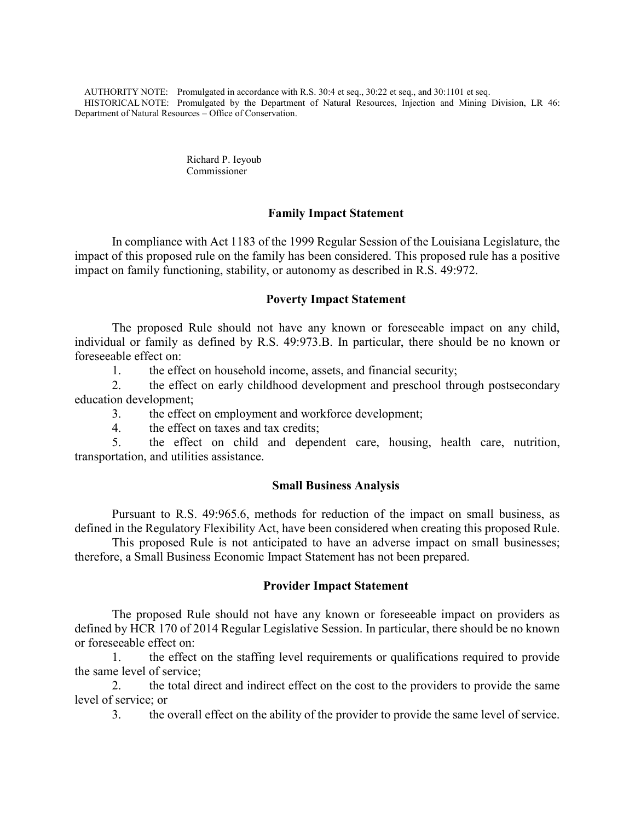AUTHORITY NOTE: Promulgated in accordance with R.S. 30:4 et seq., 30:22 et seq., and 30:1101 et seq. HISTORICAL NOTE: Promulgated by the Department of Natural Resources, Injection and Mining Division, LR 46: Department of Natural Resources – Office of Conservation.

> Richard P. Ieyoub Commissioner

# **Family Impact Statement**

In compliance with Act 1183 of the 1999 Regular Session of the Louisiana Legislature, the impact of this proposed rule on the family has been considered. This proposed rule has a positive impact on family functioning, stability, or autonomy as described in R.S. 49:972.

# **Poverty Impact Statement**

The proposed Rule should not have any known or foreseeable impact on any child, individual or family as defined by R.S. 49:973.B. In particular, there should be no known or foreseeable effect on:

1. the effect on household income, assets, and financial security;

2. the effect on early childhood development and preschool through postsecondary education development;

3. the effect on employment and workforce development;

4. the effect on taxes and tax credits;

5. the effect on child and dependent care, housing, health care, nutrition, transportation, and utilities assistance.

# **Small Business Analysis**

Pursuant to R.S. 49:965.6, methods for reduction of the impact on small business, as defined in the Regulatory Flexibility Act, have been considered when creating this proposed Rule.

This proposed Rule is not anticipated to have an adverse impact on small businesses; therefore, a Small Business Economic Impact Statement has not been prepared.

# **Provider Impact Statement**

The proposed Rule should not have any known or foreseeable impact on providers as defined by HCR 170 of 2014 Regular Legislative Session. In particular, there should be no known or foreseeable effect on:

1. the effect on the staffing level requirements or qualifications required to provide the same level of service;

2. the total direct and indirect effect on the cost to the providers to provide the same level of service; or

3. the overall effect on the ability of the provider to provide the same level of service.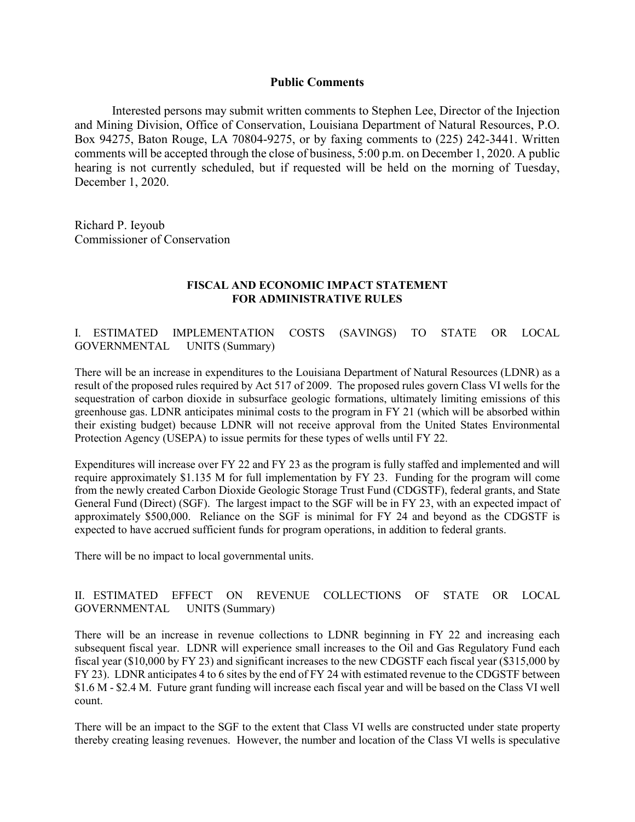# **Public Comments**

Interested persons may submit written comments to Stephen Lee, Director of the Injection and Mining Division, Office of Conservation, Louisiana Department of Natural Resources, P.O. Box 94275, Baton Rouge, LA 70804-9275, or by faxing comments to (225) 242-3441. Written comments will be accepted through the close of business, 5:00 p.m. on December 1, 2020. A public hearing is not currently scheduled, but if requested will be held on the morning of Tuesday, December 1, 2020.

Richard P. Ieyoub Commissioner of Conservation

# **FISCAL AND ECONOMIC IMPACT STATEMENT FOR ADMINISTRATIVE RULES**

I. ESTIMATED IMPLEMENTATION COSTS (SAVINGS) TO STATE OR LOCAL GOVERNMENTAL UNITS (Summary)

There will be an increase in expenditures to the Louisiana Department of Natural Resources (LDNR) as a result of the proposed rules required by Act 517 of 2009. The proposed rules govern Class VI wells for the sequestration of carbon dioxide in subsurface geologic formations, ultimately limiting emissions of this greenhouse gas. LDNR anticipates minimal costs to the program in FY 21 (which will be absorbed within their existing budget) because LDNR will not receive approval from the United States Environmental Protection Agency (USEPA) to issue permits for these types of wells until FY 22.

Expenditures will increase over FY 22 and FY 23 as the program is fully staffed and implemented and will require approximately \$1.135 M for full implementation by FY 23. Funding for the program will come from the newly created Carbon Dioxide Geologic Storage Trust Fund (CDGSTF), federal grants, and State General Fund (Direct) (SGF). The largest impact to the SGF will be in FY 23, with an expected impact of approximately \$500,000. Reliance on the SGF is minimal for FY 24 and beyond as the CDGSTF is expected to have accrued sufficient funds for program operations, in addition to federal grants.

There will be no impact to local governmental units.

# II. ESTIMATED EFFECT ON REVENUE COLLECTIONS OF STATE OR LOCAL GOVERNMENTAL UNITS (Summary)

There will be an increase in revenue collections to LDNR beginning in FY 22 and increasing each subsequent fiscal year. LDNR will experience small increases to the Oil and Gas Regulatory Fund each fiscal year (\$10,000 by FY 23) and significant increases to the new CDGSTF each fiscal year (\$315,000 by FY 23). LDNR anticipates 4 to 6 sites by the end of FY 24 with estimated revenue to the CDGSTF between \$1.6 M - \$2.4 M. Future grant funding will increase each fiscal year and will be based on the Class VI well count.

There will be an impact to the SGF to the extent that Class VI wells are constructed under state property thereby creating leasing revenues. However, the number and location of the Class VI wells is speculative